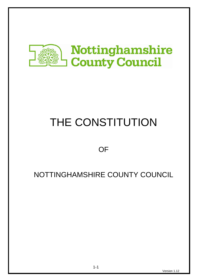

# THE CONSTITUTION

# **OF**

# NOTTINGHAMSHIRE COUNTY COUNCIL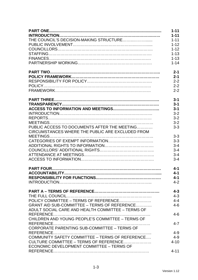|                                                   | $1 - 11$ |
|---------------------------------------------------|----------|
|                                                   | $1 - 11$ |
|                                                   | $1 - 11$ |
|                                                   | $1 - 12$ |
|                                                   | $1 - 12$ |
|                                                   | $1 - 13$ |
|                                                   | $1 - 13$ |
|                                                   | $1 - 14$ |
|                                                   | $2 - 1$  |
|                                                   | $2 - 1$  |
|                                                   | $2 - 2$  |
|                                                   | $2 - 2$  |
|                                                   | $2 - 2$  |
|                                                   | $3 - 1$  |
|                                                   | $3 - 1$  |
|                                                   | $3 - 1$  |
|                                                   | $3 - 2$  |
|                                                   | $3 - 2$  |
|                                                   | $3 - 2$  |
| PUBLIC ACCESS TO DOCUMENTS AFTER THE MEETING      | $3 - 3$  |
| CIRCUMSTANCES WHERE THE PUBLIC ARE EXCLUDED FROM  |          |
|                                                   | $3 - 3$  |
|                                                   | $3 - 3$  |
|                                                   | $3 - 4$  |
|                                                   | $3 - 4$  |
|                                                   | $3 - 4$  |
|                                                   | $3 - 4$  |
|                                                   | $4 - 1$  |
|                                                   | $4 - 1$  |
|                                                   | $4 - 1$  |
|                                                   | $4 - 2$  |
|                                                   | $4 - 3$  |
|                                                   | $4 - 3$  |
|                                                   | $4 - 4$  |
| GRANT AID SUB-COMMITTEE - TERMS OF REFERENCE      | $4 - 6$  |
| ADULT SOCIAL CARE AND HEALTH COMMITTEE - TERMS OF |          |
|                                                   | $4 - 6$  |
| CHILDREN AND YOUNG PEOPLE'S COMMITTEE - TERMS OF  |          |
| CORPORATE PARENTING SUB-COMMITTEE - TERMS OF      | $4 - 7$  |
|                                                   | $4 - 9$  |
| COMMUNITY SAFETY COMMITTEE - TERMS OF REFERENCE   | $4 - 9$  |
| CULTURE COMMITTEE – TERMS OF REFERENCE            | $4 - 10$ |
| ECONOMIC DEVELOPMENT COMMITTEE - TERMS OF         |          |
|                                                   | $4 - 11$ |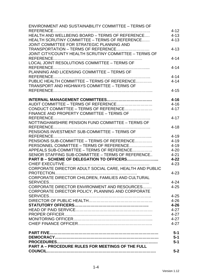| <b>ENVIRONMENT AND SUSTAINABILITY COMMITTEE - TERMS OF</b> |          |
|------------------------------------------------------------|----------|
|                                                            | $4 - 12$ |
| HEALTH AND WELLBEING BOARD - TERMS OF REFERENCE            | $4 - 13$ |
| HEALTH SCRUTINY COMMITTEE - TERMS OF REFERENCE             | $4 - 13$ |
| JOINT COMMITTEE FOR STRATEGIC PLANNING AND                 |          |
| TRANSPORTATION - TERMS OF REFERENCE                        | $4 - 13$ |
| JOINT CITY/COUNTY HEALTH SCRUTINY COMMITTEE - TERMS OF     |          |
|                                                            | $4 - 14$ |
| LOCAL JOINT RESOLUTIONS COMMITTEE - TERMS OF               |          |
|                                                            | $4 - 14$ |
| PLANNING AND LICENSING COMMITTEE - TERMS OF                |          |
|                                                            | $4 - 14$ |
| PUBLIC HEALTH COMMITTEE - TERMS OF REFERENCE               | $4 - 14$ |
| <b>TRANSPORT AND HIGHWAYS COMMITTEE - TERMS OF</b>         |          |
|                                                            | $4 - 15$ |
|                                                            |          |
|                                                            | $4 - 16$ |
| AUDIT COMMITTEE - TERMS OF REFERENCE                       | $4 - 16$ |
| CONDUCT COMMITTEE - TERMS OF REFERENCE                     | $4 - 17$ |
| FINANCE AND PROPERTY COMMITTEE - TERMS OF                  |          |
|                                                            | $4 - 17$ |
| NOTTINGHAMSHIRE PENSION FUND COMMITTEE - TERMS OF          |          |
|                                                            | $4 - 18$ |
| PENSIONS INVESTMENT SUB-COMMITTEE - TERMS OF               |          |
|                                                            | $4 - 19$ |
| PENSIONS SUB-COMMITTEE - TERMS OF REFERENCE                | $4 - 19$ |
| PERSONNEL COMMITTEE - TERMS OF REFERENCE                   | $4 - 19$ |
| APPEALS SUB-COMMITTEE – TERMS OF REFERENCE                 | $4 - 20$ |
| SENIOR STAFFING SUB-COMMITTEE - TERMS OF REFERENCE         | $4 - 21$ |
| PART B - SCHEME OF DELEGATION TO OFFICERS                  | $4 - 22$ |
|                                                            | $4 - 23$ |
| CORPORATE DIRECTOR ADULT SOCIAL CARE, HEALTH AND PUBLIC    |          |
|                                                            | $4 - 23$ |
| CORPORATE DIRECTOR CHILDREN, FAMILIES AND CULTURAL         |          |
|                                                            | $4 - 24$ |
| CORPORATE DIRECTOR ENVIRONMENT AND RESOURCES               | $4 - 25$ |
|                                                            |          |
| CORPORATE DIRECTOR POLICY, PLANNING AND CORPORATE          |          |
|                                                            | $4 - 25$ |
|                                                            | $4 - 26$ |
|                                                            | $4 - 26$ |
|                                                            | $4 - 27$ |
|                                                            | $4 - 27$ |
|                                                            | $4 - 27$ |
|                                                            | $4 - 27$ |
|                                                            | $5-1$    |
|                                                            | $5 - 1$  |
|                                                            | $5-1$    |
| <b>PART A - PROCEDURE RULES FOR MEETINGS OF THE FULL</b>   |          |
|                                                            | $5-2$    |
|                                                            |          |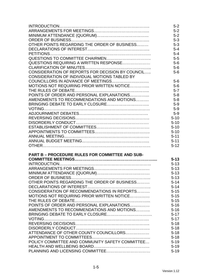|                                                        | $5-2$    |
|--------------------------------------------------------|----------|
|                                                        | $5-2$    |
|                                                        | $5-2$    |
|                                                        | $5 - 3$  |
| OTHER POINTS REGARDING THE ORDER OF BUSINESS           | $5 - 3$  |
|                                                        | $5 - 4$  |
|                                                        | $5 - 4$  |
|                                                        | $5-5$    |
| QUESTIONS REQUIRING A WRITTEN RESPONSE                 | $5-6$    |
|                                                        | $5-6$    |
| CONSIDERATION OF REPORTS FOR DECISION BY COUNCIL       | $5-6$    |
| CONSIDERATION OF INDIVIDUAL MOTIONS TABLED BY          |          |
|                                                        | $5-6$    |
| MOTIONS NOT REQUIRING PRIOR WRITTEN NOTICE             | $5-6$    |
|                                                        | $5 - 7$  |
| POINTS OF ORDER AND PERSONAL EXPLANATIONS              | $5 - 8$  |
| AMENDMENTS TO RECOMMENDATIONS AND MOTIONS              | $5-8$    |
|                                                        | $5-9$    |
|                                                        | $5-9$    |
|                                                        | $5-9$    |
|                                                        | $5 - 10$ |
|                                                        | $5 - 10$ |
|                                                        | $5 - 10$ |
|                                                        | $5 - 10$ |
|                                                        | $5 - 11$ |
|                                                        | $5 - 11$ |
|                                                        | $5 - 12$ |
| <b>PART B - PROCEDURE RULES FOR COMMITTEE AND SUB-</b> |          |
|                                                        | $5 - 13$ |
|                                                        | $5 - 13$ |
|                                                        | $5 - 13$ |
|                                                        | $5 - 13$ |
|                                                        | $5 - 13$ |
| OTHER POINTS REGARDING THE ORDER OF BUSINESS           | $5 - 14$ |
|                                                        | $5 - 14$ |
| CONSIDERATION OF RECOMMENDATIONS IN REPORTS            | $5 - 15$ |
| MOTIONS NOT REQUIRING PRIOR WRITTEN NOTICE             | $5 - 15$ |
|                                                        | $5 - 15$ |
| POINTS OF ORDER AND PERSONAL EXPLANATIONS              | $5 - 16$ |
| AMENDMENTS TO RECOMMENDATIONS AND MOTIONS              | $5 - 16$ |
|                                                        | $5 - 17$ |
|                                                        | $5 - 17$ |
|                                                        | $5 - 18$ |
|                                                        | $5 - 18$ |
| ATTENDANCE OF OTHER COUNTY COUNCILLORS                 | $5 - 18$ |
|                                                        | $5 - 18$ |
| POLICY COMMITTEE AND COMMUNITY SAFETY COMMITTEE        | $5 - 19$ |
|                                                        | $5 - 19$ |
|                                                        | $5 - 19$ |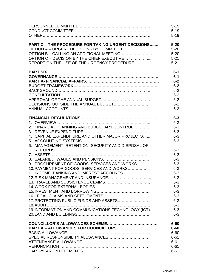|                                                           | $5 - 19$           |
|-----------------------------------------------------------|--------------------|
|                                                           | $5 - 19$           |
|                                                           | $5 - 19$           |
| <b>PART C - THE PROCEDURE FOR TAKING URGENT DECISIONS</b> | $5 - 20$           |
| OPTION A – URGENT DECISIONS BY COMMITTEE                  | $5 - 20$           |
| OPTION B - CALLING AN ADDITIONAL MEETING                  | $5 - 20$           |
| OPTION C - DECISION BY THE CHIEF EXECUTIVE                | $5 - 21$           |
| REPORT ON THE USE OF THE URGENCY PROCEDURE                | $5 - 21$           |
|                                                           | $6-1$              |
|                                                           | $6-1$              |
|                                                           | $6-2$              |
|                                                           | $6-2$              |
|                                                           | $6 - 2$            |
|                                                           | $6 - 2$            |
|                                                           | $6 - 2$            |
|                                                           | $6 - 2$            |
|                                                           | $6 - 2$            |
|                                                           | $6 - 3$            |
|                                                           | $6 - 3$            |
| 2. FINANCIAL PLANNING AND BUDGETARY CONTROL               | $6 - 3$            |
|                                                           | $6 - 3$            |
| 4. CAPITAL EXPENDITURE AND OTHER MAJOR PROJECTS           | $6 - 3$            |
|                                                           | $6 - 3$            |
| 6. MANAGEMENT, RETENTION, SECURITY AND DISPOSAL OF        | $6 - 3$<br>$6 - 3$ |
|                                                           | $6 - 3$            |
| 9. PROCUREMENT OF GOODS, SERVICES AND WORKS               | $6 - 3$            |
| 10. PAYMENT FOR GOODS, SERVICES AND WORKS                 | $6 - 3$            |
| 11. INCOME, BANKING AND IMPREST ACCOUNTS                  | $6 - 3$            |
|                                                           | $6 - 3$            |
|                                                           | $6 - 3$            |
|                                                           | $6 - 3$            |
|                                                           | $6 - 3$            |
|                                                           | $6 - 3$            |
| 17. PROTECTING PUBLIC FUNDS AND ASSETS                    | $6 - 3$            |
|                                                           | $6 - 3$            |
| 19. INFORMATION AND COMMUNICATIONS TECHNOLOGY (ICT)       | $6 - 3$            |
|                                                           | $6 - 3$            |
|                                                           | $6 - 60$           |
| PART A - ALLOWANCES FOR COUNCILLORS                       | $6 - 60$           |
|                                                           | $6 - 60$           |
|                                                           | $6 - 61$           |
|                                                           | $6 - 61$           |
|                                                           | $6 - 61$           |
|                                                           | $6 - 61$           |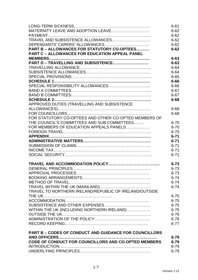|                                                               | $6 - 61$ |
|---------------------------------------------------------------|----------|
|                                                               | $6 - 62$ |
|                                                               | $6 - 62$ |
|                                                               | $6 - 62$ |
|                                                               | $6 - 62$ |
| PART B - ALLOWANCES FOR STATUTORY CO-OPTEES                   | $6 - 62$ |
| <b>PART C - ALLOWANCES FOR EDUCATION APPEAL PANEL</b>         |          |
|                                                               | $6 - 63$ |
| PART D - TRAVELLING AND SUBSISTENCE                           | $6 - 63$ |
|                                                               | $6 - 64$ |
|                                                               | $6 - 64$ |
|                                                               | $6 - 65$ |
|                                                               | $6 - 66$ |
|                                                               | $6 - 66$ |
|                                                               | $6 - 67$ |
|                                                               | $6 - 67$ |
|                                                               | $6 - 68$ |
| APPROVED DUTIES (TRAVELLING AND SUBSISTENCE                   |          |
|                                                               | $6 - 68$ |
|                                                               | $6 - 68$ |
| FOR STATUTORY CO-OPTEES AND OTHER CO-OPTED MEMBERS OF         |          |
| THE COUNCIL'S COMMITTEES AND SUB-COMMITTEES                   | $6 - 70$ |
| FOR MEMBERS OF EDUCATION APPEALS PANELS                       | $6 - 70$ |
|                                                               | $6 - 70$ |
|                                                               | $6 - 71$ |
|                                                               | $6 - 71$ |
|                                                               | $6 - 71$ |
|                                                               | $6 - 71$ |
|                                                               | $6 - 71$ |
|                                                               | $6 - 73$ |
|                                                               | $6 - 73$ |
|                                                               | $6 - 73$ |
|                                                               | $6 - 74$ |
|                                                               | $6 - 74$ |
|                                                               | $6 - 74$ |
| TRAVEL TO NORTHERN IRELAND/REPUBLIC OF IRELAND/OUTSIDE        |          |
|                                                               | $6 - 75$ |
|                                                               | $6 - 75$ |
|                                                               | $6 - 75$ |
| WITHIN THE UK (INCLUDING NORTHERN IRELAND)                    | $6 - 75$ |
|                                                               | $6 - 76$ |
|                                                               | $6 - 76$ |
|                                                               | $6 - 77$ |
| <b>PART B - CODES OF CONDUCT AND GUIDANCE FOR COUNCILLORS</b> |          |
|                                                               | $6 - 79$ |
| CODE OF CONDUCT FOR COUNCILLORS AND CO-OPTED MEMBERS          | $6 - 79$ |
|                                                               | $6 - 79$ |
|                                                               | $6 - 79$ |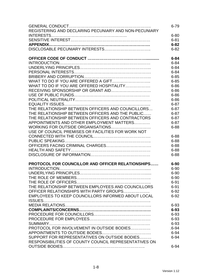|                                                       | $6 - 79$  |
|-------------------------------------------------------|-----------|
| REGISTERING AND DECLARING PECUNIARY AND NON-PECUNIARY |           |
|                                                       | $6 - 80$  |
|                                                       | $6 - 81$  |
|                                                       | $6 - 82$  |
|                                                       | $6 - 82$  |
|                                                       |           |
|                                                       | $6 - 84$  |
|                                                       | $6 - 84$  |
|                                                       | $6 - 84$  |
|                                                       | $6 - 84$  |
|                                                       | $6 - 85$  |
|                                                       | $6 - 85$  |
| WHAT TO DO IF YOU ARE OFFERED HOSPITALITY             | $6 - 86$  |
|                                                       | $6 - 86$  |
|                                                       | $6 - 86$  |
|                                                       | $6 - 86$  |
|                                                       | $6 - 87$  |
| THE RELATIONSHIP BETWEEN OFFICERS AND COUNCILLORS     | $6 - 87$  |
| THE RELATIONSHIP BETWEEN OFFICERS AND THE PUBLIC      | $6 - 87$  |
| THE RELATIONSHIP BETWEEN OFFICERS AND CONTRACTORS     | $6 - 87$  |
| APPOINTMENTS AND OTHER EMPLOYMENT MATTERS             | $6 - 87$  |
| WORKING FOR OUTSIDE ORGANISATIONS                     | $6 - 88$  |
| USE OF COUNCIL PREMISES OR FACILITIES FOR WORK NOT    |           |
|                                                       | $6 - 88$  |
|                                                       |           |
|                                                       | $6 - 88$  |
|                                                       | $6 - 88$  |
|                                                       | $6 - 88$  |
|                                                       | $6 - 88$  |
| PROTOCOL FOR COUNCILLOR AND OFFICER RELATIONSHIPS     | $6 - 90$  |
|                                                       | $6 - 90$  |
|                                                       | $6 - 90$  |
|                                                       | $6 - 90$  |
|                                                       | $6 - 91$  |
| THE RELATIONSHIP BETWEEN EMPLOYEES AND COUNCILLORS    | $6 - 91$  |
| OFFICER RELATIONSHIPS WITH PARTY GROUPS               | $6 - 92$  |
| EMPLOYEES TO KEEP COUNCILLORS INFORMED ABOUT LOCAL    | $6 - 92$  |
|                                                       |           |
|                                                       | $6 - 93$  |
|                                                       | $6 - 93$  |
|                                                       | $6 - 93$  |
|                                                       | $6 - 93$  |
|                                                       | $6 - 93$  |
| PROTOCOL FOR INVOLVEMENT IN OUTSIDE BODIES            | $.6 - 94$ |
|                                                       | $6 - 94$  |
| SUPPORT FOR REPRESENTATIVES ON OUTSIDE BODIES         | $6 - 94$  |
| RESPONSIBILITIES OF COUNTY COUNCIL REPRESENTATIVES ON |           |
|                                                       | $6 - 94$  |
|                                                       |           |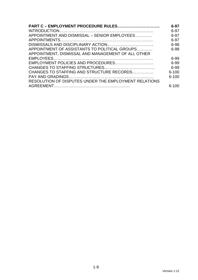| <b>PART C - EMPLOYMENT PROCEDURE RULES</b>            | $6 - 97$  |
|-------------------------------------------------------|-----------|
|                                                       | 6-97      |
| APPOINTMENT AND DISMISSAL - SENIOR EMPLOYEES          | $6-97$    |
|                                                       | 6-97      |
|                                                       | 6-98      |
| APPOINTMENT OF ASSISTANTS TO POLITICAL GROUPS         | 6-98      |
| APPOINTMENT, DISMISSAL AND MANAGEMENT OF ALL OTHER    |           |
|                                                       | 6-99      |
|                                                       | 6-99      |
|                                                       | 6-99      |
| CHANGES TO STAFFING AND STRUCTURE RECORDS             | $6 - 100$ |
|                                                       | $6 - 100$ |
| RESOLUTION OF DISPUTES UNDER THE EMPLOYMENT RELATIONS |           |
|                                                       | $6 - 100$ |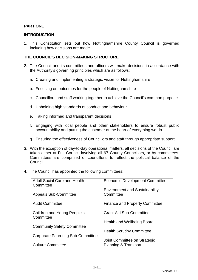### **PART ONE**

#### **INTRODUCTION**

1. This Constitution sets out how Nottinghamshire County Council is governed including how decisions are made.

#### **THE COUNCIL'S DECISION-MAKING STRUCTURE**

- 2. The Council and its committees and officers will make decisions in accordance with the Authority's governing principles which are as follows:
	- a. Creating and implementing a strategic vision for Nottinghamshire
	- b. Focusing on outcomes for the people of Nottinghamshire
	- c. Councillors and staff working together to achieve the Council's common purpose
	- d. Upholding high standards of conduct and behaviour
	- e. Taking informed and transparent decisions
	- f. Engaging with local people and other stakeholders to ensure robust public accountability and putting the customer at the heart of everything we do
	- g. Ensuring the effectiveness of Councillors and staff through appropriate support.
- 3. With the exception of day-to-day operational matters, all decisions of the Council are taken either at Full Council involving all 67 County Councillors, or by committees. Committees are comprised of councillors, to reflect the political balance of the Council.
- 4. The Council has appointed the following committees:

| <b>Adult Social Care and Health</b><br>Committee | <b>Economic Development Committee</b>              |
|--------------------------------------------------|----------------------------------------------------|
| <b>Appeals Sub-Committee</b>                     | <b>Environment and Sustainability</b><br>Committee |
| <b>Audit Committee</b>                           | <b>Finance and Property Committee</b>              |
| Children and Young People's<br>Committee         | <b>Grant Aid Sub-Committee</b>                     |
|                                                  | Health and Wellbeing Board                         |
| <b>Community Safety Committee</b>                | <b>Health Scrutiny Committee</b>                   |
| <b>Corporate Parenting Sub-Committee</b>         | Joint Committee on Strategic                       |
| <b>Culture Committee</b>                         | <b>Planning &amp; Transport</b>                    |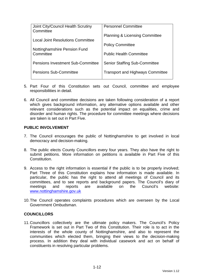| Joint City/Council Health Scrutiny<br>Committee | <b>Personnel Committee</b>                |
|-------------------------------------------------|-------------------------------------------|
| <b>Local Joint Resolutions Committee</b>        | <b>Planning &amp; Licensing Committee</b> |
|                                                 | <b>Policy Committee</b>                   |
| Nottinghamshire Pension Fund<br>Committee       | <b>Public Health Committee</b>            |
| <b>Pensions Investment Sub-Committee</b>        | <b>Senior Staffing Sub-Committee</b>      |
| <b>Pensions Sub-Committee</b>                   | <b>Transport and Highways Committee</b>   |

- 5. Part Four of this Constitution sets out Council, committee and employee responsibilities in detail.
- 6. All Council and committee decisions are taken following consideration of a report which gives background information, any alternative options available and other relevant considerations such as the potential impact on equalities, crime and disorder and human rights. The procedure for committee meetings where decisions are taken is set out in Part Five.

#### **PUBLIC INVOLVEMENT**

- 7. The Council encourages the public of Nottinghamshire to get involved in local democracy and decision-making.
- 8. The public elects County Councillors every four years. They also have the right to submit petitions. More information on petitions is available in Part Five of this **Constitution**
- 9. Access to the right information is essential if the public is to be properly involved; Part Three of this Constitution explains how information is made available. In particular, the public has the right to attend all meetings of Council and its committees, and to see reports and background papers. The Council's diary of meetings and reports are available on the Council's website: www.nottinghamshire.gov.uk
- 10. The Council operates complaints procedures which are overseen by the Local Government Ombudsman.

#### **COUNCILLORS**

11. Councillors collectively are the ultimate policy makers. The Council's Policy Framework is set out in Part Two of this Constitution. Their role is to act in the interests of the whole county of Nottinghamshire, and also to represent the communities which elected them, bringing their views to the decision-making process. In addition they deal with individual casework and act on behalf of constituents in resolving particular problems.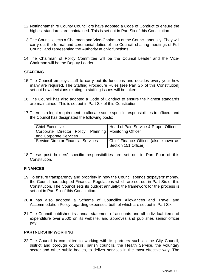- 12. Nottinghamshire County Councillors have adopted a Code of Conduct to ensure the highest standards are maintained. This is set out in Part Six of this Constitution.
- 13. The Council elects a Chairman and Vice-Chairman of the Council annually. They will carry out the formal and ceremonial duties of the Council, chairing meetings of Full Council and representing the Authority at civic functions.
- 14. The Chairman of Policy Committee will be the Council Leader and the Vice-Chairman will be the Deputy Leader.

#### **STAFFING**

- 15. The Council employs staff to carry out its functions and decides every year how many are required. The Staffing Procedure Rules [see Part Six of this Constitution] set out how decisions relating to staffing issues will be taken.
- 16. The Council has also adopted a Code of Conduct to ensure the highest standards are maintained. This is set out in Part Six of this Constitution.
- 17. There is a legal requirement to allocate some specific responsibilities to officers and the Council has designated the following posts:

| <b>Chief Executive</b>                                   | Head of Paid Service & Proper Officer |
|----------------------------------------------------------|---------------------------------------|
| Corporate Director Policy, Planning   Monitoring Officer |                                       |
| and Corporate Services                                   |                                       |
| <b>Service Director Financial Services</b>               | Chief Finance Officer (also known as  |
|                                                          | Section 151 Officer)                  |

18. These post holders' specific responsibilities are set out in Part Four of this Constitution.

#### **FINANCES**

- 19. To ensure transparency and propriety in how the Council spends taxpayers' money, the Council has adopted Financial Regulations which are set out in Part Six of this Constitution. The Council sets its budget annually; the framework for the process is set out in Part Six of this Constitution.
- 20. It has also adopted a Scheme of Councillor Allowances and Travel and Accommodation Policy regarding expenses, both of which are set out in Part Six.
- 21. The Council publishes its annual statement of accounts and all individual items of expenditure over £500 on its website, and approves and publishes senior officer pay.

#### **PARTNERSHIP WORKING**

22. The Council is committed to working with its partners such as the City Council, district and borough councils, parish councils, the Health Service, the voluntary sector and other public bodies, to deliver services in the most effective way. The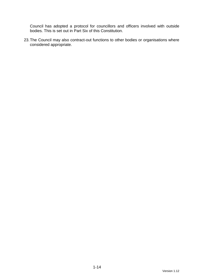Council has adopted a protocol for councillors and officers involved with outside bodies. This is set out in Part Six of this Constitution.

23. The Council may also contract-out functions to other bodies or organisations where considered appropriate.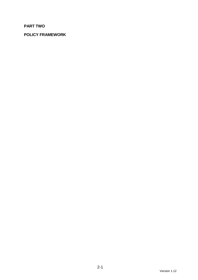# **PART TWO**

# **POLICY FRAMEWORK**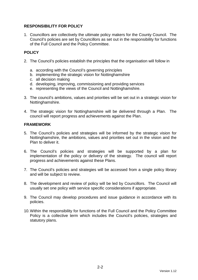### **RESPONSIBILITY FOR POLICY**

1. Councillors are collectively the ultimate policy makers for the County Council. The Council's policies are set by Councillors as set out in the responsibility for functions of the Full Council and the Policy Committee.

# **POLICY**

- 2. The Council's policies establish the principles that the organisation will follow in
	- a. according with the Council's governing principles
	- b. implementing the strategic vision for Nottinghamshire
	- c. all decision making
	- d. developing, improving, commissioning and providing services
	- e. representing the views of the Council and Nottinghamshire.
- 3. The council's ambitions, values and priorities will be set out in a strategic vision for Nottinghamshire.
- 4. The strategic vision for Nottinghamshire will be delivered through a Plan. The council will report progress and achievements against the Plan.

#### **FRAMEWORK**

- 5. The Council's policies and strategies will be informed by the strategic vision for Nottinghamshire, the ambitions, values and priorities set out in the vision and the Plan to deliver it.
- 6. The Council's policies and strategies will be supported by a plan for implementation of the policy or delivery of the strategy. The council will report progress and achievements against these Plans.
- 7. The Council's policies and strategies will be accessed from a single policy library and will be subject to review.
- 8. The development and review of policy will be led by Councillors. The Council will usually set one policy with service specific considerations if appropriate.
- 9. The Council may develop procedures and issue guidance in accordance with its policies.
- 10. Within the responsibility for functions of the Full Council and the Policy Committee Policy is a collective term which includes the Council's policies, strategies and statutory plans.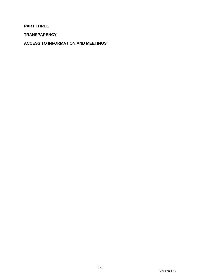### **PART THREE**

**TRANSPARENCY** 

**ACCESS TO INFORMATION AND MEETINGS**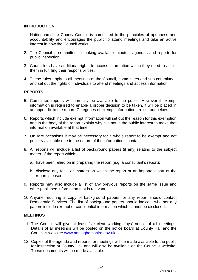#### **INTRODUCTION**

- 1. Nottinghamshire County Council is committed to the principles of openness and accountability and encourages the public to attend meetings and take an active interest in how the Council works.
- 2. The Council is committed to making available minutes, agendas and reports for public inspection.
- 3. Councillors have additional rights to access information which they need to assist them in fulfilling their responsibilities.
- 4. These rules apply to all meetings of the Council, committees and sub-committees and set out the rights of individuals to attend meetings and access information.

#### **REPORTS**

- 5. Committee reports will normally be available to the public. However if exempt information is required to enable a proper decision to be taken, it will be placed in an appendix to the report. Categories of exempt information are set out below.
- 6. Reports which include exempt information will set out the reason for this exemption and in the body of the report explain why it is not in the public interest to make that information available at that time.
- 7. On rare occasions it may be necessary for a whole report to be exempt and not publicly available due to the nature of the information it contains.
- 8. All reports will include a list of background papers (if any) relating to the subject matter of the report which:
	- a. have been relied on in preparing the report (e.g. a consultant's report);
	- b. disclose any facts or matters on which the report or an important part of the report is based;
- 9. Reports may also include a list of any previous reports on the same issue and other published information that is relevant
- 10. Anyone requiring a copy of background papers for any report should contact Democratic Services. The list of background papers should indicate whether any papers include exempt or confidential information which cannot be disclosed.

#### **MEETINGS**

- 11. The Council will give at least five clear working days' notice of all meetings. Details of all meetings will be posted on the notice board at County Hall and the Council's website: www.nottinghamshire.gov.uk.
- 12. Copies of the agenda and reports for meetings will be made available to the public for inspection at County Hall and will also be available on the Council's website. These documents will be made available: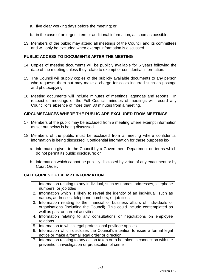- a. five clear working days before the meeting; or
- b. in the case of an urgent item or additional information, as soon as possible.
- 13. Members of the public may attend all meetings of the Council and its committees and will only be excluded when exempt information is discussed.

#### **PUBLIC ACCESS TO DOCUMENTS AFTER THE MEETING**

- 14. Copies of meeting documents will be publicly available for 6 years following the date of the meeting unless they relate to exempt or confidential information.
- 15. The Council will supply copies of the publicly available documents to any person who requests them but may make a charge for costs incurred such as postage and photocopying.
- 16. Meeting documents will include minutes of meetings, agendas and reports. In respect of meetings of the Full Council, minutes of meetings will record any Councillor's absence of more than 30 minutes from a meeting.

#### **CIRCUMSTANCES WHERE THE PUBLIC ARE EXCLUDED FROM MEETINGS**

- 17. Members of the public may be excluded from a meeting where exempt information as set out below is being discussed.
- 18. Members of the public must be excluded from a meeting where confidential information is being discussed. Confidential information for these purposes is:
	- a. information given to the Council by a Government Department on terms which do not permit its public disclosure; or
	- b. information which cannot be publicly disclosed by virtue of any enactment or by Court Order.

#### **CATEGORIES OF EXEMPT INFORMATION**

- 1. Information relating to any individual, such as names, addresses, telephone numbers, or job titles
- 2. Information which is likely to reveal the identity of an individual, such as names, addresses, telephone numbers, or job titles
- 3. Information relating to the financial or business affairs of individuals or organisations (including the Council). This could include contemplated as well as past or current activities
- 4. Information relating to any consultations or negotiations on employee relations
- 5. Information to which legal professional privilege applies
- 6. Information which discloses the Council's intention to issue a formal legal notice or make a formal legal order or direction
- 7. Information relating to any action taken or to be taken in connection with the prevention, investigation or prosecution of crime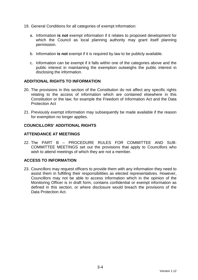- 19. General Conditions for all categories of exempt information:
	- a. Information **is not** exempt information if it relates to proposed development for which the Council as local planning authority may grant itself planning permission.
	- b. Information **is not** exempt if it is required by law to be publicly available.
	- c. Information can be exempt if it falls within one of the categories above and the public interest in maintaining the exemption outweighs the public interest in disclosing the information.

#### **ADDITIONAL RIGHTS TO INFORMATION**

- 20. The provisions in this section of the Constitution do not affect any specific rights relating to the access of information which are contained elsewhere in this Constitution or the law; for example the Freedom of Information Act and the Data Protection Act
- 21. Previously exempt information may subsequently be made available if the reason for exemption no longer applies.

#### **COUNCILLORS' ADDITIONAL RIGHTS**

#### **ATTENDANCE AT MEETINGS**

22. The PART B – PROCEDURE RULES FOR COMMITTEE AND SUB-COMMITTEE MEETINGS set out the provisions that apply to Councillors who wish to attend meetings of which they are not a member.

#### **ACCESS TO INFORMATION**

23. Councillors may request officers to provide them with any information they need to assist them in fulfilling their responsibilities as elected representatives. However, Councillors may not be able to access information which in the opinion of the Monitoring Officer is in draft form, contains confidential or exempt information as defined in this section, or where disclosure would breach the provisions of the Data Protection Act.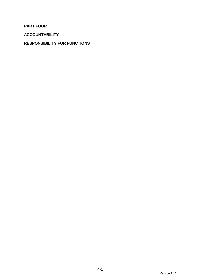**PART FOUR** 

**ACCOUNTABILITY** 

# **RESPONSIBILITY FOR FUNCTIONS**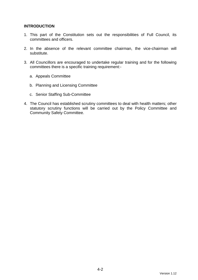#### **INTRODUCTION**

- 1. This part of the Constitution sets out the responsibilities of Full Council, its committees and officers.
- 2. In the absence of the relevant committee chairman, the vice-chairman will substitute.
- 3. All Councillors are encouraged to undertake regular training and for the following committees there is a specific training requirement:
	- a. Appeals Committee
	- b. Planning and Licensing Committee
	- c. Senior Staffing Sub-Committee
- 4. The Council has established scrutiny committees to deal with health matters; other statutory scrutiny functions will be carried out by the Policy Committee and Community Safety Committee.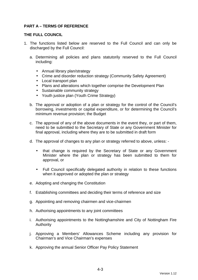### **PART A – TERMS OF REFERENCE**

#### **THE FULL COUNCIL**

- 1. The functions listed below are reserved to the Full Council and can only be discharged by the Full Council:
	- a. Determining all policies and plans statutorily reserved to the Full Council including:
		- Annual library plan/strategy
		- Crime and disorder reduction strategy (Community Safety Agreement)
		- Local transport plan
		- Plans and alterations which together comprise the Development Plan
		- Sustainable community strategy
		- Youth justice plan (Youth Crime Strategy)
	- b. The approval or adoption of a plan or strategy for the control of the Council's borrowing, investments or capital expenditure, or for determining the Council's minimum revenue provision; the Budget
	- c. The approval of any of the above documents in the event they, or part of them, need to be submitted to the Secretary of State or any Government Minister for final approval, including where they are to be submitted in draft form
	- d. The approval of changes to any plan or strategy referred to above, unless:
		- that change is required by the Secretary of State or any Government Minister where the plan or strategy has been submitted to them for approval, or
		- Full Council specifically delegated authority in relation to these functions when it approved or adopted the plan or strategy
	- e. Adopting and changing the Constitution
	- f. Establishing committees and deciding their terms of reference and size
	- g. Appointing and removing chairmen and vice-chairmen
	- h. Authorising appointments to any joint committees
	- i. Authorising appointments to the Nottinghamshire and City of Nottingham Fire Authority
	- j. Approving a Members' Allowances Scheme including any provision for Chairman's and Vice Chairman's expenses
	- k. Approving the annual Senior Officer Pay Policy Statement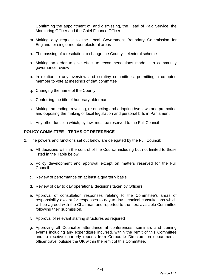- l. Confirming the appointment of, and dismissing, the Head of Paid Service, the Monitoring Officer and the Chief Finance Officer
- m. Making any request to the Local Government Boundary Commission for England for single-member electoral areas
- n. The passing of a resolution to change the County's electoral scheme
- o. Making an order to give effect to recommendations made in a community governance review
- p. In relation to any overview and scrutiny committees, permitting a co-opted member to vote at meetings of that committee
- q. Changing the name of the County
- r. Conferring the title of honorary alderman
- s. Making, amending, revoking, re-enacting and adopting bye-laws and promoting and opposing the making of local legislation and personal bills in Parliament
- t. Any other function which, by law, must be reserved to the Full Council

#### **POLICY COMMITTEE – TERMS OF REFERENCE**

- 2. The powers and functions set out below are delegated by the Full Council:
	- a. All decisions within the control of the Council including but not limited to those listed in the Table below
	- b. Policy development and approval except on matters reserved for the Full Council
	- c. Review of performance on at least a quarterly basis
	- d. Review of day to day operational decisions taken by Officers
	- e. Approval of consultation responses relating to the Committee's areas of responsibility except for responses to day-to-day technical consultations which will be agreed with the Chairman and reported to the next available Committee following their submission.
	- f. Approval of relevant staffing structures as required
	- g. Approving all Councillor attendance at conferences, seminars and training events including any expenditure incurred, within the remit of this Committee and to receive quarterly reports from Corporate Directors on departmental officer travel outside the UK within the remit of this Committee.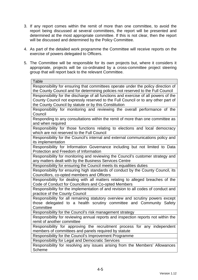- 3. If any report comes within the remit of more than one committee, to avoid the report being discussed at several committees, the report will be presented and determined at the most appropriate committee. If this is not clear, then the report will be discussed and determined by the Policy Committee.
- 4. As part of the detailed work programme the Committee will receive reports on the exercise of powers delegated to Officers.
- 5. The Committee will be responsible for its own projects but, where it considers it appropriate, projects will be co-ordinated by a cross-committee project steering group that will report back to the relevant Committee.

| <b>Table</b>                                                                        |  |
|-------------------------------------------------------------------------------------|--|
| Responsibility for ensuring that committees operate under the policy direction of   |  |
| the County Council and for determining policies not reserved to the Full Council    |  |
| Responsibility for the discharge of all functions and exercise of all powers of the |  |
| County Council not expressly reserved to the Full Council or to any other part of   |  |
| the County Council by statute or by this Constitution                               |  |
| Responsibility for monitoring and reviewing the overall performance of the          |  |
| Council                                                                             |  |
| Responding to any consultations within the remit of more than one committee as      |  |
| and when required                                                                   |  |
| Responsibility for those functions relating to elections and local democracy        |  |
| which are not reserved to the Full Council                                          |  |
| Responsibility for the Council's internal and external communications policy and    |  |
| its implementation                                                                  |  |
| Responsibility for Information Governance including but not limited to Data         |  |
| Protection and Freedom of Information                                               |  |
| Responsibility for monitoring and reviewing the Council's customer strategy and     |  |
| any matters dealt with by the Business Services Centre                              |  |
| Responsibility for ensuring the Council meets its equalities duties                 |  |
| Responsibility for ensuring high standards of conduct by the County Council, its    |  |
| Councillors, co-opted members and Officers                                          |  |
| Responsibility for dealing with all matters relating to alleged breaches of the     |  |
| Code of Conduct for Councillors and Co-opted Members                                |  |
| Responsibility for the implementation of and revision to all codes of conduct and   |  |
| practice of the County Council                                                      |  |
| Responsibility for all remaining statutory overview and scrutiny powers except      |  |
| those delegated to a health scrutiny committee and Community Safety                 |  |
| Committee                                                                           |  |
| Responsibility for the Council's risk management strategy                           |  |
| Responsibility for reviewing annual reports and inspection reports not within the   |  |
| remit of another committee                                                          |  |
| Responsibility for approving the recruitment process for any independent            |  |
| members of committees and panels required by statute                                |  |
| Responsibility for the Council's Improvement Programme                              |  |
| Responsibility for Legal and Democratic Services                                    |  |
| Responsibility for resolving any issues arising from the Members' Allowances        |  |
| <b>Scheme</b>                                                                       |  |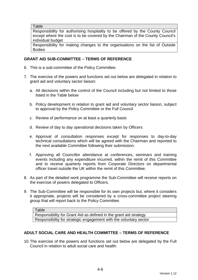**Table** 

Responsibility for authorising hospitality to be offered by the County Council except where the cost is to be covered by the Chairman of the County Council's individual budget

Responsibility for making changes to the organisations on the list of Outside Bodies

#### **GRANT AID SUB-COMMITTEE – TERMS OF REFERENCE**

- 6. This is a sub-committee of the Policy Committee.
- 7. The exercise of the powers and functions set out below are delegated in relation to grant aid and voluntary sector liaison:
	- a. All decisions within the control of the Council including but not limited to those listed in the Table below
	- b. Policy development in relation to grant aid and voluntary sector liaison, subject to approval by the Policy Committee or the Full Council
	- c. Review of performance on at least a quarterly basis
	- d. Review of day to day operational decisions taken by Officers
	- e. Approval of consultation responses except for responses to day-to-day technical consultations which will be agreed with the Chairman and reported to the next available Committee following their submission.
	- f. Approving all Councillor attendance at conferences, seminars and training events including any expenditure incurred, within the remit of this Committee and to receive quarterly reports from Corporate Directors on departmental officer travel outside the UK within the remit of this Committee.
- 8. As part of the detailed work programme the Sub-Committee will receive reports on the exercise of powers delegated to Officers.
- 9. The Sub-Committee will be responsible for its own projects but, where it considers it appropriate, projects will be considered by a cross-committee project steering group that will report back to the Policy Committee.

Table Responsibility for Grant Aid as defined in the grant aid strategy Responsibility for strategic engagement with the voluntary sector

#### **ADULT SOCIAL CARE AND HEALTH COMMITTEE – TERMS OF REFERENCE**

10. The exercise of the powers and functions set out below are delegated by the Full Council in relation to adult social care and health: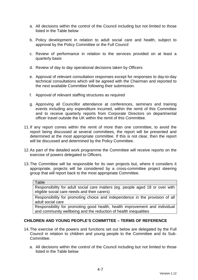- a. All decisions within the control of the Council including but not limited to those listed in the Table below
- b. Policy development in relation to adult social care and health, subject to approval by the Policy Committee or the Full Council
- c. Review of performance in relation to the services provided on at least a quarterly basis
- d. Review of day to day operational decisions taken by Officers
- e. Approval of relevant consultation responses except for responses to day-to-day technical consultations which will be agreed with the Chairman and reported to the next available Committee following their submission.
- f. Approval of relevant staffing structures as required
- g. Approving all Councillor attendance at conferences, seminars and training events including any expenditure incurred, within the remit of this Committee and to receive quarterly reports from Corporate Directors on departmental officer travel outside the UK within the remit of this Committee.
- 11. If any report comes within the remit of more than one committee, to avoid the report being discussed at several committees, the report will be presented and determined at the most appropriate committee. If this is not clear, then the report will be discussed and determined by the Policy Committee.
- 12. As part of the detailed work programme the Committee will receive reports on the exercise of powers delegated to Officers.
- 13. The Committee will be responsible for its own projects but, where it considers it appropriate, projects will be considered by a cross-committee project steering group that will report back to the most appropriate Committee.

#### **Table**

Responsibility for adult social care matters (eg. people aged 18 or over with eligible social care needs and their carers)

Responsibility for promoting choice and independence in the provision of all adult social care

Responsibility for promoting good health, health improvement and individual and community wellbeing and the reduction of health inequalities

#### **CHILDREN AND YOUNG PEOPLE'S COMMITTEE – TERMS OF REFERENCE**

- 14. The exercise of the powers and functions set out below are delegated by the Full Council in relation to children and young people to the Committee and its Sub-Committee.
	- a. All decisions within the control of the Council including but not limited to those listed in the Table below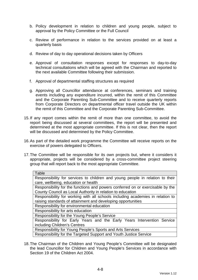- b. Policy development in relation to children and young people, subject to approval by the Policy Committee or the Full Council
- c. Review of performance in relation to the services provided on at least a quarterly basis
- d. Review of day to day operational decisions taken by Officers
- e. Approval of consultation responses except for responses to day-to-day technical consultations which will be agreed with the Chairman and reported to the next available Committee following their submission.
- f. Approval of departmental staffing structures as required
- g. Approving all Councillor attendance at conferences, seminars and training events including any expenditure incurred, within the remit of this Committee and the Corporate Parenting Sub-Committee and to receive quarterly reports from Corporate Directors on departmental officer travel outside the UK within the remit of this Committee and the Corporate Parenting Sub-Committee.
- 15. If any report comes within the remit of more than one committee, to avoid the report being discussed at several committees, the report will be presented and determined at the most appropriate committee. If this is not clear, then the report will be discussed and determined by the Policy Committee.
- 16. As part of the detailed work programme the Committee will receive reports on the exercise of powers delegated to Officers.
- 17. The Committee will be responsible for its own projects but, where it considers it appropriate, projects will be considered by a cross-committee project steering group that will report back to the most appropriate Committee.

| Table                                                                          |
|--------------------------------------------------------------------------------|
| Responsibility for services to children and young people in relation to their  |
| care, wellbeing, education or health                                           |
| Responsibility for the functions and powers conferred on or exercisable by the |
| County Council as Local Authority in relation to education                     |
| Responsibility for working with all schools including academies in relation to |
| raising standards of attainment and developing opportunities                   |
| Responsibility for environmental education                                     |
| Responsibility for arts education                                              |
| Responsibility for the Young People's Service                                  |
| Responsibility for Early Years and the Early Years Intervention Service        |
| including Children's Centres                                                   |
| Responsibility for Young People's Sports and Arts Services                     |
| Responsibility for the Targeted Support and Youth Justice Service              |

18. The Chairman of the Children and Young People's Committee will be designated the lead Councillor for Children and Young People's Services in accordance with Section 19 of the Children Act 2004.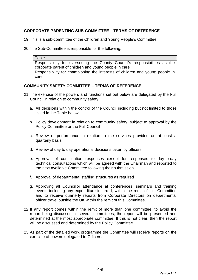### **CORPORATE PARENTING SUB-COMMITTEE – TERMS OF REFERENCE**

19. This is a sub-committee of the Children and Young People's Committee

20. The Sub-Committee is responsible for the following:

Table Responsibility for overseeing the County Council's responsibilities as the corporate parent of children and young people in care Responsibility for championing the interests of children and young people in care

#### **COMMUNITY SAFETY COMMITTEE – TERMS OF REFERENCE**

- 21. The exercise of the powers and functions set out below are delegated by the Full Council in relation to community safety:
	- a. All decisions within the control of the Council including but not limited to those listed in the Table below
	- b. Policy development in relation to community safety, subject to approval by the Policy Committee or the Full Council
	- c. Review of performance in relation to the services provided on at least a quarterly basis
	- d. Review of day to day operational decisions taken by officers
	- e. Approval of consultation responses except for responses to day-to-day technical consultations which will be agreed with the Chairman and reported to the next available Committee following their submission.
	- f. Approval of departmental staffing structures as required
	- g. Approving all Councillor attendance at conferences, seminars and training events including any expenditure incurred, within the remit of this Committee and to receive quarterly reports from Corporate Directors on departmental officer travel outside the UK within the remit of this Committee.
- 22. If any report comes within the remit of more than one committee, to avoid the report being discussed at several committees, the report will be presented and determined at the most appropriate committee. If this is not clear, then the report will be discussed and determined by the Policy Committee.
- 23. As part of the detailed work programme the Committee will receive reports on the exercise of powers delegated to Officers.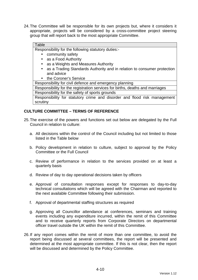24. The Committee will be responsible for its own projects but, where it considers it appropriate, projects will be considered by a cross-committee project steering group that will report back to the most appropriate Committee.

#### Table

Responsibility for the following statutory duties:-

- community safety
- as a Food Authority
- as a Weights and Measures Authority
- as a Trading Standards Authority and in relation to consumer protection and advice
- the Coroner's Service

Responsibility for civil defence and emergency planning

Responsibility for the registration services for births, deaths and marriages

Responsibility for the safety of sports grounds

Responsibility for statutory crime and disorder and flood risk management scrutiny

#### **CULTURE COMMITTEE – TERMS OF REFERENCE**

- 25. The exercise of the powers and functions set out below are delegated by the Full Council in relation to culture:
	- a. All decisions within the control of the Council including but not limited to those listed in the Table below
	- b. Policy development in relation to culture, subject to approval by the Policy Committee or the Full Council
	- c. Review of performance in relation to the services provided on at least a quarterly basis
	- d. Review of day to day operational decisions taken by officers
	- e. Approval of consultation responses except for responses to day-to-day technical consultations which will be agreed with the Chairman and reported to the next available Committee following their submission.
	- f. Approval of departmental staffing structures as required
	- g. Approving all Councillor attendance at conferences, seminars and training events including any expenditure incurred, within the remit of this Committee and to receive quarterly reports from Corporate Directors on departmental officer travel outside the UK within the remit of this Committee.
- 26. If any report comes within the remit of more than one committee, to avoid the report being discussed at several committees, the report will be presented and determined at the most appropriate committee. If this is not clear, then the report will be discussed and determined by the Policy Committee.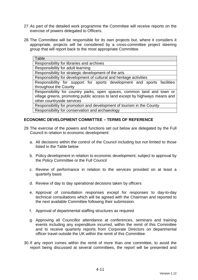- 27. As part of the detailed work programme the Committee will receive reports on the exercise of powers delegated to Officers.
- 28. The Committee will be responsible for its own projects but, where it considers it appropriate, projects will be considered by a cross-committee project steering group that will report back to the most appropriate Committee.

| Table                                                                        |
|------------------------------------------------------------------------------|
| Responsibility for libraries and archives                                    |
| Responsibility for adult learning                                            |
| Responsibility for strategic development of the arts                         |
| Responsibility for development of cultural and heritage activities           |
| Responsibility for support for sports development and sports facilities      |
| throughout the County                                                        |
| Responsibility for country parks, open spaces, common land and town or       |
| village greens, promoting public access to land except by highways means and |
| other countryside services                                                   |
| Responsibility for promotion and development of tourism in the County        |
| Responsibility for conservation and archaeology                              |

#### **ECONOMIC DEVELOPMENT COMMITTEE – TERMS OF REFERENCE**

- 29. The exercise of the powers and functions set out below are delegated by the Full Council in relation to economic development:
	- a. All decisions within the control of the Council including but not limited to those listed in the Table below
	- b. Policy development in relation to economic development, subject to approval by the Policy Committee or the Full Council
	- c. Review of performance in relation to the services provided on at least a quarterly basis
	- d. Review of day to day operational decisions taken by officers
	- e. Approval of consultation responses except for responses to day-to-day technical consultations which will be agreed with the Chairman and reported to the next available Committee following their submission.
	- f. Approval of departmental staffing structures as required
	- g. Approving all Councillor attendance at conferences, seminars and training events including any expenditure incurred, within the remit of this Committee and to receive quarterly reports from Corporate Directors on departmental officer travel outside the UK within the remit of this Committee.
- 30. If any report comes within the remit of more than one committee, to avoid the report being discussed at several committees, the report will be presented and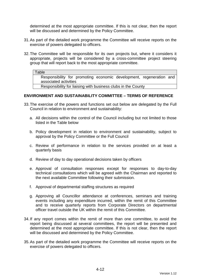determined at the most appropriate committee. If this is not clear, then the report will be discussed and determined by the Policy Committee.

- 31. As part of the detailed work programme the Committee will receive reports on the exercise of powers delegated to officers.
- 32. The Committee will be responsible for its own projects but, where it considers it appropriate, projects will be considered by a cross-committee project steering group that will report back to the most appropriate committee.

#### **Table**

Responsibility for promoting economic development, regeneration and associated activities

Responsibility for liaising with business clubs in the County

#### **ENVIRONMENT AND SUSTAINABILITY COMMITTEE – TERMS OF REFERENCE**

- 33. The exercise of the powers and functions set out below are delegated by the Full Council in relation to environment and sustainability:
	- a. All decisions within the control of the Council including but not limited to those listed in the Table below
	- b. Policy development in relation to environment and sustainability, subject to approval by the Policy Committee or the Full Council
	- c. Review of performance in relation to the services provided on at least a quarterly basis
	- d. Review of day to day operational decisions taken by officers
	- e. Approval of consultation responses except for responses to day-to-day technical consultations which will be agreed with the Chairman and reported to the next available Committee following their submission.
	- f. Approval of departmental staffing structures as required
	- g. Approving all Councillor attendance at conferences, seminars and training events including any expenditure incurred, within the remit of this Committee and to receive quarterly reports from Corporate Directors on departmental officer travel outside the UK within the remit of this Committee.
- 34. If any report comes within the remit of more than one committee, to avoid the report being discussed at several committees, the report will be presented and determined at the most appropriate committee. If this is not clear, then the report will be discussed and determined by the Policy Committee.
- 35. As part of the detailed work programme the Committee will receive reports on the exercise of powers delegated to officers.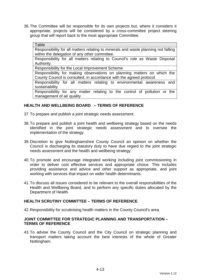36. The Committee will be responsible for its own projects but, where it considers it appropriate, projects will be considered by a cross-committee project steering group that will report back to the most appropriate Committee.

#### Table

Responsibility for all matters relating to minerals and waste planning not falling within the delegation of any other committee.

Responsibility for all matters relating to Council's role as Waste Disposal Authority.

Responsibility for the Local Improvement Scheme

Responsibility for making observations on planning matters on which the County Council is consulted, in accordance with the agreed protocol

Responsibility for all matters relating to environmental awareness and sustainability

Responsibility for any matter relating to the control of pollution or the management of air quality

#### **HEALTH AND WELLBEING BOARD – TERMS OF REFERENCE**

37. To prepare and publish a joint strategic needs assessment.

- 38. To prepare and publish a joint health and wellbeing strategy based on the needs identified in the joint strategic needs assessment and to oversee the implementation of the strategy.
- 39. Discretion to give Nottinghamshire County Council an opinion on whether the Council is discharging its statutory duty to have due regard to the joint strategic needs assessment and the health and wellbeing strategy.
- 40. To promote and encourage integrated working including joint commissioning in order to deliver cost effective services and appropriate choice. This includes providing assistance and advice and other support as appropriate, and joint working with services that impact on wider health determinants.
- 41. To discuss all issues considered to be relevant to the overall responsibilities of the Health and Wellbeing Board, and to perform any specific duties allocated by the Department of Health.

#### **HEALTH SCRUTINY COMMITTEE – TERMS OF REFERENCE**

42. Responsibility for scrutinising health matters in the County Council's area.

#### **JOINT COMMITTEE FOR STRATEGIC PLANNING AND TRANSPORTATION – TERMS OF REFERENCE**

43. To advise the County Council and the City Council on strategic planning and transport matters taking account the best interests of the whole of Greater Nottingham.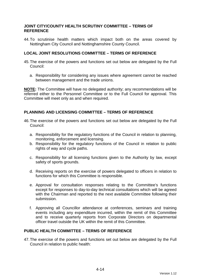#### **JOINT CITY/COUNTY HEALTH SCRUTINY COMMITTEE – TERMS OF REFERENCE**

44. To scrutinise health matters which impact both on the areas covered by Nottingham City Council and Nottinghamshire County Council.

#### **LOCAL JOINT RESOLUTIONS COMMITTEE – TERMS OF REFERENCE**

- 45. The exercise of the powers and functions set out below are delegated by the Full Council:
	- a. Responsibility for considering any issues where agreement cannot be reached between management and the trade unions.

**NOTE:** The Committee will have no delegated authority; any recommendations will be referred either to the Personnel Committee or to the Full Council for approval. This Committee will meet only as and when required.

#### **PLANNING AND LICENSING COMMITTEE – TERMS OF REFERENCE**

- 46. The exercise of the powers and functions set out below are delegated by the Full Council:
	- a. Responsibility for the regulatory functions of the Council in relation to planning, monitoring, enforcement and licensing.
	- b. Responsibility for the regulatory functions of the Council in relation to public rights of way and cycle paths.
	- c. Responsibility for all licensing functions given to the Authority by law, except safety of sports grounds.
	- d. Receiving reports on the exercise of powers delegated to officers in relation to functions for which this Committee is responsible.
	- e. Approval for consultation responses relating to the Committee's functions except for responses to day-to-day technical consultations which will be agreed with the Chairman and reported to the next available Committee following their submission.
	- f. Approving all Councillor attendance at conferences, seminars and training events including any expenditure incurred, within the remit of this Committee and to receive quarterly reports from Corporate Directors on departmental officer travel outside the UK within the remit of this Committee.

#### **PUBLIC HEALTH COMMITTEE – TERMS OF REFERENCE**

47. The exercise of the powers and functions set out below are delegated by the Full Council in relation to public health: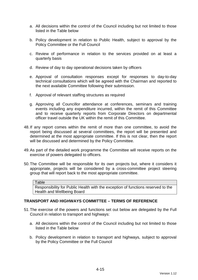- a. All decisions within the control of the Council including but not limited to those listed in the Table below
- b. Policy development in relation to Public Health, subject to approval by the Policy Committee or the Full Council
- c. Review of performance in relation to the services provided on at least a quarterly basis
- d. Review of day to day operational decisions taken by officers
- e. Approval of consultation responses except for responses to day-to-day technical consultations which will be agreed with the Chairman and reported to the next available Committee following their submission.
- f. Approval of relevant staffing structures as required
- g. Approving all Councillor attendance at conferences, seminars and training events including any expenditure incurred, within the remit of this Committee and to receive quarterly reports from Corporate Directors on departmental officer travel outside the UK within the remit of this Committee.
- 48. If any report comes within the remit of more than one committee, to avoid the report being discussed at several committees, the report will be presented and determined at the most appropriate committee. If this is not clear, then the report will be discussed and determined by the Policy Committee.
- 49. As part of the detailed work programme the Committee will receive reports on the exercise of powers delegated to officers.
- 50. The Committee will be responsible for its own projects but, where it considers it appropriate, projects will be considered by a cross-committee project steering group that will report back to the most appropriate committee.

#### **Table**

Responsibility for Public Health with the exception of functions reserved to the Health and Wellbeing Board

#### **TRANSPORT AND HIGHWAYS COMMITTEE – TERMS OF REFERENCE**

- 51. The exercise of the powers and functions set out below are delegated by the Full Council in relation to transport and highways:
	- a. All decisions within the control of the Council including but not limited to those listed in the Table below
	- b. Policy development in relation to transport and highways, subject to approval by the Policy Committee or the Full Council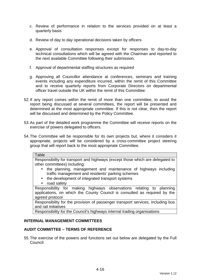- c. Review of performance in relation to the services provided on at least a quarterly basis
- d. Review of day to day operational decisions taken by officers
- e. Approval of consultation responses except for responses to day-to-day technical consultations which will be agreed with the Chairman and reported to the next available Committee following their submission.
- f. Approval of departmental staffing structures as required
- g. Approving all Councillor attendance at conferences, seminars and training events including any expenditure incurred, within the remit of this Committee and to receive quarterly reports from Corporate Directors on departmental officer travel outside the UK within the remit of this Committee.
- 52. If any report comes within the remit of more than one committee, to avoid the report being discussed at several committees, the report will be presented and determined at the most appropriate committee. If this is not clear, then the report will be discussed and determined by the Policy Committee.
- 53. As part of the detailed work programme the Committee will receive reports on the exercise of powers delegated to officers.
- 54. The Committee will be responsible for its own projects but, where it considers it appropriate, projects will be considered by a cross-committee project steering group that will report back to the most appropriate Committee.

#### **Table**

Responsibility for transport and highways (except those which are delegated to other committees) including:

- the planning, management and maintenance of highways including traffic management and residents' parking schemes
- the development of integrated transport systems
- road safety

Responsibility for making highways observations relating to planning applications, on which the County Council is consulted as required by the agreed protocol

Responsibility for the provision of passenger transport services, including bus and rail initiatives

Responsibility for the Council's highways internal trading organisations

#### **INTERNAL MANAGEMENT COMMITTEES**

#### **AUDIT COMMITTEE – TERMS OF REFERENCE**

55. The exercise of the powers and functions set out below are delegated by the Full Council: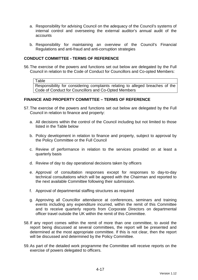- a. Responsibility for advising Council on the adequacy of the Council's systems of internal control and overseeing the external auditor's annual audit of the accounts
- b. Responsibility for maintaining an overview of the Council's Financial Regulations and anti-fraud and anti-corruption strategies

#### **CONDUCT COMMITTEE - TERMS OF REFERENCE**

56. The exercise of the powers and functions set out below are delegated by the Full Council in relation to the Code of Conduct for Councillors and Co-opted Members:

Table

Responsibility for considering complaints relating to alleged breaches of the Code of Conduct for Councillors and Co-Opted Members

## **FINANCE AND PROPERTY COMMITTEE – TERMS OF REFERENCE**

- 57. The exercise of the powers and functions set out below are delegated by the Full Council in relation to finance and property:
	- a. All decisions within the control of the Council including but not limited to those listed in the Table below
	- b. Policy development in relation to finance and property, subject to approval by the Policy Committee or the Full Council
	- c. Review of performance in relation to the services provided on at least a quarterly basis
	- d. Review of day to day operational decisions taken by officers
	- e. Approval of consultation responses except for responses to day-to-day technical consultations which will be agreed with the Chairman and reported to the next available Committee following their submission.
	- f. Approval of departmental staffing structures as required
	- g. Approving all Councillor attendance at conferences, seminars and training events including any expenditure incurred, within the remit of this Committee and to receive quarterly reports from Corporate Directors on departmental officer travel outside the UK within the remit of this Committee.
- 58. If any report comes within the remit of more than one committee, to avoid the report being discussed at several committees, the report will be presented and determined at the most appropriate committee. If this is not clear, then the report will be discussed and determined by the Policy Committee.
- 59. As part of the detailed work programme the Committee will receive reports on the exercise of powers delegated to officers.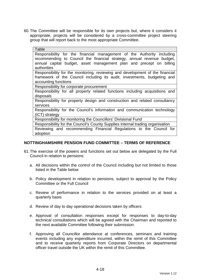60. The Committee will be responsible for its own projects but, where it considers it appropriate, projects will be considered by a cross-committee project steering group that will report back to the most appropriate Committee.

| Table                                                                                                                                                                                                                                  |
|----------------------------------------------------------------------------------------------------------------------------------------------------------------------------------------------------------------------------------------|
| Responsibility for the financial management of the Authority including<br>recommending to Council the financial strategy, annual revenue budget,<br>annual capital budget, asset management plan and precept on billing<br>authorities |
| Responsibility for the monitoring, reviewing and development of the financial<br>framework of the Council including its audit, investments, budgeting and<br>accounting functions                                                      |
| Responsibility for corporate procurement                                                                                                                                                                                               |
| Responsibility for all property related functions including acquisitions and<br>disposals                                                                                                                                              |
| Responsibility for property design and construction and related consultancy<br>services                                                                                                                                                |
| Responsibility for the Council's information and communication technology<br>(ICT) strategy                                                                                                                                            |
| Responsibility for monitoring the Councillors' Divisional Fund                                                                                                                                                                         |
| Responsibility for the Council's County Supplies internal trading organisation                                                                                                                                                         |
| Reviewing and recommending Financial Regulations to the Council for<br>adoption                                                                                                                                                        |

## **NOTTINGHAMSHIRE PENSION FUND COMMITTEE – TERMS OF REFERENCE**

- 61. The exercise of the powers and functions set out below are delegated by the Full Council in relation to pensions:
	- a. All decisions within the control of the Council including but not limited to those listed in the Table below
	- b. Policy development in relation to pensions, subject to approval by the Policy Committee or the Full Council
	- c. Review of performance in relation to the services provided on at least a quarterly basis
	- d. Review of day to day operational decisions taken by officers
	- e. Approval of consultation responses except for responses to day-to-day technical consultations which will be agreed with the Chairman and reported to the next available Committee following their submission.
	- f. Approving all Councillor attendance at conferences, seminars and training events including any expenditure incurred, within the remit of this Committee and to receive quarterly reports from Corporate Directors on departmental officer travel outside the UK within the remit of this Committee.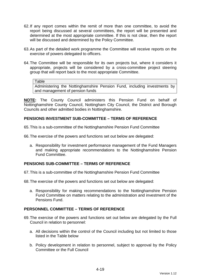- 62. If any report comes within the remit of more than one committee, to avoid the report being discussed at several committees, the report will be presented and determined at the most appropriate committee. If this is not clear, then the report will be discussed and determined by the Policy Committee.
- 63. As part of the detailed work programme the Committee will receive reports on the exercise of powers delegated to officers.
- 64. The Committee will be responsible for its own projects but, where it considers it appropriate, projects will be considered by a cross-committee project steering group that will report back to the most appropriate Committee.

#### Table

Administering the Nottinghamshire Pension Fund, including investments by and management of pension funds

**NOTE:** The County Council administers this Pension Fund on behalf of Nottinghamshire County Council, Nottingham City Council, the District and Borough Councils and other admitted bodies in Nottinghamshire.

## **PENSIONS INVESTMENT SUB-COMMITTEE – TERMS OF REFERENCE**

65. This is a sub-committee of the Nottinghamshire Pension Fund Committee

66. The exercise of the powers and functions set out below are delegated:

a. Responsibility for investment performance management of the Fund Managers and making appropriate recommendations to the Nottinghamshire Pension Fund Committee.

## **PENSIONS SUB-COMMITTEE – TERMS OF REFERENCE**

67. This is a sub-committee of the Nottinghamshire Pension Fund Committee

68. The exercise of the powers and functions set out below are delegated:

a. Responsibility for making recommendations to the Nottinghamshire Pension Fund Committee on matters relating to the administration and investment of the Pensions Fund.

#### **PERSONNEL COMMITTEE – TERMS OF REFERENCE**

- 69. The exercise of the powers and functions set out below are delegated by the Full Council in relation to personnel:
	- a. All decisions within the control of the Council including but not limited to those listed in the Table below
	- b. Policy development in relation to personnel, subject to approval by the Policy Committee or the Full Council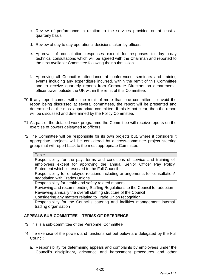- c. Review of performance in relation to the services provided on at least a quarterly basis
- d. Review of day to day operational decisions taken by officers
- e. Approval of consultation responses except for responses to day-to-day technical consultations which will be agreed with the Chairman and reported to the next available Committee following their submission.
- f. Approving all Councillor attendance at conferences, seminars and training events including any expenditure incurred, within the remit of this Committee and to receive quarterly reports from Corporate Directors on departmental officer travel outside the UK within the remit of this Committee.
- 70. If any report comes within the remit of more than one committee, to avoid the report being discussed at several committees, the report will be presented and determined at the most appropriate committee. If this is not clear, then the report will be discussed and determined by the Policy Committee.
- 71. As part of the detailed work programme the Committee will receive reports on the exercise of powers delegated to officers.
- 72. The Committee will be responsible for its own projects but, where it considers it appropriate, projects will be considered by a cross-committee project steering group that will report back to the most appropriate Committee.

| Table                                                                          |
|--------------------------------------------------------------------------------|
| Responsibility for the pay, terms and conditions of service and training of    |
| employees except for approving the annual Senior Officer Pay Policy            |
| Statement which is reserved to the Full Council                                |
| Responsibility for employee relations including arrangements for consultation/ |
| negotiation with Trades Unions                                                 |
| Responsibility for health and safety related matters                           |
| Reviewing and recommending Staffing Regulations to the Council for adoption    |
| Reviewing annually the overall staffing structure of the Council               |
| Considering any matters relating to Trade Union recognition                    |
| Responsibility for the Council's catering and facilities management internal   |
| trading organisation                                                           |

## **APPEALS SUB-COMMITTEE – TERMS OF REFERENCE**

- 73. This is a sub-committee of the Personnel Committee
- 74. The exercise of the powers and functions set out below are delegated by the Full Council:
	- a. Responsibility for determining appeals and complaints by employees under the Council's disciplinary, grievance and harassment procedures and other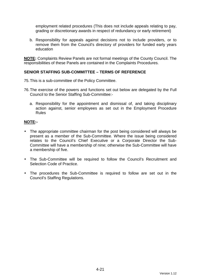employment related procedures (This does not include appeals relating to pay, grading or discretionary awards in respect of redundancy or early retirement)

b. Responsibility for appeals against decisions not to include providers, or to remove them from the Council's directory of providers for funded early years education

**NOTE:** Complaints Review Panels are not formal meetings of the County Council. The responsibilities of these Panels are contained in the Complaints Procedures.

## **SENIOR STAFFING SUB-COMMITTEE – TERMS OF REFERENCE**

- 75. This is a sub-committee of the Policy Committee.
- 76. The exercise of the powers and functions set out below are delegated by the Full Council to the Senior Staffing Sub-Committee:
	- a. Responsibility for the appointment and dismissal of, and taking disciplinary action against, senior employees as set out in the Employment Procedure Rules

## **NOTE:-**

- The appropriate committee chairman for the post being considered will always be present as a member of the Sub-Committee. Where the issue being considered relates to the Council's Chief Executive or a Corporate Director the Sub-Committee will have a membership of nine; otherwise the Sub-Committee will have a membership of five.
- The Sub-Committee will be required to follow the Council's Recruitment and Selection Code of Practice.
- The procedures the Sub-Committee is required to follow are set out in the Council's Staffing Regulations.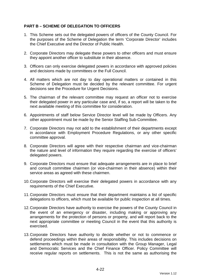# **PART B – SCHEME OF DELEGATION TO OFFICERS**

- 1. This Scheme sets out the delegated powers of officers of the County Council. For the purposes of the Scheme of Delegation the term 'Corporate Director' includes the Chief Executive and the Director of Public Health.
- 2. Corporate Directors may delegate these powers to other officers and must ensure they appoint another officer to substitute in their absence.
- 3. Officers can only exercise delegated powers in accordance with approved policies and decisions made by committees or the Full Council.
- 4. All matters which are not day to day operational matters or contained in this Scheme of Delegation must be decided by the relevant committee. For urgent decisions see the Procedure for Urgent Decisions.
- 5. The chairman of the relevant committee may request an officer not to exercise their delegated power in any particular case and, if so, a report will be taken to the next available meeting of this committee for consideration.
- 6. Appointments of staff below Service Director level will be made by Officers. Any other appointment must be made by the Senior Staffing Sub-Committee.
- 7. Corporate Directors may not add to the establishment of their departments except in accordance with Employment Procedure Regulations, or any other specific committee approval.
- 8. Corporate Directors will agree with their respective chairman and vice-chairman the nature and level of information they require regarding the exercise of officers' delegated powers.
- 9. Corporate Directors must ensure that adequate arrangements are in place to brief and consult committee chairmen (or vice-chairmen in their absence) within their service areas as agreed with these chairmen.
- 10. Corporate Directors will exercise their delegated powers in accordance with any requirements of the Chief Executive.
- 11. Corporate Directors must ensure that their department maintains a list of specific delegations to officers, which must be available for public inspection at all times.
- 12. Corporate Directors have authority to exercise the powers of the County Council in the event of an emergency or disaster, including making or approving any arrangements for the protection of persons or property, and will report back to the next appropriate committee or meeting Council in the event that this authority is exercised.
- 13. Corporate Directors have authority to decide whether or not to commence or defend proceedings within their areas of responsibility. This includes decisions on settlements which must be made in consultation with the Group Manager, Legal and Democratic Services and the Chief Finance Officer. Policy Committee will receive regular reports on settlements. This is not the same as authorising the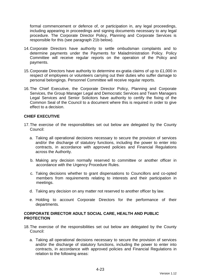formal commencement or defence of, or participation in, any legal proceedings, including appearing in proceedings and signing documents necessary to any legal procedure. The Corporate Director Policy, Planning and Corporate Services is responsible for this (see paragraph 21b below).

- 14. Corporate Directors have authority to settle ombudsman complaints and to determine payments under the Payments for Maladministration Policy. Policy Committee will receive regular reports on the operation of the Policy and payments.
- 15. Corporate Directors have authority to determine ex-gratia claims of up to £1,000 in respect of employees or volunteers carrying out their duties who suffer damage to personal belongings. Personnel Committee will receive regular reports.
- 16. The Chief Executive, the Corporate Director Policy, Planning and Corporate Services, the Group Manager Legal and Democratic Services and Team Managers Legal Services and Senior Solicitors have authority to certify the fixing of the Common Seal of the Council to a document where this is required in order to give effect to a decision.

# **CHIEF EXECUTIVE**

- 17. The exercise of the responsibilities set out below are delegated by the County Council:
	- a. Taking all operational decisions necessary to secure the provision of services and/or the discharge of statutory functions, including the power to enter into contracts, in accordance with approved policies and Financial Regulations across the Authority.
	- b. Making any decision normally reserved to committee or another officer in accordance with the Urgency Procedure Rules.
	- c. Taking decisions whether to grant dispensations to Councillors and co-opted members from requirements relating to interests and their participation in meetings.
	- d. Taking any decision on any matter not reserved to another officer by law.
	- e. Holding to account Corporate Directors for the performance of their departments.

# **CORPORATE DIRECTOR ADULT SOCIAL CARE, HEALTH AND PUBLIC PROTECTION**

- 18. The exercise of the responsibilities set out below are delegated by the County Council:
	- a. Taking all operational decisions necessary to secure the provision of services and/or the discharge of statutory functions, including the power to enter into contracts, in accordance with approved policies and Financial Regulations in relation to the following areas: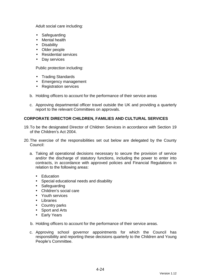Adult social care including:

- Safeguarding
- Mental health
- Disability
- Older people
- Residential services
- Day services

Public protection including:

- Trading Standards
- Emergency management
- Registration services
- b. Holding officers to account for the performance of their service areas
- c. Approving departmental officer travel outside the UK and providing a quarterly report to the relevant Committees on approvals.

# **CORPORATE DIRECTOR CHILDREN, FAMILIES AND CULTURAL SERVICES**

- 19. To be the designated Director of Children Services in accordance with Section 19 of the Children's Act 2004.
- 20. The exercise of the responsibilities set out below are delegated by the County Council:
	- a. Taking all operational decisions necessary to secure the provision of service and/or the discharge of statutory functions, including the power to enter into contracts, in accordance with approved policies and Financial Regulations in relation to the following areas:
		- Education
		- Special educational needs and disability
		- Safeguarding
		- Children's social care
		- Youth services
		- Libraries
		- Country parks
		- Sport and Arts
		- Early Years
	- b. Holding officers to account for the performance of their service areas.
	- c. Approving school governor appointments for which the Council has responsibility and reporting these decisions quarterly to the Children and Young People's Committee.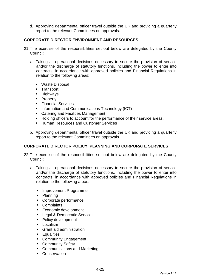d. Approving departmental officer travel outside the UK and providing a quarterly report to the relevant Committees on approvals.

# **CORPORATE DIRECTOR ENVIRONMENT AND RESOURCES**

- 21. The exercise of the responsibilities set out below are delegated by the County Council:
	- a. Taking all operational decisions necessary to secure the provision of service and/or the discharge of statutory functions, including the power to enter into contracts, in accordance with approved policies and Financial Regulations in relation to the following areas:
		- Waste Disposal
		- Transport
		- Highways
		- Property
		- Financial Services
		- Information and Communications Technology (ICT)
		- Catering and Facilities Management
		- Holding officers to account for the performance of their service areas.
		- Human Resources and Customer Services
	- b. Approving departmental officer travel outside the UK and providing a quarterly report to the relevant Committees on approvals.

## **CORPORATE DIRECTOR POLICY, PLANNING AND CORPORATE SERVICES**

- 22. The exercise of the responsibilities set out below are delegated by the County Council:
	- a. Taking all operational decisions necessary to secure the provision of service and/or the discharge of statutory functions, including the power to enter into contracts, in accordance with approved policies and Financial Regulations in relation to the following areas:
		- Improvement Programme
		- Planning
		- Corporate performance
		- Complaints
		- Economic development
		- Legal & Democratic Services
		- Policy development
		- Localism
		- Grant aid administration
		- Equalities
		- Community Engagement
		- Community Safety
		- Communications and Marketing
		- Conservation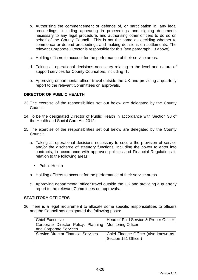- b. Authorising the commencement or defence of, or participation in, any legal proceedings, including appearing in proceedings and signing documents necessary to any legal procedure, and authorising other officers to do so on behalf of the County Council. This is not the same as deciding whether to commence or defend proceedings and making decisions on settlements. The relevant Corporate Director is responsible for this (see paragraph 13 above).
- c. Holding officers to account for the performance of their service areas.
- d. Taking all operational decisions necessary relating to the level and nature of support services for County Councillors, including IT.
- e. Approving departmental officer travel outside the UK and providing a quarterly report to the relevant Committees on approvals.

## **DIRECTOR OF PUBLIC HEALTH**

- 23. The exercise of the responsibilities set out below are delegated by the County Council:
- 24. To be the designated Director of Public Health in accordance with Section 30 of the Health and Social Care Act 2012.
- 25. The exercise of the responsibilities set out below are delegated by the County Council:
	- a. Taking all operational decisions necessary to secure the provision of service and/or the discharge of statutory functions, including the power to enter into contracts, in accordance with approved policies and Financial Regulations in relation to the following areas:
		- Public Health
	- b. Holding officers to account for the performance of their service areas.
	- c. Approving departmental officer travel outside the UK and providing a quarterly report to the relevant Committees on approvals.

## **STATUTORY OFFICERS**

26. There is a legal requirement to allocate some specific responsibilities to officers and the Council has designated the following posts:

| Chief Executive                                          | Head of Paid Service & Proper Officer |
|----------------------------------------------------------|---------------------------------------|
| Corporate Director Policy, Planning   Monitoring Officer |                                       |
| and Corporate Services                                   |                                       |
| <b>Service Director Financial Services</b>               | Chief Finance Officer (also known as  |
|                                                          | Section 151 Officer)                  |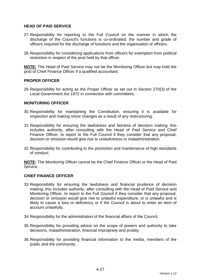# **HEAD OF PAID SERVICE**

- 27. Responsibility for reporting to the Full Council on the manner in which the discharge of the Council's functions is co-ordinated, the number and grade of officers required for the discharge of functions and the organisation of officers.
- 28. Responsibility for considering applications from officers for exemption from political restriction in respect of the post held by that officer.

**NOTE:** The Head of Paid Service may not be the Monitoring Officer but may hold the post of Chief Finance Officer if a qualified accountant.

## **PROPER OFFICER**

29. Responsibility for acting as the Proper Officer as set out in Section 270(3) of the Local Government Act 1972 in connection with committees.

## **MONITORING OFFICER**

- 30. Responsibility for maintaining the Constitution, ensuring it is available for inspection and making minor changes as a result of any restructuring.
- 31. Responsibility for ensuring the lawfulness and fairness of decision making; this includes authority, after consulting with the Head of Paid Service and Chief Finance Officer, to report to the Full Council if they consider that any proposal, decision or omission would give rise to unlawfulness or maladministration.
- 32. Responsibility for contributing to the promotion and maintenance of high standards of conduct.

**NOTE:** The Monitoring Officer cannot be the Chief Finance Officer or the Head of Paid Service.

## **CHIEF FINANCE OFFICER**

- 33. Responsibility for ensuring the lawfulness and financial prudence of decision making; this includes authority, after consulting with the Head of Paid Service and Monitoring Officer, to report to the Full Council if they consider that any proposal, decision or omission would give rise to unlawful expenditure, or is unlawful and is likely to cause a loss or deficiency or if the Council is about to enter an item of account unlawfully.
- 34. Responsibility for the administration of the financial affairs of the Council.
- 35. Responsibility for providing advice on the scope of powers and authority to take decisions, maladministration, financial impropriety and probity.
- 36. Responsibility for providing financial information to the media, members of the public and the community.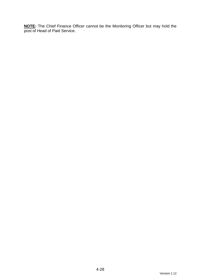**NOTE:** The Chief Finance Officer cannot be the Monitoring Officer but may hold the post of Head of Paid Service.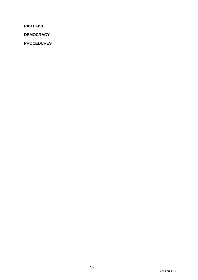**PART FIVE** 

**DEMOCRACY** 

**PROCEDURES**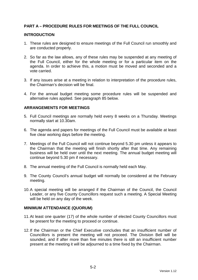# **PART A – PROCEDURE RULES FOR MEETINGS OF THE FULL COUNCIL**

#### **INTRODUCTION**

- 1. These rules are designed to ensure meetings of the Full Council run smoothly and are conducted properly.
- 2. So far as the law allows, any of these rules may be suspended at any meeting of the Full Council, either for the whole meeting or for a particular item on the agenda. In order to achieve this, a motion must be moved and seconded and a vote carried.
- 3. If any issues arise at a meeting in relation to interpretation of the procedure rules, the Chairman's decision will be final.
- 4. For the annual budget meeting some procedure rules will be suspended and alternative rules applied. See paragraph 85 below.

## **ARRANGEMENTS FOR MEETINGS**

- 5. Full Council meetings are normally held every 8 weeks on a Thursday. Meetings normally start at 10.30am.
- 6. The agenda and papers for meetings of the Full Council must be available at least five clear working days before the meeting.
- 7. Meetings of the Full Council will not continue beyond 5.30 pm unless it appears to the Chairman that the meeting will finish shortly after that time. Any remaining business will be held over until the next meeting. The annual budget meeting will continue beyond 5.30 pm if necessary.
- 8. The annual meeting of the Full Council is normally held each May.
- 9. The County Council's annual budget will normally be considered at the February meeting.
- 10. A special meeting will be arranged if the Chairman of the Council, the Council Leader, or any five County Councillors request such a meeting. A Special Meeting will be held on any day of the week.

#### **MINIMUM ATTENDANCE (QUORUM)**

- 11. At least one quarter (17) of the whole number of elected County Councillors must be present for the meeting to proceed or continue.
- 12. If the Chairman or the Chief Executive concludes that an insufficient number of Councillors is present the meeting will not proceed. The Division Bell will be sounded, and if after more than five minutes there is still an insufficient number present at the meeting it will be adjourned to a time fixed by the Chairman.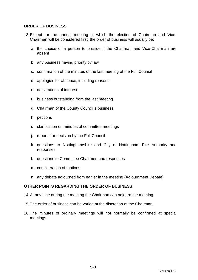### **ORDER OF BUSINESS**

- 13. Except for the annual meeting at which the election of Chairman and Vice-Chairman will be considered first, the order of business will usually be:
	- a. the choice of a person to preside if the Chairman and Vice-Chairman are absent
	- b. any business having priority by law
	- c. confirmation of the minutes of the last meeting of the Full Council
	- d. apologies for absence, including reasons
	- e. declarations of interest
	- f. business outstanding from the last meeting
	- g. Chairman of the County Council's business
	- h. petitions
	- i. clarification on minutes of committee meetings
	- j. reports for decision by the Full Council
	- k. questions to Nottinghamshire and City of Nottingham Fire Authority and responses
	- l. questions to Committee Chairmen and responses
	- m. consideration of motions
	- n. any debate adjourned from earlier in the meeting (Adjournment Debate)

## **OTHER POINTS REGARDING THE ORDER OF BUSINESS**

- 14. At any time during the meeting the Chairman can adjourn the meeting.
- 15. The order of business can be varied at the discretion of the Chairman.
- 16. The minutes of ordinary meetings will not normally be confirmed at special meetings.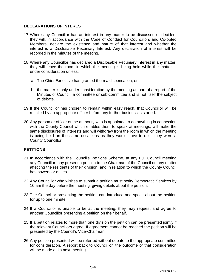# **DECLARATIONS OF INTEREST**

- 17. Where any Councillor has an interest in any matter to be discussed or decided, they will, in accordance with the Code of Conduct for Councillors and Co-opted Members, declare the existence and nature of that interest and whether the interest is a Disclosable Pecuniary Interest. Any declaration of interest will be recorded in the minutes of the meeting.
- 18. Where any Councillor has declared a Disclosable Pecuniary Interest in any matter, they will leave the room in which the meeting is being held while the matter is under consideration unless:
	- a. The Chief Executive has granted them a dispensation; or
	- b. the matter is only under consideration by the meeting as part of a report of the Minutes of Council, a committee or sub-committee and is not itself the subject of debate.
- 19. If the Councillor has chosen to remain within easy reach, that Councillor will be recalled by an appropriate officer before any further business is started.
- 20. Any person or officer of the authority who is appointed to do anything in connection with the County Council which enables them to speak at meetings, will make the same disclosures of interests and will withdraw from the room in which the meeting is being held on the same occasions as they would have to do if they were a County Councillor.

# **PETITIONS**

- 21. In accordance with the Council's Petitions Scheme, at any Full Council meeting any Councillor may present a petition to the Chairman of the Council on any matter affecting the residents of their division, and in relation to which the County Council has powers or duties.
- 22. Any Councillor who wishes to submit a petition must notify Democratic Services by 10 am the day before the meeting, giving details about the petition.
- 23. The Councillor presenting the petition can introduce and speak about the petition for up to one minute.
- 24. If a Councillor is unable to be at the meeting, they may request and agree to another Councillor presenting a petition on their behalf.
- 25. If a petition relates to more than one division the petition can be presented jointly if the relevant Councillors agree. If agreement cannot be reached the petition will be presented by the Council's Vice-Chairman.
- 26. Any petition presented will be referred without debate to the appropriate committee for consideration. A report back to Council on the outcome of that consideration will be made at its next meeting.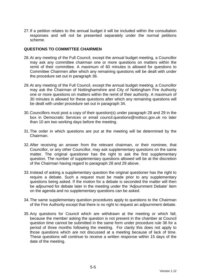27. If a petition relates to the annual budget it will be included within the consultation responses and will not be presented separately under the normal petitions scheme.

#### **QUESTIONS TO COMMITTEE CHAIRMEN**

- 28. At any meeting of the Full Council, except the annual budget meeting, a Councillor may ask any committee chairman one or more questions on matters within the remit of their committee. A maximum of 60 minutes is allowed for questions to Committee Chairmen after which any remaining questions will be dealt with under the procedure set out in paragraph 36.
- 29. At any meeting of the Full Council, except the annual budget meeting, a Councillor may ask the Chairman of Nottinghamshire and City of Nottingham Fire Authority one or more questions on matters within the remit of their authority. A maximum of 30 minutes is allowed for these questions after which any remaining questions will be dealt with under procedure set out in paragraph 34.
- 30. Councillors must post a copy of their question(s) under paragraph 28 and 29 in the box in Democratic Services or email council.questions@nottscc.gov.uk no later than 10 am two working days before the meeting.
- 31. The order in which questions are put at the meeting will be determined by the Chairman.
- 32. After receiving an answer from the relevant chairman, or their nominee, that Councillor, or any other Councillor, may ask supplementary questions on the same matter. The original questioner has the right to ask the first supplementary question. The number of supplementary questions allowed will be at the discretion of the Chairman having regard to paragraph 28 and 29 above.
- 33. Instead of asking a supplementary question the original questioner has the right to require a debate. Such a request must be made prior to any supplementary questions being asked. If the motion for a debate is seconded the matter will then be adjourned for debate later in the meeting under the 'Adjournment Debate' item on the agenda and no supplementary questions can be asked.
- 34. The same supplementary question procedures apply to questions to the Chairman of the Fire Authority except that there is no right to request an adjournment debate.
- 35. Any questions for Council which are withdrawn at the meeting or which fall, because the member asking the question is not present in the chamber at Council question time cannot be submitted in the same form under procedure rule 36 for a period of three months following the meeting. For clarity this does not apply to those questions which are not discussed at a meeting because of lack of time. These questions will continue to receive a written response within 15 days of the date of the meeting.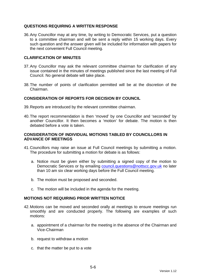# **QUESTIONS REQUIRING A WRITTEN RESPONSE**

36. Any Councillor may at any time, by writing to Democratic Services, put a question to a committee chairman and will be sent a reply within 15 working days. Every such question and the answer given will be included for information with papers for the next convenient Full Council meeting.

## **CLARIFICATION OF MINUTES**

- 37. Any Councillor may ask the relevant committee chairman for clarification of any issue contained in the minutes of meetings published since the last meeting of Full Council. No general debate will take place.
- 38. The number of points of clarification permitted will be at the discretion of the Chairman.

# **CONSIDERATION OF REPORTS FOR DECISION BY COUNCIL**

- 39. Reports are introduced by the relevant committee chairman.
- 40. The report recommendation is then 'moved' by one Councillor and 'seconded' by another Councillor. It then becomes a 'motion' for debate. The motion is then debated before a vote is taken.

## **CONSIDERATION OF INDIVIDUAL MOTIONS TABLED BY COUNCILLORS IN ADVANCE OF MEETINGS**

- 41. Councillors may raise an issue at Full Council meetings by submitting a motion. The procedure for submitting a motion for debate is as follows:
	- a. Notice must be given either by submitting a signed copy of the motion to Democratic Services or by emailing council.questions@nottscc.gov.uk no later than 10 am six clear working days before the Full Council meeting.
	- b. The motion must be proposed and seconded.
	- c. The motion will be included in the agenda for the meeting.

## **MOTIONS NOT REQUIRING PRIOR WRITTEN NOTICE**

- 42. Motions can be moved and seconded orally at meetings to ensure meetings run smoothly and are conducted properly. The following are examples of such motions:
	- a. appointment of a chairman for the meeting in the absence of the Chairman and Vice-Chairman
	- b. request to withdraw a motion
	- c. that the matter be put to a vote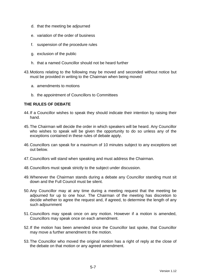- d. that the meeting be adjourned
- e. variation of the order of business
- f. suspension of the procedure rules
- g. exclusion of the public
- h. that a named Councillor should not be heard further
- 43. Motions relating to the following may be moved and seconded without notice but must be provided in writing to the Chairman when being moved
	- a. amendments to motions
	- b. the appointment of Councillors to Committees

## **THE RULES OF DEBATE**

- 44. If a Councillor wishes to speak they should indicate their intention by raising their hand.
- 45. The Chairman will decide the order in which speakers will be heard. Any Councillor who wishes to speak will be given the opportunity to do so unless any of the exceptions contained in these rules of debate apply.
- 46. Councillors can speak for a maximum of 10 minutes subject to any exceptions set out below.
- 47. Councillors will stand when speaking and must address the Chairman.
- 48. Councillors must speak strictly to the subject under discussion.
- 49. Whenever the Chairman stands during a debate any Councillor standing must sit down and the Full Council must be silent.
- 50. Any Councillor may at any time during a meeting request that the meeting be adjourned for up to one hour. The Chairman of the meeting has discretion to decide whether to agree the request and, if agreed, to determine the length of any such adjournment
- 51. Councillors may speak once on any motion. However if a motion is amended, Councillors may speak once on each amendment.
- 52. If the motion has been amended since the Councillor last spoke, that Councillor may move a further amendment to the motion.
- 53. The Councillor who moved the original motion has a right of reply at the close of the debate on that motion or any agreed amendment.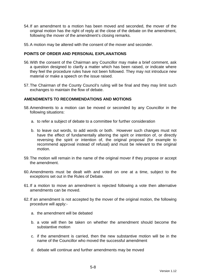- 54. If an amendment to a motion has been moved and seconded, the mover of the original motion has the right of reply at the close of the debate on the amendment, following the mover of the amendment's closing remarks.
- 55. A motion may be altered with the consent of the mover and seconder.

## **POINTS OF ORDER AND PERSONAL EXPLANATIONS**

- 56. With the consent of the Chairman any Councillor may make a brief comment, ask a question designed to clarify a matter which has been raised, or indicate where they feel the procedure rules have not been followed. They may not introduce new material or make a speech on the issue raised.
- 57. The Chairman of the County Council's ruling will be final and they may limit such exchanges to maintain the flow of debate.

# **AMENDMENTS TO RECOMMENDATIONS AND MOTIONS**

- 58. Amendments to a motion can be moved or seconded by any Councillor in the following situations:
	- a. to refer a subject of debate to a committee for further consideration
	- b. to leave out words, to add words or both. However such changes must not have the effect of fundamentally altering the spirit or intention of, or directly reversing the spirit or intention of, the original proposal (for example to recommend approval instead of refusal) and must be relevant to the original motion.
- 59. The motion will remain in the name of the original mover if they propose or accept the amendment.
- 60. Amendments must be dealt with and voted on one at a time, subject to the exceptions set out in the Rules of Debate.
- 61. If a motion to move an amendment is rejected following a vote then alternative amendments can be moved.
- 62. If an amendment is not accepted by the mover of the original motion, the following procedure will apply:
	- a. the amendment will be debated
	- b. a vote will then be taken on whether the amendment should become the substantive motion
	- c. if the amendment is carried, then the new substantive motion will be in the name of the Councillor who moved the successful amendment
	- d. debate will continue and further amendments may be moved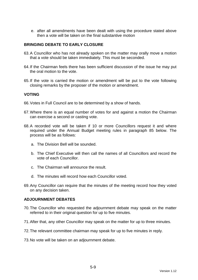e. after all amendments have been dealt with using the procedure stated above then a vote will be taken on the final substantive motion

# **BRINGING DEBATE TO EARLY CLOSURE**

- 63. A Councillor who has not already spoken on the matter may orally move a motion that a vote should be taken immediately. This must be seconded.
- 64. If the Chairman feels there has been sufficient discussion of the issue he may put the oral motion to the vote.
- 65. If the vote is carried the motion or amendment will be put to the vote following closing remarks by the proposer of the motion or amendment.

#### **VOTING**

- 66. Votes in Full Council are to be determined by a show of hands.
- 67. Where there is an equal number of votes for and against a motion the Chairman can exercise a second or casting vote.
- 68. A recorded vote will be taken if 10 or more Councillors request it and where required under the Annual Budget meeting rules in paragraph 85 below. The process will be as follows:
	- a. The Division Bell will be sounded.
	- b. The Chief Executive will then call the names of all Councillors and record the vote of each Councillor.
	- c. The Chairman will announce the result.
	- d. The minutes will record how each Councillor voted.
- 69. Any Councillor can require that the minutes of the meeting record how they voted on any decision taken.

#### **ADJOURNMENT DEBATES**

- 70. The Councillor who requested the adjournment debate may speak on the matter referred to in their original question for up to five minutes.
- 71. After that, any other Councillor may speak on the matter for up to three minutes.
- 72. The relevant committee chairman may speak for up to five minutes in reply.
- 73. No vote will be taken on an adjournment debate.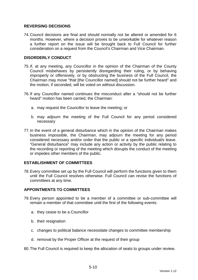# **REVERSING DECISIONS**

74. Council decisions are final and should normally not be altered or amended for 6 months. However, where a decision proves to be unworkable for whatever reason a further report on the issue will be brought back to Full Council for further consideration on a request from the Council's Chairman and Vice Chairman.

## **DISORDERLY CONDUCT**

- 75. If, at any meeting, any Councillor in the opinion of the Chairman of the County Council misbehaves by persistently disregarding their ruling, or by behaving improperly or offensively, or by obstructing the business of the Full Council, the Chairman may move "that [the Councillor named] should not be further heard" and the motion, if seconded, will be voted on without discussion.
- 76. If any Councillor named continues the misconduct after a "should not be further heard" motion has been carried, the Chairman:
	- a. may request the Councillor to leave the meeting; or
	- b. may adjourn the meeting of the Full Council for any period considered necessary
- 77. In the event of a general disturbance which in the opinion of the Chairman makes business impossible, the Chairman, may adjourn the meeting for any period considered necessary and/or order that the public or a specific individual/s leave. "General disturbance" may include any action or activity by the public relating to the recording or reporting of the meeting which disrupts the conduct of the meeting or impedes other members of the public.

## **ESTABLISHMENT OF COMMITTEES**

78. Every committee set up by the Full Council will perform the functions given to them until the Full Council resolves otherwise. Full Council can revise the functions of committees at any time.

# **APPOINTMENTS TO COMMITTEES**

- 79. Every person appointed to be a member of a committee or sub-committee will remain a member of that committee until the first of the following events:
	- a. they cease to be a Councillor
	- b. their resignation
	- c. changes to political balance necessitate changes to committee membership
	- d. removal by the Proper Officer at the request of their group
- 80. The Full Council is required to keep the allocation of seats to groups under review.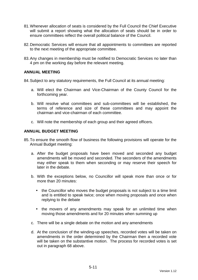- 81. Whenever allocation of seats is considered by the Full Council the Chief Executive will submit a report showing what the allocation of seats should be in order to ensure committees reflect the overall political balance of the Council.
- 82. Democratic Services will ensure that all appointments to committees are reported to the next meeting of the appropriate committee.
- 83. Any changes in membership must be notified to Democratic Services no later than 4 pm on the working day before the relevant meeting.

### **ANNUAL MEETING**

84. Subject to any statutory requirements, the Full Council at its annual meeting:

- a. Will elect the Chairman and Vice-Chairman of the County Council for the forthcoming year.
- b. Will resolve what committees and sub-committees will be established, the terms of reference and size of these committees and may appoint the chairman and vice-chairman of each committee.
- c. Will note the membership of each group and their agreed officers.

# **ANNUAL BUDGET MEETING**

- 85. To ensure the smooth flow of business the following provisions will operate for the Annual Budget meeting:
	- a. After the budget proposals have been moved and seconded any budget amendments will be moved and seconded. The seconders of the amendments may either speak to them when seconding or may reserve their speech for later in the debate.
	- b. With the exceptions below, no Councillor will speak more than once or for more than 20 minutes:
		- the Councillor who moves the budget proposals is not subject to a time limit and is entitled to speak twice; once when moving proposals and once when replying to the debate
		- the movers of any amendments may speak for an unlimited time when moving those amendments and for 20 minutes when summing up
	- c. There will be a single debate on the motion and any amendments
	- d. At the conclusion of the winding-up speeches, recorded votes will be taken on amendments in the order determined by the Chairman then a recorded vote will be taken on the substantive motion. The process for recorded votes is set out in paragraph 68 above.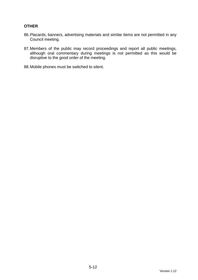# **OTHER**

- 86. Placards, banners, advertising materials and similar items are not permitted in any Council meeting.
- 87. Members of the public may record proceedings and report all public meetings, although oral commentary during meetings is not permitted as this would be disruptive to the good order of the meeting.
- 88. Mobile phones must be switched to silent.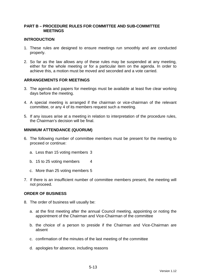## **PART B – PROCEDURE RULES FOR COMMITTEE AND SUB-COMMITTEE MEETINGS**

#### **INTRODUCTION**

- 1. These rules are designed to ensure meetings run smoothly and are conducted properly.
- 2. So far as the law allows any of these rules may be suspended at any meeting, either for the whole meeting or for a particular item on the agenda. In order to achieve this, a motion must be moved and seconded and a vote carried.

## **ARRANGEMENTS FOR MEETINGS**

- 3. The agenda and papers for meetings must be available at least five clear working days before the meeting.
- 4. A special meeting is arranged if the chairman or vice-chairman of the relevant committee, or any 4 of its members request such a meeting.
- 5. If any issues arise at a meeting in relation to interpretation of the procedure rules, the Chairman's decision will be final.

#### **MINIMUM ATTENDANCE (QUORUM)**

- 6. The following number of committee members must be present for the meeting to proceed or continue:
	- a. Less than 15 voting members 3
	- b. 15 to 25 voting members 4
	- c. More than 25 voting members 5
- 7. If there is an insufficient number of committee members present, the meeting will not proceed.

#### **ORDER OF BUSINESS**

- 8. The order of business will usually be:
	- a. at the first meeting after the annual Council meeting, appointing or noting the appointment of the Chairman and Vice-Chairman of the committee
	- b. the choice of a person to preside if the Chairman and Vice-Chairman are absent
	- c. confirmation of the minutes of the last meeting of the committee
	- d. apologies for absence, including reasons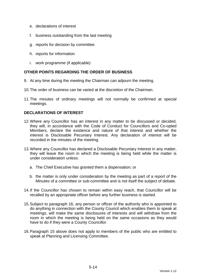- e. declarations of interest
- f. business outstanding from the last meeting
- g. reports for decision by committee
- h. reports for information
- i. work programme (if applicable)

# **OTHER POINTS REGARDING THE ORDER OF BUSINESS**

- 9. At any time during the meeting the Chairman can adjourn the meeting.
- 10. The order of business can be varied at the discretion of the Chairman.
- 11. The minutes of ordinary meetings will not normally be confirmed at special meetings.

# **DECLARATIONS OF INTEREST**

- 12. Where any Councillor has an interest in any matter to be discussed or decided, they will, in accordance with the Code of Conduct for Councillors and Co-opted Members, declare the existence and nature of that interest and whether the interest is Disclosable Pecuniary Interest. Any declaration of interest will be recorded in the minutes of the meeting.
- 13. Where any Councillor has declared a Disclosable Pecuniary Interest in any matter, they will leave the room in which the meeting is being held while the matter is under consideration unless:
	- a. The Chief Executive has granted them a dispensation; or
	- b. the matter is only under consideration by the meeting as part of a report of the Minutes of a committee or sub-committee and is not itself the subject of debate.
- 14. If the Councillor has chosen to remain within easy reach, that Councillor will be recalled by an appropriate officer before any further business is started.
- 15. Subject to paragraph 16, any person or officer of the authority who is appointed to do anything in connection with the County Council which enables them to speak at meetings, will make the same disclosures of interests and will withdraw from the room in which the meeting is being held on the same occasions as they would have to do if they were a County Councillor.
- 16. Paragraph 15 above does not apply to members of the public who are entitled to speak at Planning and Licensing Committee.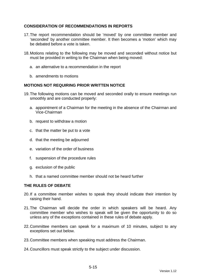# **CONSIDERATION OF RECOMMENDATIONS IN REPORTS**

- 17. The report recommendation should be 'moved' by one committee member and 'seconded' by another committee member. It then becomes a 'motion' which may be debated before a vote is taken.
- 18. Motions relating to the following may be moved and seconded without notice but must be provided in writing to the Chairman when being moved:
	- a. an alternative to a recommendation in the report
	- b. amendments to motions

## **MOTIONS NOT REQUIRING PRIOR WRITTEN NOTICE**

- 19. The following motions can be moved and seconded orally to ensure meetings run smoothly and are conducted properly:
	- a. appointment of a Chairman for the meeting in the absence of the Chairman and Vice-Chairman
	- b. request to withdraw a motion
	- c. that the matter be put to a vote
	- d. that the meeting be adjourned
	- e. variation of the order of business
	- f. suspension of the procedure rules
	- g. exclusion of the public
	- h. that a named committee member should not be heard further

## **THE RULES OF DEBATE**

- 20. If a committee member wishes to speak they should indicate their intention by raising their hand.
- 21. The Chairman will decide the order in which speakers will be heard. Any committee member who wishes to speak will be given the opportunity to do so unless any of the exceptions contained in these rules of debate apply.
- 22. Committee members can speak for a maximum of 10 minutes, subject to any exceptions set out below.
- 23. Committee members when speaking must address the Chairman.
- 24. Councillors must speak strictly to the subject under discussion.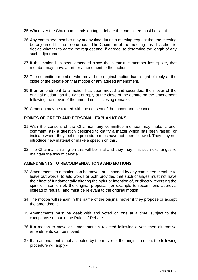- 25. Whenever the Chairman stands during a debate the committee must be silent.
- 26. Any committee member may at any time during a meeting request that the meeting be adjourned for up to one hour. The Chairman of the meeting has discretion to decide whether to agree the request and, if agreed, to determine the length of any such adjournment.
- 27. If the motion has been amended since the committee member last spoke, that member may move a further amendment to the motion.
- 28. The committee member who moved the original motion has a right of reply at the close of the debate on that motion or any agreed amendment.
- 29. If an amendment to a motion has been moved and seconded, the mover of the original motion has the right of reply at the close of the debate on the amendment following the mover of the amendment's closing remarks.
- 30. A motion may be altered with the consent of the mover and seconder.

## **POINTS OF ORDER AND PERSONAL EXPLANATIONS**

- 31. With the consent of the Chairman any committee member may make a brief comment, ask a question designed to clarify a matter which has been raised, or indicate where they feel the procedure rules have not been followed. They may not introduce new material or make a speech on this.
- 32. The Chairman's ruling on this will be final and they may limit such exchanges to maintain the flow of debate.

#### **AMENDMENTS TO RECOMMENDATIONS AND MOTIONS**

- 33. Amendments to a motion can be moved or seconded by any committee member to leave out words, to add words or both provided that such changes must not have the effect of fundamentally altering the spirit or intention of, or directly reversing the spirit or intention of, the original proposal (for example to recommend approval instead of refusal) and must be relevant to the original motion.
- 34. The motion will remain in the name of the original mover if they propose or accept the amendment.
- 35. Amendments must be dealt with and voted on one at a time, subject to the exceptions set out in the Rules of Debate.
- 36. If a motion to move an amendment is rejected following a vote then alternative amendments can be moved.
- 37. If an amendment is not accepted by the mover of the original motion, the following procedure will apply:-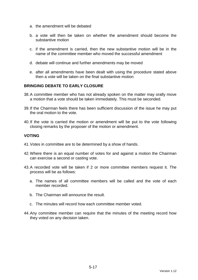- a. the amendment will be debated
- b. a vote will then be taken on whether the amendment should become the substantive motion
- c. if the amendment is carried, then the new substantive motion will be in the name of the committee member who moved the successful amendment
- d. debate will continue and further amendments may be moved
- e. after all amendments have been dealt with using the procedure stated above then a vote will be taken on the final substantive motion

# **BRINGING DEBATE TO EARLY CLOSURE**

- 38. A committee member who has not already spoken on the matter may orally move a motion that a vote should be taken immediately. This must be seconded.
- 39. If the Chairman feels there has been sufficient discussion of the issue he may put the oral motion to the vote.
- 40. If the vote is carried the motion or amendment will be put to the vote following closing remarks by the proposer of the motion or amendment.

## **VOTING**

- 41. Votes in committee are to be determined by a show of hands.
- 42. Where there is an equal number of votes for and against a motion the Chairman can exercise a second or casting vote.
- 43. A recorded vote will be taken if 2 or more committee members request it. The process will be as follows:
	- a. The names of all committee members will be called and the vote of each member recorded.
	- b. The Chairman will announce the result.
	- c. The minutes will record how each committee member voted.
- 44. Any committee member can require that the minutes of the meeting record how they voted on any decision taken.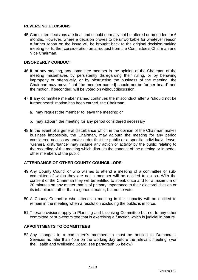# **REVERSING DECISIONS**

45. Committee decisions are final and should normally not be altered or amended for 6 months. However, where a decision proves to be unworkable for whatever reason a further report on the issue will be brought back to the original decision-making meeting for further consideration on a request from the Committee's Chairman and Vice Chairman.

# **DISORDERLY CONDUCT**

- 46. If, at any meeting, any committee member in the opinion of the Chairman of the meeting misbehaves by persistently disregarding their ruling, or by behaving improperly or offensively, or by obstructing the business of the meeting, the Chairman may move "that [the member named] should not be further heard" and the motion, if seconded, will be voted on without discussion.
- 47. If any committee member named continues the misconduct after a "should not be further heard" motion has been carried, the Chairman:
	- a. may request the member to leave the meeting; or
	- b. may adjourn the meeting for any period considered necessary
- 48. In the event of a general disturbance which in the opinion of the Chairman makes business impossible, the Chairman, may adjourn the meeting for any period considered necessary and/or order that the public or a specific individual/s leave. "General disturbance" may include any action or activity by the public relating to the recording of the meeting which disrupts the conduct of the meeting or impedes other members of the public.

## **ATTENDANCE OF OTHER COUNTY COUNCILLORS**

- 49. Any County Councillor who wishes to attend a meeting of a committee or subcommittee of which they are not a member will be entitled to do so. With the consent of the Chairman they will be entitled to speak once and for a maximum of 20 minutes on any matter that is of primary importance to their electoral division or its inhabitants rather than a general matter, but not to vote.
- 50. A County Councillor who attends a meeting in this capacity will be entitled to remain in the meeting when a resolution excluding the public is in force.
- 51. These provisions apply to Planning and Licensing Committee but not to any other committee or sub-committee that is exercising a function which is judicial in nature.

## **APPOINTMENTS TO COMMITTEES**

52. Any changes in a committee's membership must be notified to Democratic Services no later than 4pm on the working day before the relevant meeting. (For the Health and Wellbeing Board, see paragraph 55 below)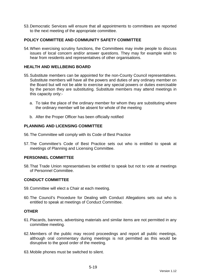53. Democratic Services will ensure that all appointments to committees are reported to the next meeting of the appropriate committee.

# **POLICY COMMITTEE AND COMMUNITY SAFETY COMMITTEE**

54. When exercising scrutiny functions, the Committees may invite people to discuss issues of local concern and/or answer questions. They may for example wish to hear from residents and representatives of other organisations.

## **HEALTH AND WELLBEING BOARD**

- 55. Substitute members can be appointed for the non-County Council representatives. Substitute members will have all the powers and duties of any ordinary member on the Board but will not be able to exercise any special powers or duties exercisable by the person they are substituting. Substitute members may attend meetings in this capacity only:
	- a. To take the place of the ordinary member for whom they are substituting where the ordinary member will be absent for whole of the meeting
	- b. After the Proper Officer has been officially notified

## **PLANNING AND LICENSING COMMITTEE**

- 56. The Committee will comply with its Code of Best Practice
- 57. The Committee's Code of Best Practice sets out who is entitled to speak at meetings of Planning and Licensing Committee.

## **PERSONNEL COMMITTEE**

58. That Trade Union representatives be entitled to speak but not to vote at meetings of Personnel Committee.

## **CONDUCT COMMITTEE**

- 59. Committee will elect a Chair at each meeting.
- 60. The Council's Procedure for Dealing with Conduct Allegations sets out who is entitled to speak at meetings of Conduct Committee.

#### **OTHER**

- 61. Placards, banners, advertising materials and similar items are not permitted in any committee meeting.
- 62. Members of the public may record proceedings and report all public meetings, although oral commentary during meetings is not permitted as this would be disruptive to the good order of the meeting.
- 63. Mobile phones must be switched to silent.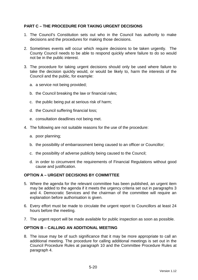# **PART C – THE PROCEDURE FOR TAKING URGENT DECISIONS**

- 1. The Council's Constitution sets out who in the Council has authority to make decisions and the procedures for making those decisions.
- 2. Sometimes events will occur which require decisions to be taken urgently. The County Council needs to be able to respond quickly where failure to do so would not be in the public interest.
- 3. The procedure for taking urgent decisions should only be used where failure to take the decision quickly would, or would be likely to, harm the interests of the Council and the public, for example:
	- a. a service not being provided;
	- b. the Council breaking the law or financial rules;
	- c. the public being put at serious risk of harm;
	- d. the Council suffering financial loss;
	- e. consultation deadlines not being met.
- 4. The following are not suitable reasons for the use of the procedure:
	- a. poor planning;
	- b. the possibility of embarrassment being caused to an officer or Councillor;
	- c. the possibility of adverse publicity being caused to the Council;
	- d. in order to circumvent the requirements of Financial Regulations without good cause and justification.

## **OPTION A – URGENT DECISIONS BY COMMITTEE**

- 5. Where the agenda for the relevant committee has been published, an urgent item may be added to the agenda if it meets the urgency criteria set out in paragraphs 3 and 4. Democratic Services and the chairman of the committee will require an explanation before authorisation is given.
- 6. Every effort must be made to circulate the urgent report to Councillors at least 24 hours before the meeting.
- 7. The urgent report will be made available for public inspection as soon as possible.

## **OPTION B – CALLING AN ADDITIONAL MEETING**

8. The issue may be of such significance that it may be more appropriate to call an additional meeting. The procedure for calling additional meetings is set out in the Council Procedure Rules at paragraph 10 and the Committee Procedure Rules at paragraph 4.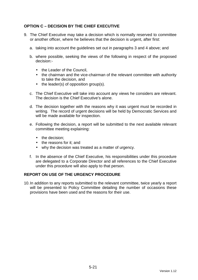# **OPTION C – DECISION BY THE CHIEF EXECUTIVE**

- 9. The Chief Executive may take a decision which is normally reserved to committee or another officer, where he believes that the decision is urgent, after first:
	- a. taking into account the guidelines set out in paragraphs 3 and 4 above; and
	- b. where possible, seeking the views of the following in respect of the proposed decision:-
		- the Leader of the Council.
		- the chairman and the vice-chairman of the relevant committee with authority to take the decision, and
		- the leader(s) of opposition group(s).
	- c. The Chief Executive will take into account any views he considers are relevant. The decision is the Chief Executive's alone.
	- d. The decision together with the reasons why it was urgent must be recorded in writing. The record of urgent decisions will be held by Democratic Services and will be made available for inspection.
	- e. Following the decision, a report will be submitted to the next available relevant committee meeting explaining:
		- the decision:
		- the reasons for it: and
		- why the decision was treated as a matter of urgency.
	- f. In the absence of the Chief Executive, his responsibilities under this procedure are delegated to a Corporate Director and all references to the Chief Executive under this procedure will also apply to that person.

## **REPORT ON USE OF THE URGENCY PROCEDURE**

10. In addition to any reports submitted to the relevant committee, twice yearly a report will be presented to Policy Committee detailing the number of occasions these provisions have been used and the reasons for their use.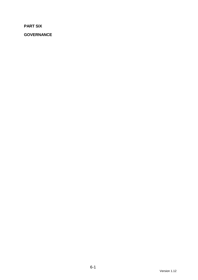**PART SIX** 

**GOVERNANCE**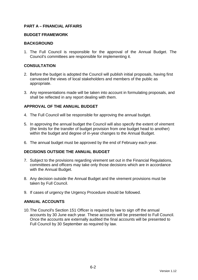# **PART A – FINANCIAL AFFAIRS**

#### **BUDGET FRAMEWORK**

#### **BACKGROUND**

1. The Full Council is responsible for the approval of the Annual Budget. The Council's committees are responsible for implementing it.

## **CONSULTATION**

- 2. Before the budget is adopted the Council will publish initial proposals, having first canvassed the views of local stakeholders and members of the public as appropriate.
- 3. Any representations made will be taken into account in formulating proposals, and shall be reflected in any report dealing with them.

# **APPROVAL OF THE ANNUAL BUDGET**

- 4. The Full Council will be responsible for approving the annual budget.
- 5. In approving the annual budget the Council will also specify the extent of virement (the limits for the transfer of budget provision from one budget head to another) within the budget and degree of in-year changes to the Annual Budget.
- 6. The annual budget must be approved by the end of February each year.

## **DECISIONS OUTSIDE THE ANNUAL BUDGET**

- 7. Subject to the provisions regarding virement set out in the Financial Regulations, committees and officers may take only those decisions which are in accordance with the Annual Budget.
- 8. Any decision outside the Annual Budget and the virement provisions must be taken by Full Council.
- 9. If cases of urgency the Urgency Procedure should be followed.

## **ANNUAL ACCOUNTS**

10. The Council's Section 151 Officer is required by law to sign off the annual accounts by 30 June each year. These accounts will be presented to Full Council. Once the accounts are externally audited the final accounts will be presented to Full Council by 30 September as required by law.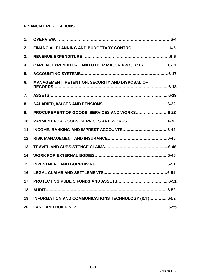# **FINANCIAL REGULATIONS**

| 1.  |                                                     |
|-----|-----------------------------------------------------|
| 2.  |                                                     |
| 3.  |                                                     |
| 4.  | CAPITAL EXPENDITURE AND OTHER MAJOR PROJECTS6-11    |
| 5.  |                                                     |
| 6.  | MANAGEMENT, RETENTION, SECURITY AND DISPOSAL OF     |
| 7.  |                                                     |
| 8.  |                                                     |
| 9.  | PROCUREMENT OF GOODS, SERVICES AND WORKS6-23        |
| 10. |                                                     |
| 11. |                                                     |
| 12. |                                                     |
| 13. |                                                     |
| 14. |                                                     |
| 15. |                                                     |
| 16. |                                                     |
| 17. |                                                     |
| 18. |                                                     |
| 19. | INFORMATION AND COMMUNICATIONS TECHNOLOGY (ICT)6-52 |
| 20. |                                                     |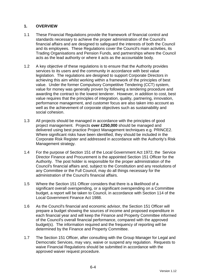# **1. OVERVIEW**

- 1.1 These Financial Regulations provide the framework of financial control and standards necessary to achieve the proper administration of the Council's financial affairs and are designed to safeguard the interests of both the Council and its employees. These Regulations cover the Council's main activities, its Trading Organisations and Pension Funds, and partnerships where the Council acts as the lead authority or where it acts as the accountable body.
- 1.2 A key objective of these regulations is to ensure that the Authority provides services to its users and the community in accordance with best value legislation. The regulations are designed to support Corporate Directors in achieving this aim whilst working within a framework of the principles of best value. Under the former Compulsory Competitive Tendering (CCT) system, value for money was generally proven by following a tendering procedure and awarding the contract to the lowest tenderer. However, in addition to cost, best value requires that the principles of integration, quality, partnering, innovation, performance management, and customer focus are also taken into account as well as the achievement of corporate objectives such as sustainability and social cohesion.
- 1.3 All projects should be managed in accordance with the principles of good project management. Projects **over £250,000** should be managed and delivered using best practice Project Management techniques e.g. PRINCE2. Where significant risks have been identified, they should be included in the Corporate Risk Register and addressed in accordance with the Authority's Risk Management strategy.
- 1.4 For the purpose of Section 151 of the Local Government Act 1972, the Service Director Finance and Procurement is the appointed Section 151 Officer for the Authority. The post holder is responsible for the proper administration of the Council's financial affairs and, subject to the Constitution and any resolutions of any Committee or the Full Council, may do all things necessary for the administration of the Council's financial affairs.
- 1.5 Where the Section 151 Officer considers that there is a likelihood of a significant overall overspending, or a significant overspending on a Committee budget, a report will be taken to Council, in accordance with Section 114 of the Local Government Finance Act 1988.
- 1.6 As the Council's financial and economic advisor, the Section 151 Officer will prepare a budget showing the sources of income and proposed expenditure in each financial year and will keep the Finance and Property Committee informed of the Council's overall financial performance, compared with the approved budget(s). The information required and the frequency of reporting will be determined by the Finance and Property Committee.
- 1.7 The Section 151 Officer, after consulting with the Group Manager for Legal and Democratic Services, may vary, waive or suspend any regulation. Requests to waive Financial Regulations should be submitted in accordance with the approved waiver request procedure.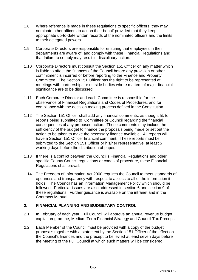- 1.8 Where reference is made in these regulations to specific officers, they may nominate other officers to act on their behalf provided that they keep appropriate up-to-date written records of the nominated officers and the limits to their delegated powers.
- 1.9 Corporate Directors are responsible for ensuring that employees in their departments are aware of, and comply with these Financial Regulations and that failure to comply may result in disciplinary action.
- 1.10 Corporate Directors must consult the Section 151 Officer on any matter which is liable to affect the finances of the Council before any provision or other commitment is incurred or before reporting to the Finance and Property Committee. The Section 151 Officer has the right to be represented at meetings with partnerships or outside bodies where matters of major financial significance are to be discussed.
- 1.11 Each Corporate Director and each Committee is responsible for the observance of Financial Regulations and Codes of Procedures, and for compliance with the decision making process defined in the Constitution.
- 1.12 The Section 151 Officer shall add any financial comments, as thought fit, to reports being submitted to Committee or Council regarding the financial consequences of any proposed action. These comments may include the sufficiency of the budget to finance the proposals being made or set out the action to be taken to make the necessary finance available. All reports will have a Section 151 Officer financial comment. These reports must be submitted to the Section 151 Officer or his/her representative, at least 5 working days before the distribution of papers.
- 1.13 If there is a conflict between the Council's Financial Regulations and other specific County Council regulations or codes of procedure, these Financial Regulations shall prevail.
- 1.14 The Freedom of Information Act 2000 requires the Council to meet standards of openness and transparency with respect to access to all of the information it holds. The Council has an Information Management Policy which should be followed. Particular issues are also addressed in section 6 and section 9 of these regulations. Further guidance is available on the intranet and in the Contracts Manual.

# **2. FINANCIAL PLANNING AND BUDGETARY CONTROL**

- 2.1 In February of each year, Full Council will approve an annual revenue budget, capital programme, Medium Term Financial Strategy and Council Tax Precept.
- 2.2 Each Member of the Council must be provided with a copy of the budget proposals together with a statement by the Section 151 Officer of the effect on the Council's finances and the precept to be levied at least seven days before the Meeting of the Full Council at which such matters will be considered.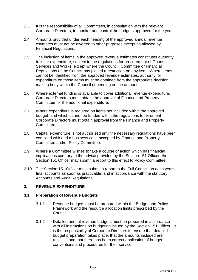- 2.3 It is the responsibility of all Committees, in consultation with the relevant Corporate Directors, to monitor and control the budgets approved for the year.
- 2.4 Amounts provided under each heading of the approved annual revenue estimates must not be diverted to other purposes except as allowed by Financial Regulations.
- 2.5 The inclusion of items in the approved revenue estimates constitutes authority to incur expenditure, subject to the regulations for procurement of Goods, Services and Works, except where the Council, Committee or Financial Regulations of the Council has placed a restriction on any item. Where items cannot be identified from the approved revenue estimates, authority for expenditure on those items must be obtained from the appropriate decision making body within the Council depending on the amount.
- 2.6 Where external funding is available to cover additional revenue expenditure, Corporate Directors must obtain the approval of Finance and Property Committee for the additional expenditure.
- 2.7 Where expenditure is required on items not included within the approved budget, and which cannot be funded within the regulations for virement Corporate Directors must obtain approval from the Finance and Property Committee.
- 2.8 Capital expenditure is not authorised until the necessary regulations have been complied with and a business case accepted by Finance and Property Committee and/or Policy Committee.
- 2.9 Where a Committee wishes to take a course of action which has financial implications contrary to the advice provided by the Section 151 Officer, the Section 151 Officer may submit a report to this effect to Policy Committee.
- 2.10 The Section 151 Officer must submit a report to the Full Council on each year's final accounts as soon as practicable, and in accordance with the statutory Accounts and Audit Regulations.

# **3. REVENUE EXPENDITURE**

# **3.1 Preparation of Revenue Budgets**

- 3.1.1 Revenue budgets must be prepared within the Budget and Policy Framework and the resource allocation limits prescribed by the Council.
- 3.1.2 Detailed annual revenue budgets must be prepared in accordance with all instructions on budgeting issued by the Section 151 Officer. It is the responsibility of Corporate Directors to ensure that detailed budget preparation takes place, that the amounts included are realistic, and that there has been correct application of budget conventions and procedures for their service.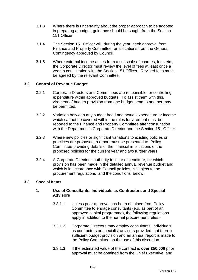- 3.1.3 Where there is uncertainty about the proper approach to be adopted in preparing a budget, guidance should be sought from the Section 151 Officer.
- 3.1.4 The Section 151 Officer will, during the year, seek approval from Finance and Property Committee for allocations from the General Contingency approved by Council.
- 3.1.5 Where external income arises from a set scale of charges, fees etc., the Corporate Director must review the level of fees at least once a year in consultation with the Section 151 Officer. Revised fees must be agreed by the relevant Committee.

# **3.2 Control of Revenue Budget**

- 3.2.1 Corporate Directors and Committees are responsible for controlling expenditure within approved budgets. To assist them with this, virement of budget provision from one budget head to another may be permitted.
- 3.2.2 Variation between any budget head and actual expenditure or income which cannot be covered within the rules for virement must be reported to the Finance and Property Committee after consultation with the Department's Corporate Director and the Section 151 Officer.
- 3.2.3 Where new policies or significant variations to existing policies or practices are proposed, a report must be presented to Policy Committee providing details of the financial implications of the proposed policies for the current year and two further years.
- 3.2.4 A Corporate Director's authority to incur expenditure, for which provision has been made in the detailed annual revenue budget and which is in accordance with Council policies, is subject to the procurement regulations and the conditions below.

# **3.3 Special Items**

# **1. Use of Consultants, Individuals as Contractors and Special Advisors**

- 3.3.1.1 Unless prior approval has been obtained from Policy Committee to engage consultants (e.g. as part of an approved capital programme), the following regulations apply in addition to the normal procurement rules:-
- 3.3.1.2 Corporate Directors may employ consultants, individuals as contractors or specialist advisors provided that there is sufficient budget provision and an annual report is made to the Policy Committee on the use of this discretion.
- 3.3.1.3 If the estimated value of the contract is **over £50,000** prior approval must be obtained from the Chief Executive and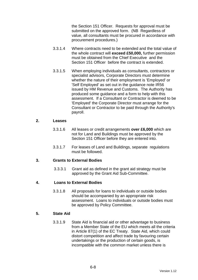the Section 151 Officer. Requests for approval must be submitted on the approved form. (NB Regardless of value, all consultants must be procured in accordance with procurement procedures.)

- 3.3.1.4 Where contracts need to be extended and the total value of the whole contract will **exceed £50,000,** further permission must be obtained from the Chief Executive and the Section 151 Officer before the contract is extended.
- 3.3.1.5 When employing individuals as consultants, contractors or specialist advisors, Corporate Directors must determine whether the nature of their employment is 'Employed' or 'Self Employed' as set out in the guidance note IR56 issued by HM Revenue and Customs. The Authority has produced some guidance and a form to help with this assessment. If a Consultant or Contractor is deemed to be 'Employed' the Corporate Director must arrange for the Consultant or Contractor to be paid through the Authority's payroll.

#### **2. Leases**

- 3.3.1.6 All leases or credit arrangements **over £6,000** which are not for Land and Buildings must be approved by the Section 151 Officer before they are entered into.
- 3.3.1.7 For leases of Land and Buildings, separate regulations must be followed.

# **3. Grants to External Bodies**

3.3.3.1 Grant aid as defined in the grant aid strategy must be approved by the Grant Aid Sub-Committee.

# **4. Loans to External Bodies**

3.3.1.8 All proposals for loans to individuals or outside bodies should be accompanied by an appropriate risk assessment. Loans to individuals or outside bodies must be approved by Policy Committee.

# **5. State Aid**

3.3.1.9 State Aid is financial aid or other advantage to business from a Member State of the EU which meets all the criteria in Article 87(1) of the EC Treaty. State Aid, which could distort competition and affect trade by favouring certain undertakings or the production of certain goods, is incompatible with the common market unless there is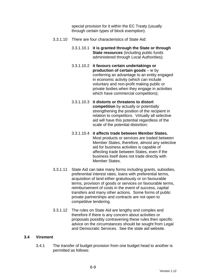special provision for it within the EC Treaty (usually through certain types of block exemption).

- 3.3.1.10 There are four characteristics of State Aid:
	- 3.3.1.10.1 **it is granted through the State or through State resources** (including public funds administered through Local Authorities);
	- 3.3.1.10.2 **it favours certain undertakings or production of certain goods** – ie by conferring an advantage to an entity engaged in economic activity (which can include voluntary and non-profit making public or private bodies when they engage in activities which have commercial competitors);
	- 3.3.1.10.3 **it distorts or threatens to distort competition** by actually or potentially strengthening the position of the recipient in relation to competitors. Virtually all selective aid will have this potential regardless of the scale of the potential distortion;
	- 3.3.1.10.4 **it affects trade between Member States.** Most products or services are traded between Member States, therefore, almost any selective aid for business activities is capable of affecting trade between States, even if the business itself does not trade directly with Member States.
- 3.3.1.11 State Aid can take many forms including grants, subsidies, preferential interest rates, loans with preferential terms, acquisition of land either gratuitously or on favourable terms, provision of goods or services on favourable terms, reimbursement of costs in the event of success, capital transfers and many other actions. Some forms of public private partnerships and contracts are not open to competitive tendering.
- 3.3.1.12 The rules on State Aid are lengthy and complex and therefore if there is any concern about activities or proposals possibly contravening these rules then specific advice on the circumstances should be sought from Legal and Democratic Services. See the state aid website.

# **3.4 Virement**

3.4.1 The transfer of budget provision from one budget head to another is permitted as follows: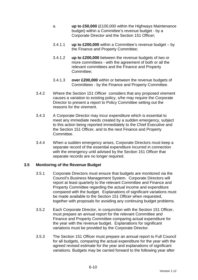- a. **up to £50,000** (£100,000 within the Highways Maintenance budget) within a Committee's revenue budget - by a Corporate Director and the Section 151 Officer;
- 3.4.1.1 **up to £200,000** within a Committee's revenue budget by the Finance and Property Committee;
- 3.4.1.2 **up to £200,000** between the revenue budgets of two or more committees - with the agreement of both or all the relevant committees and the Finance and Property Committee;
- 3.4.1.3 **over £200,000** within or between the revenue budgets of Committees - by the Finance and Property Committee.
- 3.4.2 Where the Section 151 Officer considers that any proposed virement causes a variation to existing policy, s/he may require the Corporate Director to present a report to Policy Committee setting out the reasons for the virement.
- 3.4.3 A Corporate Director may incur expenditure which is essential to meet any immediate needs created by a sudden emergency, subject to this action being reported immediately to the Chief Executive and the Section 151 Officer, and to the next Finance and Property Committee.
- 3.4.4 When a sudden emergency arises, Corporate Directors must keep a separate record of the essential expenditure incurred in connection with the emergency until advised by the Section 151 Officer that separate records are no longer required.

# **3.5 Monitoring of the Revenue Budget**

- 3.5.1 Corporate Directors must ensure that budgets are monitored via the Council's Business Management System. Corporate Directors will report at least quarterly to the relevant Committee and Finance and Property Committee regarding the actual income and expenditure compared with the budget. Explanations of significant variations must be made available to the Section 151 Officer when requested, together with proposals for avoiding any continuing budget problems.
- 3.5.2 Each Corporate Director, in conjunction with the Section 151 Officer, must prepare an annual report for the relevant Committee and Finance and Property Committee comparing actual expenditure for the year with the revenue budget. Explanations for significant variations must be provided by the Corporate Director.
- 3.5.3 The Section 151 Officer must prepare an annual report to Full Council for all budgets, comparing the actual expenditure for the year with the agreed revised estimate for the year and explanations of significant variations. Budgets may be carried forward to the following year after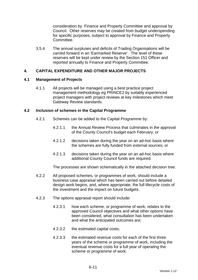consideration by Finance and Property Committee and approval by Council. Other reserves may be created from budget underspending for specific purposes, subject to approval by Finance and Property Committee.

3.5.4 The annual surpluses and deficits of Trading Organisations will be carried forward in an 'Earmarked Reserve'. The level of these reserves will be kept under review by the Section 151 Officer and reported annually to Finance and Property Committee.

# **4. CAPITAL EXPENDITURE AND OTHER MAJOR PROJECTS**

# **4.1 Management of Projects**

4.1.1 All projects will be managed using a best practice project management methodology eg PRINCE2 by suitably experienced project managers with project reviews at key milestones which meet Gateway Review standards.

# **4.2 Inclusion of schemes in the Capital Programme**

- 4.2.1 Schemes can be added to the Capital Programme by:
	- 4.2.1.1 the Annual Review Process that culminates in the approval of the County Council's budget each February; or
	- 4.2.1.2 decisions taken during the year on an ad-hoc basis where the schemes are fully funded from external sources; or
	- 4.2.1.3 decisions taken during the year on an ad-hoc basis where additional County Council funds are required.

The processes are shown schematically in the attached decision tree.

- 4.2.2 All proposed schemes, or programmes of work, should include a business case appraisal which has been carried out before detailed design work begins, and, where appropriate, the full lifecycle costs of the investment and the impact on future budgets.
- 4.2.3 The options appraisal report should include:
	- 4.2.3.1 how each scheme, or programme of work, relates to the approved Council objectives and what other options have been considered, what consultation has been undertaken and what the anticipated outcomes are;
	- 4.2.3.2 the estimated capital costs;
	- 4.2.3.3 the estimated revenue costs for each of the first three years of the scheme or programme of work, including the eventual revenue costs for a full year of operating the scheme or programme of work.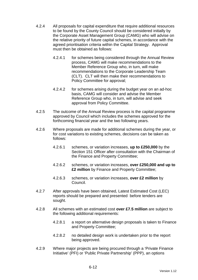- 4.2.4 All proposals for capital expenditure that require additional resources to be found by the County Council should be considered initially by the Corporate Asset Management Group (CAMG) who will advise on the relative priority of future capital schemes, in accordance with the agreed prioritisation criteria within the Capital Strategy. Approval must then be obtained as follows:
	- 4.2.4.1 for schemes being considered through the Annual Review process, CAMG will make recommendations to the Member Reference Group who, in turn, will make recommendations to the Corporate Leadership Team (CLT). CLT will then make their recommendations to Policy Committee for approval;
	- 4.2.4.2 for schemes arising during the budget year on an ad-hoc basis, CAMG will consider and advise the Member Reference Group who, in turn, will advise and seek approval from Policy Committee.
- 4.2.5 The outcome of the Annual Review process is the capital programme approved by Council which includes the schemes approved for the forthcoming financial year and the two following years.
- 4.2.6 Where proposals are made for additional schemes during the year, or for cost variations to existing schemes, decisions can be taken as follows:
	- 4.2.6.1 schemes, or variation increases, **up to £250,000** by the Section 151 Officer after consultation with the Chairman of the Finance and Property Committee;
	- 4.2.6.2 schemes, or variation increases, **over £250,000 and up to £2 million** by Finance and Property Committee;
	- 4.2.6.3 schemes, or variation increases, **over £2 million** by Council.
- 4.2.7 After approvals have been obtained, Latest Estimated Cost (LEC) reports should be prepared and presented before tenders are sought.
- 4.2.8 All schemes with an estimated cost **over £7.5 million** are subject to the following additional requirements:
	- 4.2.8.1 a report on alternative design proposals is taken to Finance and Property Committee;
	- 4.2.8.2 no detailed design work is undertaken prior to the report being approved.
- 4.2.9 Where major projects are being procured through a 'Private Finance Initiative' (PFI) or 'Public Private Partnership' (PPP), an options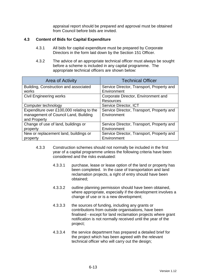appraisal report should be prepared and approval must be obtained from Council before bids are invited.

# **4.3 Content of Bids for Capital Expenditure**

- 4.3.1 All bids for capital expenditure must be prepared by Corporate Directors in the form laid down by the Section 151 Officer.
- 4.3.2 The advice of an appropriate technical officer must always be sought before a scheme is included in any capital programme. The appropriate technical officers are shown below:

| Area of Activity                          | <b>Technical Officer</b>                  |  |
|-------------------------------------------|-------------------------------------------|--|
| Building, Construction and associated     | Service Director, Transport, Property and |  |
| works                                     | Environment                               |  |
| <b>Civil Engineering works</b>            | Corporate Director, Environment and       |  |
|                                           | <b>Resources</b>                          |  |
| Computer technology                       | Service Director, ICT                     |  |
| Expenditure over £100,000 relating to the | Service Director, Transport, Property and |  |
| management of Council Land, Building      | Environment                               |  |
| and Property                              |                                           |  |
| Change of use of land, buildings or       | Service Director, Transport, Property and |  |
| property                                  | Environment                               |  |
| New or replacement land, buildings or     | Service Director, Transport, Property and |  |
| property                                  | Environment                               |  |

- 4.3.3 Construction schemes should not normally be included in the first year of a capital programme unless the following criteria have been considered and the risks evaluated:
	- 4.3.3.1 purchase, lease or lease option of the land or property has been completed. In the case of transportation and land reclamation projects, a right of entry should have been obtained;
	- 4.3.3.2 outline planning permission should have been obtained, where appropriate, especially if the development involves a change of use or is a new development;
	- 4.3.3.3 the sources of funding, including any grants or contributions from outside organisations, have been finalised - except for land reclamation projects where grant notification is not normally received until the year of the project;
	- 4.3.3.4 the service department has prepared a detailed brief for the project which has been agreed with the relevant technical officer who will carry out the design;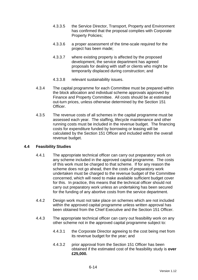- 4.3.3.5 the Service Director, Transport, Property and Environment has confirmed that the proposal complies with Corporate Property Policies;
- 4.3.3.6 a proper assessment of the time-scale required for the project has been made;
- 4.3.3.7 where existing property is affected by the proposed development, the service department has agreed proposals for dealing with staff or clients who might be temporarily displaced during construction; and
- 4.3.3.8 relevant sustainability issues.
- 4.3.4 The capital programme for each Committee must be prepared within the block allocation and individual scheme approvals approved by Finance and Property Committee. All costs should be at estimated out-turn prices, unless otherwise determined by the Section 151 Officer.
- 4.3.5 The revenue costs of all schemes in the capital programme must be assessed each year. The staffing, lifecycle maintenance and other running costs must be included in the revenue budget. The financing costs for expenditure funded by borrowing or leasing will be calculated by the Section 151 Officer and included within the overall revenue budget.

# **4.4 Feasibility Studies**

- 4.4.1 The appropriate technical officer can carry out preparatory work on any scheme included in the approved capital programme. The costs of this work must be charged to that scheme. If for any reason the scheme does not go ahead, then the costs of preparatory work undertaken must be charged to the revenue budget of the Committee concerned, which will need to make available sufficient budget cover for this. In practice, this means that the technical officer should not carry out preparatory work unless an undertaking has been secured for the funding of any abortive costs from the service department.
- 4.4.2 Design work must not take place on schemes which are not included within the approved capital programme unless written approval has been obtained from the Chief Executive and the Section 151 Officer.
- 4.4.3 The appropriate technical officer can carry out feasibility work on any other scheme not in the approved capital programme subject to:
	- 4.4.3.1 the Corporate Director agreeing to the cost being met from its revenue budget for the year; and
	- 4.4.3.2 prior approval from the Section 151 Officer has been obtained if the estimated cost of the feasibility study is **over £25,000.**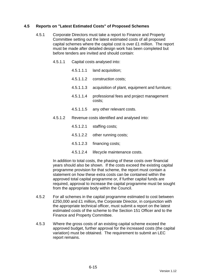# **4.5 Reports on "Latest Estimated Costs" of Proposed Schemes**

- 4.5.1 Corporate Directors must take a report to Finance and Property Committee setting out the latest estimated costs of all proposed capital schemes where the capital cost is over £1 million. The report must be made after detailed design work has been completed but before tenders are invited and should contain:
	- 4.5.1.1 Capital costs analysed into:
		- 4.5.1.1.1 land acquisition;
		- 4.5.1.1.2 construction costs;
		- 4.5.1.1.3 acquisition of plant, equipment and furniture;
		- 4.5.1.1.4 professional fees and project management costs;
		- 4.5.1.1.5 any other relevant costs.
	- 4.5.1.2 Revenue costs identified and analysed into:
		- 4.5.1.2.1 staffing costs;
		- 4.5.1.2.2 other running costs;
		- 4.5.1.2.3 financing costs;
		- 4.5.1.2.4 lifecycle maintenance costs.

In addition to total costs, the phasing of these costs over financial years should also be shown. If the costs exceed the existing capital programme provision for that scheme, the report must contain a statement on how these extra costs can be contained within the approved total capital programme or, if further capital funds are required, approval to increase the capital programme must be sought from the appropriate body within the Council.

- 4.5.2 For all schemes in the capital programme estimated to cost between £250,000 and £1 million**,** the Corporate Director, in conjunction with the appropriate technical officer, must submit a report on the latest estimated costs of the scheme to the Section 151 Officer and to the Finance and Property Committee.
- 4.5.3 Where the gross costs of an existing capital scheme exceed the approved budget, further approval for the increased costs (the capital variation) must be obtained. The requirement to submit an LEC report remains.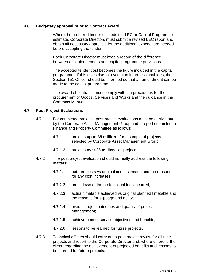#### **4.6 Budgetary approval prior to Contract Award**

 Where the preferred tender exceeds the LEC or Capital Programme estimate, Corporate Directors must submit a revised LEC report and obtain all necessary approvals for the additional expenditure needed before accepting the tender.

 Each Corporate Director must keep a record of the difference between accepted tenders and capital programme provisions.

 The accepted tender cost becomes the figure included in the capital programme. If this gives rise to a variation in professional fees, the Section 151 Officer should be informed so that an amendment can be made to the capital programme.

 The award of contracts must comply with the procedures for the procurement of Goods, Services and Works and the guidance in the Contracts Manual.

#### **4.7 Post-Project Evaluations**

- 4.7.1 For completed projects, post-project evaluations must be carried out by the Corporate Asset Management Group and a report submitted to Finance and Property Committee as follows:
	- 4.7.1.1 projects **up to £5 million** for a sample of projects selected by Corporate Asset Management Group;
	- 4.7.1.2 projects **over £5 million** all projects.
- 4.7.2 The post project evaluation should normally address the following matters:
	- 4.7.2.1 out-turn costs vs original cost estimates and the reasons for any cost increases;
	- 4.7.2.2 breakdown of the professional fees incurred;
	- 4.7.2.3 actual timetable achieved vs original planned timetable and the reasons for slippage and delays;
	- 4.7.2.4 overall project outcomes and quality of project management;
	- 4.7.2.5 achievement of service objectives and benefits;
	- 4.7.2.6 lessons to be learned for future projects.
- 4.7.3 Technical officers should carry out a post project review for all their projects and report to the Corporate Director and, where different, the client, regarding the achievement of projected benefits and lessons to be learned for future projects.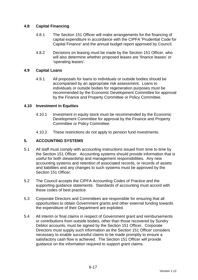# **4.8 Capital Financing**

- 4.8.1 The Section 151 Officer will make arrangements for the financing of capital expenditure in accordance with the CIPFA 'Prudential Code for Capital Finance' and the annual budget report approved by Council.
- 4.8.2 Decisions on leasing must be made by the Section 151 Officer, who will also determine whether proposed leases are 'finance leases' or 'operating leases'.

# **4.9 Capital Loans**

4.9.1 All proposals for loans to individuals or outside bodies should be accompanied by an appropriate risk assessment. Loans to individuals or outside bodies for regeneration purposes must be recommended by the Economic Development Committee for approval by the Finance and Property Committee or Policy Committee.

# **4.10 Investment in Equities**

- 4.10.1 Investment in equity stock must be recommended by the Economic Development Committee for approval by the Finance and Property Committee or Policy Committee.
- 4.10.2 These restrictions do not apply to pension fund investments.

# **5. ACCOUNTING SYSTEMS**

- 5.1 All staff must comply with accounting instructions issued from time to time by the Section 151 Officer. Accounting systems should provide information that is useful for both stewardship and management responsibilities. Any new accounting systems and retention of associated records, or records of assets and liabilities and any changes to such systems must be approved by the Section 151 Officer.
- 5.2 The Council accepts the CIPFA Accounting Codes of Practice and the supporting guidance statements. Standards of accounting must accord with these codes of best practice.
- 5.3 Corporate Directors and Committees are responsible for ensuring that all opportunities to obtain Government grants and other external funding towards the expenditure of their Department are exploited.
- 5.4 All interim or final claims in respect of Government grant and reimbursements or contributions from outside bodies, other than those recovered by Sundry Debtor accounts, must be signed by the Section 151 Officer. Corporate Directors must supply such information as the Section 151 Officer considers necessary to enable successful claims to be made promptly to ensure a satisfactory cash flow is achieved. The Section 151 Officer will provide guidance on the information required to support grant claims.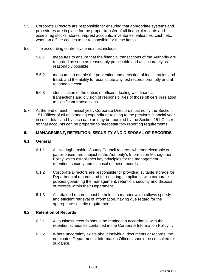- 5.5 Corporate Directors are responsible for ensuring that appropriate systems and procedures are in place for the proper transfer of all financial records and assets, eg stocks, stores, imprest accounts, inventories, valuables, cash, etc, when an officer ceases to be responsible for these items.
- 5.6 The accounting control systems must include:
	- 5.6.1 measures to ensure that the financial transactions of the Authority are recorded as soon as reasonably practicable and as accurately as reasonably possible;
	- 5.6.2 measures to enable the prevention and detection of inaccuracies and fraud, and the ability to reconstitute any lost records promptly and at reasonable cost;
	- 5.6.3 identification of the duties of officers dealing with financial transactions and division of responsibilities of those officers in relation to significant transactions.
- 5.7 At the end of each financial year, Corporate Directors must notify the Section 151 Officer of all outstanding expenditure relating to the previous financial year in such detail and by such date as may be required by the Section 151 Officer so that accounts can be prepared to meet statutory reporting requirements.

# **6. MANAGEMENT, RETENTION, SECURITY AND DISPOSAL OF RECORDS**

# **6.1 General**

- 6.1.1 All Nottinghamshire County Council records, whether electronic or paper-based, are subject to the Authority's Information Management Policy which establishes key principles for the management, retention, security and disposal of these records.
- 6.1.2 Corporate Directors are responsible for providing suitable storage for Departmental records and for ensuring compliance with corporate policies governing the management, retention, security and disposal of records within their Department.
- 6.1.3 All retained records must be held in a manner which allows speedy and efficient retrieval of information, having due regard for the appropriate security requirements.

# **6.2 Retention of Records**

- 6.2.1 All business records should be retained in accordance with the retention schedules contained in the Corporate Information Policy. .
- 6.2.2 Where uncertainty exists about individual documents or records, the nominated Departmental Information Officers should be consulted for guidance.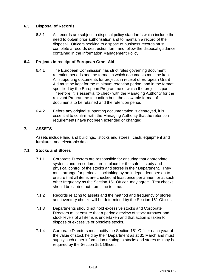# **6.3 Disposal of Records**

6.3.1 All records are subject to disposal policy standards which include the need to obtain prior authorisation and to maintain a record of the disposal. Officers seeking to dispose of business records must complete a records destruction form and follow the disposal guidance contained in the Information Management Policy.

# **6.4 Projects in receipt of European Grant Aid**

- 6.4.1 The European Commission has strict rules governing document retention periods and the format in which documents must be kept. All supporting documents for projects in receipt of European Grant Aid must be kept for the minimum retention period, and in the format, specified by the European Programme of which the project is part. Therefore, it is essential to check with the Managing Authority for the relevant Programme to confirm both the allowable format of documents to be retained and the retention period.
- 6.4.2 Before any original supporting documentation is destroyed, it is essential to confirm with the Managing Authority that the retention requirements have not been extended or changed.

# **7. ASSETS**

Assets include land and buildings, stocks and stores, cash, equipment and furniture, and electronic data.

# **7.1 Stocks and Stores**

- 7.1.1 Corporate Directors are responsible for ensuring that appropriate systems and procedures are in place for the safe custody and physical control of the stocks and stores in their Department. They must arrange for periodic stocktaking by an independent person to ensure that all items are checked at least once per annum or at such other frequency as the Section 151 Officer may agree. Test checks should be carried out from time to time.
- 7.1.2 Records relating to assets and the method and frequency of stores and inventory checks will be determined by the Section 151 Officer.
- 7.1.3 Departments should not hold excessive stocks and Corporate Directors must ensure that a periodic review of stock turnover and stock levels of all items is undertaken and that action is taken to dispose of excessive or obsolete stocks.
- 7.1.4 Corporate Directors must notify the Section 151 Officer each year of the value of stock held by their Department as at 31 March and must supply such other information relating to stocks and stores as may be required by the Section 151 Officer.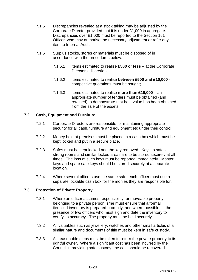- 7.1.5 Discrepancies revealed at a stock taking may be adjusted by the Corporate Director provided that it is under £1,000 in aggregate. Discrepancies over £1,000 must be reported to the Section 151 Officer who may authorise the necessary adjustment or refer any item to Internal Audit.
- 7.1.6 Surplus stocks, stores or materials must be disposed of in accordance with the procedures below:
	- 7.1.6.1 items estimated to realise **£500 or less** at the Corporate Directors' discretion;
	- 7.1.6.2 items estimated to realise **between £500 and £10,000** competitive quotations must be sought;
	- 7.1.6.3 items estimated to realise **more than £10,000** an appropriate number of tenders must be obtained (and retained) to demonstrate that best value has been obtained from the sale of the assets.

# **7.2 Cash, Equipment and Furniture**

- 7.2.1 Corporate Directors are responsible for maintaining appropriate security for all cash, furniture and equipment etc under their control.
- 7.2.2 Money held at premises must be placed in a cash box which must be kept locked and put in a secure place.
- 7.2.3 Safes must be kept locked and the key removed. Keys to safes, strong rooms and similar locked areas are to be stored securely at all times. The loss of such keys must be reported immediately. Master keys and spare safe keys should be stored securely at a separate location.
- 7.2.4 Where several officers use the same safe, each officer must use a separate lockable cash box for the monies they are responsible for.

# **7.3 Protection of Private Property**

- 7.3.1 Where an officer assumes responsibility for moveable property belonging to a private person, s/he must ensure that a formal itemised inventory is prepared promptly, and where possible, in the presence of two officers who must sign and date the inventory to certify its accuracy. The property must be held securely.
- 7.3.2 All valuables such as jewellery, watches and other small articles of a similar nature and documents of title must be kept in safe custody.
- 7.3.3 All reasonable steps must be taken to return the private property to its rightful owner. Where a significant cost has been incurred by the Council in providing safe custody, the cost should be recovered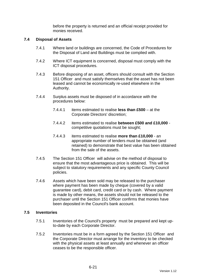before the property is returned and an official receipt provided for monies received.

#### **7.4 Disposal of Assets**

- 7.4.1 Where land or buildings are concerned, the Code of Procedures for the Disposal of Land and Buildings must be complied with.
- 7.4.2 Where ICT equipment is concerned, disposal must comply with the ICT disposal procedures.
- 7.4.3 Before disposing of an asset, officers should consult with the Section 151 Officer and must satisfy themselves that the asset has not been leased and cannot be economically re-used elsewhere in the Authority.
- 7.4.4 Surplus assets must be disposed of in accordance with the procedures below:
	- 7.4.4.1 items estimated to realise **less than £500** at the Corporate Directors' discretion;
	- 7.4.4.2 items estimated to realise **between £500 and £10,000** competitive quotations must be sought;
	- 7.4.4.3 items estimated to realise **more than £10,000** an appropriate number of tenders must be obtained (and retained) to demonstrate that best value has been obtained from the sale of the assets.
- 7.4.5 The Section 151 Officer will advise on the method of disposal to ensure that the most advantageous price is obtained. This will be subject to statutory requirements and any specific County Council policies.
- 7.4.6 Assets which have been sold may be released to the purchaser where payment has been made by cheque (covered by a valid guarantee card), debit card, credit card or by cash. Where payment is made by other means, the assets should not be released to the purchaser until the Section 151 Officer confirms that monies have been deposited in the Council's bank account.

#### **7.5 Inventories**

- 7.5.1 Inventories of the Council's property must be prepared and kept upto-date by each Corporate Director.
- 7.5.2 Inventories must be in a form agreed by the Section 151 Officer and the Corporate Director must arrange for the inventory to be checked with the physical assets at least annually and whenever an officer ceases to be the responsible officer.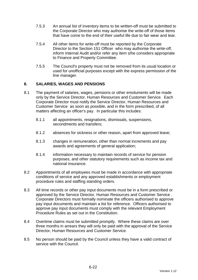- 7.5.3 An annual list of inventory items to be written-off must be submitted to the Corporate Director who may authorise the write-off of those items that have come to the end of their useful life due to fair wear and tear.
- 7.5.4 All other items for write-off must be reported by the Corporate Director to the Section 151 Officer who may authorise the write-off, inform Internal Audit and/or refer any item s/he considers appropriate to Finance and Property Committee.
- 7.5.5 The Council's property must not be removed from its usual location or used for unofficial purposes except with the express permission of the line manager.

# **8. SALARIES, WAGES AND PENSIONS**

- 8.1 The payment of salaries, wages, pensions or other emoluments will be made only by the Service Director, Human Resources and Customer Service. Each Corporate Director must notify the Service Director, Human Resources and Customer Service as soon as possible, and in the form prescribed, of all matters affecting an officer's pay. In particular this includes:
	- 8.1.1 all appointments, resignations, dismissals, suspensions, secondments and transfers;
	- 8.1.2 absences for sickness or other reason, apart from approved leave;
	- 8.1.3 changes in remuneration, other than normal increments and pay awards and agreements of general application;
	- 8.1.4 information necessary to maintain records of service for pension purposes, and other statutory requirements such as income tax and national insurance.
- 8.2 Appointments of all employees must be made in accordance with appropriate conditions of service and any approved establishments or employment procedure rules and staffing standing orders.
- 8.3 All time records or other pay input documents must be in a form prescribed or approved by the Service Director, Human Resources and Customer Service . Corporate Directors must formally nominate the officers authorised to approve pay input documents and maintain a list for reference. Officers authorised to approve pay input documents must comply with the relevant Employment Procedure Rules as set out in the Constitution.
- 8.4 Overtime claims must be submitted promptly. Where these claims are over three months in arrears they will only be paid with the approval of the Service Director, Human Resources and Customer Service.
- 8.5 No person should be paid by the Council unless they have a valid contract of service with the Council.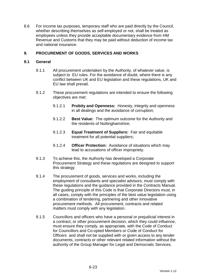8.6 For income tax purposes, temporary staff who are paid directly by the Council, whether describing themselves as self-employed or not, shall be treated as employees unless they provide acceptable documentary evidence from HM Revenue and Customs that they may be paid without deduction of income tax and national insurance.

# **9. PROCUREMENT OF GOODS, SERVICES AND WORKS**

# **9.1 General**

- 9.1.1 All procurement undertaken by the Authority, of whatever value, is subject to EU rules. For the avoidance of doubt, where there is any conflict between UK and EU legislation and these regulations, UK and EU law shall prevail.
- 9.1.2 These procurement regulations are intended to ensure the following objectives are met:
	- 9.1.2.1 **Probity and Openness:** Honesty, integrity and openness in all dealings and the avoidance of corruption;
	- 9.1.2.2 **Best Value:** The optimum outcome for the Authority and the residents of Nottinghamshire;
	- 9.1.2.3 **Equal Treatment of Suppliers:** Fair and equitable treatment for all potential suppliers;
	- 9.1.2.4 **Officer Protection:** Avoidance of situations which may lead to accusations of officer impropriety.
- 9.1.3 To achieve this, the Authority has developed a Corporate Procurement Strategy and these regulations are designed to support this strategy.
- 9.1.4 The procurement of goods, services and works, including the employment of consultants and specialist advisors, must comply with these regulations and the guidance provided in the Contracts Manual. The guiding principle of this Code is that Corporate Directors must, in all cases, comply with the principles of the best value legislation using a combination of tendering, partnering and other innovative procurement methods. All procurement, contracts and related matters must comply with any legislation.
- 9.1.5 Councillors and officers who have a personal or prejudicial interest in a contract, or other procurement decision, which they could influence, must ensure they comply, as appropriate, with the Code of Conduct for Councillors and Co-opted Members or Code of Conduct for Officers and shall not be supplied with or given access to any tender documents, contracts or other relevant related information without the authority of the Group Manager for Legal and Democratic Services.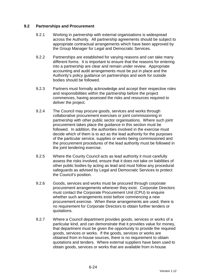# **9.2 Partnerships and Procurement**

- 9.2.1 Working in partnership with external organisations is widespread across the Authority. All partnership agreements should be subject to appropriate contractual arrangements which have been approved by the Group Manager for Legal and Democratic Services.
- 9.2.2 Partnerships are established for varying reasons and can take many different forms. It is important to ensure that the reasons for entering into a partnership are clear and remain under review. Appropriate accounting and audit arrangements must be put in place and the Authority's policy guidance on partnerships and work for outside bodies should be followed.
- 9.2.3 Partners must formally acknowledge and accept their respective roles and responsibilities within the partnership before the project commences, having assessed the risks and resources required to deliver the project.
- 9.2.4 The Council may procure goods, services and works through collaborative procurement exercises or joint commissioning in partnership with other public sector organisations. Where such joint procurement takes place the guidance in this section must be followed. In addition, the authorities involved in the exercise must decide which of them is to act as the lead authority for the purposes of the particular service, supplies or works being commissioned and the procurement procedures of the lead authority must be followed in the joint tendering exercise.
- 9.2.5 Where the County Council acts as lead authority it must carefully assess the risks involved, ensure that it does not take on liabilities of other public bodies by acting as lead and must follow any procedural safeguards as advised by Legal and Democratic Services to protect the Council's position.
- 9.2.6 Goods, services and works must be procured through corporate procurement arrangements wherever they exist. Corporate Directors must contact the Corporate Procurement Unit (CPU) to enquire whether such arrangements exist before commencing a new procurement exercise. When these arrangements are used, there is no requirement for Corporate Directors to obtain further tenders or quotations.
- 9.2.7 Where a Council department provides goods, services or works of a particular kind, and can demonstrate that it provides value for money, that department must be given the opportunity to provide the required goods, services or works. If the goods, services or works are obtained from in-house sources, there is no requirement to obtain quotations and tenders. Where external suppliers have been used to obtain goods, services or works that are available from in-house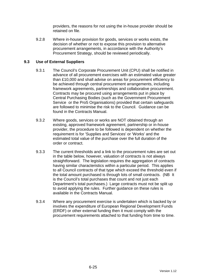providers, the reasons for not using the in-house provider should be retained on file.

9.2.8 Where in-house provision for goods, services or works exists, the decision of whether or not to expose this provision to alternative procurement arrangements, in accordance with the Authority's Procurement Strategy, should be reviewed periodically.

# **9.3 Use of External Suppliers**

- 9.3.1 The Council's Corporate Procurement Unit (CPU) shall be notified in advance of all procurement exercises with an estimated value greater than £10,000 and shall advise on areas for procurement efficiency to be achieved through central procurement arrangements, including framework agreements, partnerships and collaborative procurement. Contracts may be procured using arrangements put in place by Central Purchasing Bodies (such as the Government Procurement Service or the Pro5 Organisations) provided that certain safeguards are followed to minimise the risk to the Council. Guidance can be found in the Contracts Manual.
- 9.3.2 Where goods, services or works are NOT obtained through an existing, approved framework agreement, partnership or in-house provider, the procedure to be followed is dependent on whether the requirement is for 'Supplies and Services' or 'Works' and the estimated total value of the purchase over the full duration of the order or contract.
- 9.3.3 The current thresholds and a link to the procurement rules are set out in the table below, however, valuation of contracts is not always straightforward. The legislation requires the aggregation of contracts having similar characteristics within a particular period. This applies to all Council contracts of that type which exceed the threshold even if the total amount purchased is through lots of small contracts. (NB It is the Council's total purchases that count and not just each Department's total purchases.) Large contracts must not be split up to avoid applying the rules. Further guidance on these rules is available in the Contracts Manual.
- 9.3.4 Where any procurement exercise is undertaken which is backed by or involves the expenditure of European Regional Development Funds (ERDF) or other external funding then it must comply with the procurement requirements attached to that funding from time to time.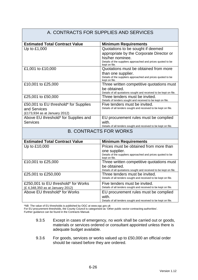#### A. CONTRACTS FOR SUPPLIES AND SERVICES **Estimated Total Contract Value Minimum Requirements** Up to £1,000  $\vert$  Quotations to be sought if deemed appropriate by the Corporate Director or his/her nominee. Details of the suppliers approached and prices quoted to be kept on file. £1,001 to £10,000 Quotations must be obtained from more than one supplier. Details of the suppliers approached and prices quoted to be kept on file. £10,001 to £25,000 Three written competitive quotations must be obtained. Details of all quotations sought and received to be kept on file. £25,001 to £50,000 Three tenders must be invited. Details of tenders sought and received to be kept on file. £50,001 to EU threshold\* for Supplies and Services (£173,934 as at January 2012) Five tenders must be invited. Details of all tenders sought and received to be kept on file. Above EU threshold\* for Supplies and **Services** EU procurement rules must be complied with. Details of all tenders sought and received to be kept on file. B. CONTRACTS FOR WORKS **Estimated Total Contract Value | Minimum Requirements** Up to £10,000 Prices must be obtained from more than one supplier. Details of the suppliers approached and prices quoted to be kept on file. £10,001 to £25,000 Three written competitive quotations must be obtained. Details of all quotations sought and received to be kept on file. £25,001 to £250,000 Three tenders must be invited. Details of all tenders sought and received to be kept on file. £250,001 to EU threshold\* for Works (£ 4,348,350 as at January 2012) Five tenders must be invited. Details of all tenders sought and received to be kept on file. Above EU threshold\* for Works **EU** procurement rules must be complied with. Details of all tenders sought and received to be kept on file.

\*NB The value of EU thresholds is published by OGC at www.ogc.gov.uk

For EU procurement thresholds, the County Council is categorised as 'Other public sector contracting authorities'.

Further guidance can be found in the Contracts Manual.

- 9.3.5 Except in cases of emergency, no work shall be carried out or goods, materials or services ordered or consultant appointed unless there is adequate budget available.
- 9.3.6 For goods, services or works valued up to £50,000 an official order should be raised before they are ordered.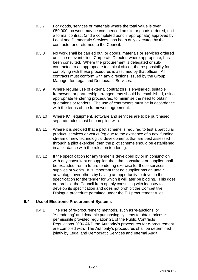- 9.3.7 For goods, services or materials where the total value is over £50,000, no work may be commenced on site or goods ordered, until a formal contract (and a completed bond if appropriate) approved by Legal and Democratic Services, has been duly executed by the contractor and returned to the Council.
- 9.3.8 No work shall be carried out, or goods, materials or services ordered until the relevant client Corporate Director, where appropriate, has been consulted. Where the procurement is delegated or subcontracted to an appropriate technical officer, the responsibility for complying with these procedures is assumed by that officer. All contracts must conform with any directions issued by the Group Manager for Legal and Democratic Services.
- 9.3.9 Where regular use of external contractors is envisaged, suitable framework or partnership arrangements should be established, using appropriate tendering procedures, to minimise the need to obtain quotations or tenders. The use of contractors must be in accordance with the terms of the framework agreement.
- 9.3.10 Where ICT equipment, software and services are to be purchased, separate rules must be complied with.
- 9.3.11 Where it is decided that a pilot scheme is required to test a particular product, services or works (eg due to the existence of a new funding stream or new technological developments that are best assessed through a pilot exercise) then the pilot scheme should be established in accordance with the rules on tendering.
- 9.3.12 If the specification for any tender is developed by or in conjunction with any consultant or supplier, then that consultant or supplier shall be excluded from a future tendering exercise for those services, supplies or works. It is important that no supplier has an unfair advantage over others by having an opportunity to develop the specification for the tender for which it will later be bidding. This does not prohibit the Council from openly consulting with industry to develop its specification and does not prohibit the Competitive Dialogue procedure permitted under the EU procurement rules.

# **9.4 Use of Electronic Procurement Systems**

9.4.1 The use of 'e-procurement' methods, such as 'e-auctions' or 'e-tendering' and dynamic purchasing systems to obtain prices is permissible provided regulation 21 of the Public Contracts Regulations 2006 AND the Authority's procedures for e-procurement are complied with. The Authority's procedures shall be determined jointly by Legal and Democratic Services and Internal Audit.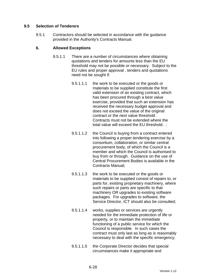# **9.5 Selection of Tenderers**

9.5.1 Contractors should be selected in accordance with the guidance provided in the Authority's Contracts Manual.

# **6. Allowed Exceptions**

- 9.5.1.1 There are a number of circumstances where obtaining quotations and tenders for amounts less than the EU threshold may not be possible or necessary. Subject to the EU rules and proper approval , tenders and quotations need not be sought if:
	- 9.5.1.1.1 the work to be executed or the goods or materials to be supplied constitute the first valid extension of an existing contract, which has been procured through a best value exercise, provided that such an extension has received the necessary budget approval and does not exceed the value of the original contract or the next value threshold . Contracts must not be extended where the total value will exceed the EU threshold. ;
	- 9.5.1.1.2 the Council is buying from a contract entered into following a proper tendering exercise by a consortium, collaboration, or similar central procurement body, of which the Council is a member and which the Council is authorised to buy from or through. Guidance on the use of Central Procurement Bodies is available in the Contracts Manual;
	- 9.5.1.1.3 the work to be executed or the goods or materials to be supplied consist of repairs to, or parts for, existing proprietary machinery, where such repairs or parts are specific to that machinery OR upgrades to existing software packages. For upgrades to software, the Service Director, ICT should also be consulted;
	- 9.5.1.1.4 works, supplies or services are urgently needed for the immediate protection of life or property, or to maintain the immediate functioning of a public service for which the Council is responsible. In such cases the contract must only last as long as is reasonably necessary to deal with the specific emergency;
	- 9.5.1.1.5 the Corporate Director decides that special circumstances make it appropriate and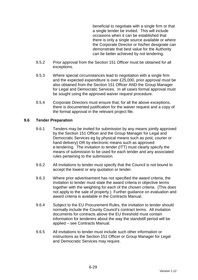beneficial to negotiate with a single firm or that a single tender be invited. This will include occasions when it can be established that there is only a single source available or where the Corporate Director or his/her designate can demonstrate that best value for the Authority can be better achieved by not tendering.

- 9.5.2 Prior approval from the Section 151 Officer must be obtained for all exceptions.
- 9.5.3 Where special circumstances lead to negotiation with a single firm and the expected expenditure is over £25,000, prior approval must be also obtained from the Section 151 Officer AND the Group Manager for Legal and Democratic Services. In all cases formal approval must be sought using the approved waiver request procedure.
- 9.5.4 Corporate Directors must ensure that, for all the above exceptions, there is documented justification for the waiver request and a copy of the formal approval in the relevant project file.

# **9.6 Tender Preparation**

- 9.6.1 Tenders may be invited for submission by any means jointly approved by the Section 151 Officer and the Group Manager for Legal and Democratic Services eg by physical means such as post, courier or hand delivery) OR by electronic means such as approved e-tendering. The invitation to tender (ITT) must clearly specify the means of submission to be used for each tender and any associated rules pertaining to the submission.
- 9.6.2 All invitations to tender must specify that the Council is not bound to accept the lowest or any quotation or tender.
- 9.6.3 Where prior advertisement has not specified the award criteria, the invitation to tender must state the award criteria in objective terms together with the weighting for each of the chosen criteria. (This does not apply to the sale of property.) Further guidance on evaluation and award criteria is available in the Contracts Manual.
- 9.6.4 Subject to the EU Procurement Rules, the invitation to tender should normally include the County Council's contract terms. All invitation documents for contracts above the EU threshold must contain information for tenderers about the way the standstill period will be applied – see Contracts Manual.
- 9.6.5 All invitations to tender must include such other information or instructions as the Section 151 Officer or Group Manager for Legal and Democratic Services may require.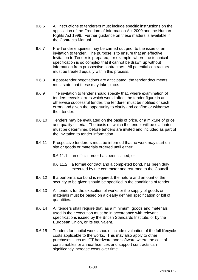- 9.6.6 All instructions to tenderers must include specific instructions on the application of the Freedom of Information Act 2000 and the Human Rights Act 1998. Further guidance on these matters is available in the Contracts Manual.
- 9.6.7 Pre-Tender enquiries may be carried out prior to the issue of an invitation to tender. The purpose is to ensure that an effective Invitation to Tender is prepared, for example, where the technical specification is so complex that it cannot be drawn up without information from prospective contractors. All potential contractors must be treated equally within this process.
- 9.6.8 If post-tender negotiations are anticipated, the tender documents must state that these may take place.
- 9.6.9 The invitation to tender should specify that, where examination of tenders reveals errors which would affect the tender figure in an otherwise successful tender, the tenderer must be notified of such errors and given the opportunity to clarify and confirm or withdraw their tender.
- 9.6.10 Tenders may be evaluated on the basis of price, or a mixture of price and quality criteria. The basis on which the tender will be evaluated must be determined before tenders are invited and included as part of the invitation to tender information.
- 9.6.11 Prospective tenderers must be informed that no work may start on site or goods or materials ordered until either:
	- 9.6.11.1 an official order has been issued; or
	- 9.6.11.2 a formal contract and a completed bond, has been duly executed by the contractor and returned to the Council.
- 9.6.12 If a performance bond is required, the nature and amount of the security to be given should be specified in the conditions of tender.
- 9.6.13 All tenders for the execution of works or the supply of goods or materials must be based on a clearly defined specification or bill of quantities.
- 9.6.14 All tenders shall require that, as a minimum, goods and materials used in their execution must be in accordance with relevant specifications issued by the British Standards Institute, or by the European Union, or its equivalent.
- 9.6.15 Tenders for capital works should include evaluation of the full lifecycle costs applicable to the works. This may also apply to other purchases such as ICT hardware and software where the cost of consumables or annual licences and support contracts can significantly increase costs over time.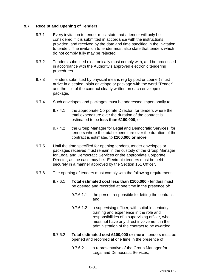# **9.7 Receipt and Opening of Tenders**

- 9.7.1 Every invitation to tender must state that a tender will only be considered if it is submitted in accordance with the instructions provided, and received by the date and time specified in the invitation to tender. The invitation to tender must also state that tenders which do not comply fully may be rejected.
- 9.7.2 Tenders submitted electronically must comply with, and be processed in accordance with the Authority's approved electronic tendering procedures.
- 9.7.3 Tenders submitted by physical means (eg by post or courier) must arrive in a sealed, plain envelope or package with the word "Tender" and the title of the contract clearly written on each envelope or package.
- 9.7.4 Such envelopes and packages must be addressed impersonally to:
	- 9.7.4.1 the appropriate Corporate Director, for tenders where the total expenditure over the duration of the contract is estimated to be **less than £100,000**; or
	- 9.7.4.2 the Group Manager for Legal and Democratic Services, for tenders where the total expenditure over the duration of the contract is estimated to **£100,000 or more.**
- 9.7.5 Until the time specified for opening tenders, tender envelopes or packages received must remain in the custody of the Group Manager for Legal and Democratic Services or the appropriate Corporate Director, as the case may be. Electronic tenders must be held securely in a manner approved by the Section 151 Officer.
- 9.7.6 The opening of tenders must comply with the following requirements:
	- 9.7.6.1 **Total estimated cost less than £100,000** tenders must be opened and recorded at one time in the presence of:
		- 9.7.6.1.1 the person responsible for letting the contract; and
		- 9.7.6.1.2 a supervising officer, with suitable seniority, training and experience in the role and responsibilities of a supervising officer, who must not have any direct involvement in the administration of the contract to be awarded.
	- 9.7.6.2 **Total estimated cost £100,000 or more** tenders must be opened and recorded at one time in the presence of:
		- 9.7.6.2.1 a representative of the Group Manager for Legal and Democratic Services;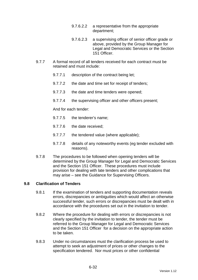- 9.7.6.2.2 a representative from the appropriate department;
- 9.7.6.2.3 a supervising officer of senior officer grade or above, provided by the Group Manager for Legal and Democratic Services or the Section 151 Officer.
- 9.7.7 A formal record of all tenders received for each contract must be retained and must include:
	- 9.7.7.1 description of the contract being let;
	- 9.7.7.2 the date and time set for receipt of tenders;
	- 9.7.7.3 the date and time tenders were opened;
	- 9.7.7.4 the supervising officer and other officers present;

And for each tender:

- 9.7.7.5 the tenderer's name;
- 9.7.7.6 the date received;
- 9.7.7.7 the tendered value (where applicable);
- 9.7.7.8 details of any noteworthy events (eg tender excluded with reasons).
- 9.7.8 The procedures to be followed when opening tenders will be determined by the Group Manager for Legal and Democratic Services and the Section 151 Officer. These procedures must include provision for dealing with late tenders and other complications that may arise – see the Guidance for Supervising Officers.

# **9.8 Clarification of Tenders**

- 9.8.1 If the examination of tenders and supporting documentation reveals errors, discrepancies or ambiguities which would affect an otherwise successful tender, such errors or discrepancies must be dealt with in accordance with the procedures set out in the invitation to tender.
- 9.8.2 Where the procedure for dealing with errors or discrepancies is not clearly specified by the invitation to tender, the tender must be referred to the Group Manager for Legal and Democratic Services and the Section 151 Officer for a decision on the appropriate action to be taken.
- 9.8.3 Under no circumstances must the clarification process be used to attempt to seek an adjustment of prices or other changes to the specification tendered. Nor must prices or other confidential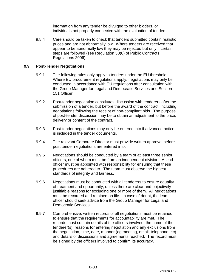information from any tender be divulged to other bidders, or individuals not properly connected with the evaluation of tenders.

9.8.4 Care should be taken to check that tenders submitted contain realistic prices and are not abnormally low. Where tenders are received that appear to be abnormally low they may be rejected but only if certain steps are followed (see Regulation 30(6) of Public Contracts Regulations 2006).

# **9.9 Post-Tender Negotiations**

- 9.9.1 The following rules only apply to tenders under the EU threshold. Where EU procurement regulations apply, negotiations may only be conducted in accordance with EU regulations after consultation with the Group Manager for Legal and Democratic Services and Section 151 Officer.
- 9.9.2 Post-tender negotiation constitutes discussion with tenderers after the submission of a tender, but before the award of the contract, including negotiations following the receipt of non-compliant bids. The purpose of post-tender discussion may be to obtain an adjustment to the price, delivery or content of the contract.
- 9.9.3 Post-tender negotiations may only be entered into if advanced notice is included in the tender documents.
- 9.9.4 The relevant Corporate Director must provide written approval before post tender negotiations are entered into.
- 9.9.5 Negotiations should be conducted by a team of at least three senior officers, one of whom must be from an independent division. A lead officer must be appointed with responsibility for ensuring that these procedures are adhered to. The team must observe the highest standards of integrity and fairness.
- 9.9.6 Negotiations must be conducted with all tenderers to ensure equality of treatment and opportunity, unless there are clear and objectively justifiable reasons for excluding one or more of them. All negotiations must be recorded and retained on file. In case of doubt, the lead officer should seek advice from the Group Manager for Legal and Democratic Services.
- 9.9.7 Comprehensive, written records of all negotiations must be retained to ensure that the requirements for accountability are met. The records must contain details of the officers involved, the name of the tenderer(s), reasons for entering negotiation and any exclusions from the negotiation, time, date, manner (eg meeting, email, telephone etc) and details of discussions and agreements reached. The record must be signed by the officers involved to confirm its accuracy.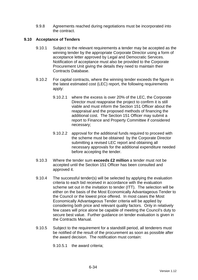9.9.8 Agreements reached during negotiations must be incorporated into the contract.

# **9.10 Acceptance of Tenders**

- 9.10.1 Subject to the relevant requirements a tender may be accepted as the winning tender by the appropriate Corporate Director using a form of acceptance letter approved by Legal and Democratic Services. Notification of acceptance must also be provided to the Corporate Procurement Unit giving the details they need to maintain their Contracts Database.
- 9.10.2 For capital contracts, where the winning tender exceeds the figure in the latest estimated cost (LEC) report, the following requirements apply:
	- 9.10.2.1 where the excess is over 20% of the LEC, the Corporate Director must reappraise the project to confirm it is still viable and must inform the Section 151 Officer about the reappraisal and the proposed methods of financing the additional cost. The Section 151 Officer may submit a report to Finance and Property Committee if considered necessary;
	- 9.10.2.2 approval for the additional funds required to proceed with the scheme must be obtained by the Corporate Director submitting a revised LEC report and obtaining all necessary approvals for the additional expenditure needed before accepting the tender.
- 9.10.3 Where the tender sum **exceeds £2 million** a tender must not be accepted until the Section 151 Officer has been consulted and approved it.
- 9.10.4 The successful tender(s) will be selected by applying the evaluation criteria to each bid received in accordance with the evaluation scheme set out in the invitation to tender (ITT). The selection will be either on the basis of the Most Economically Advantageous Tender to the Council or the lowest price offered. In most cases the Most Economically Advantageous Tender criteria will be applied by considering both price and relevant quality factors. Only in relatively few cases will price alone be capable of meeting the Council's duty to secure best value. Further guidance on tender evaluation is given in the Contracts Manual.
- 9.10.5 Subject to the requirement for a standstill period, all tenderers must be notified of the result of the procurement as soon as possible after the award decision. The notification must contain:

9.10.5.1 the award criteria;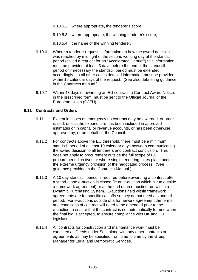- 9.10.5.2 where appropriate, the tenderer's score;
- 9.10.5.3 where appropriate, the winning tenderer's score;
- 9.10.5.4 the name of the winning tenderer.
- 9.10.6 Where a tenderer requests information on how the award decision was reached by midnight of the second working day of the standstill period (called a request for an "Accelerated Debrief") this information must be provided at least 3 days before the end of the standstill period or if necessary the standstill period must be extended accordingly. In all other cases detailed information must be provided within 15 calendar days of the request. (See also debriefing guidance in the Contracts manual.)
- 9.10.7 Within 48 days of awarding an EU contract, a Contract Award Notice, in the prescribed form, must be sent to the Official Journal of the European Union (OJEU).

#### **9.11 Contracts and Orders**

- 9.11.1 Except in cases of emergency no contract may be awarded, or order raised, unless the expenditure has been included in approved estimates or in capital or revenue accounts, or has been otherwise approved by, or on behalf of, the Council.
- 9.11.2 For contracts above the EU threshold, there must be a minimum standstill period of at least 10 calendar days between communicating the award decision to all tenderers and contract conclusion. This does not apply to procurement outside the full scope of EU procurement directives or where single tendering takes place under the extreme urgency provision of the negotiated process. (See guidance provided in the Contracts Manual.)
- 9.11.3 A 10 day standstill period is required before awarding a contract after a stand-alone e-auction is closed (ie an e-auction which is run outside a framework agreement) or at the end of an e-auction run within a Dynamic Purchasing System. E-auctions held within framework agreements are for specific call-offs so they do not need a standstill period. For e-auctions outside of a framework agreement the terms and conditions of contract will need to be amended prior to the e-auction to ensure that the contract is not automatically formed when the final bid is accepted, to ensure compliance with UK and EU legislation.
- 9.11.4 All contracts for construction and maintenance work must be executed as Deeds under Seal along with any other contracts or agreements as may be specified from time to time by the Group Manager for Legal and Democratic Services.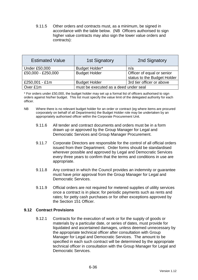9.11.5 Other orders and contracts must, as a minimum, be signed in accordance with the table below. (NB Officers authorised to sign higher value contracts may also sign the lower value orders and contracts):

| <b>Estimated Value</b> | <b>1st Signatory</b>                  | 2nd Signatory               |  |
|------------------------|---------------------------------------|-----------------------------|--|
| <b>Under £50,000</b>   | <b>Budget Holder*</b>                 | n/a                         |  |
| £50,000 - £250,000     | <b>Budget Holder</b>                  | Officer of equal or senior  |  |
|                        |                                       | status to the Budget Holder |  |
| £250,001 - £1m         | <b>Budget Holder</b>                  | 3rd tier officer or above   |  |
| Over £1m               | must be executed as a deed under seal |                             |  |

\* For orders under £50,000, the budget holder may set up a formal list of officers authorised to sign orders against his/her budget. This list must specify the value limit of the delegated authority for each officer.

- NB Where there is no relevant budget holder for an order or contract (eg where items are procured corporately on behalf of all Departments) the Budget Holder role may be undertaken by an appropriately authorised officer within the Corporate Procurement Unit.
	- 9.11.6 All tender and contract documents and orders must be in a form drawn up or approved by the Group Manager for Legal and Democratic Services and Group Manager Procurement.
	- 9.11.7 Corporate Directors are responsible for the control of all official orders issued from their Department. Order forms should be standardised wherever possible and approved by Legal and Democratic Services every three years to confirm that the terms and conditions in use are appropriate.
	- 9.11.8 Any contract in which the Council provides an indemnity or guarantee must have prior approval from the Group Manager for Legal and Democratic Services.
	- 9.11.9 Official orders are not required for metered supplies of utility services once a contract is in place; for periodic payments such as rents and rates; for petty cash purchases or for other exceptions approved by the Section 151 Officer.

# **9.12 Contract Provisions**

9.12.1 Contracts for the execution of work or for the supply of goods or materials by a particular date, or series of dates, must provide for liquidated and ascertained damages, unless deemed unnecessary by the appropriate technical officer after consultation with Group Manager for Legal and Democratic Services. The amount to be specified in each such contract will be determined by the appropriate technical officer in consultation with the Group Manager for Legal and Democratic Services.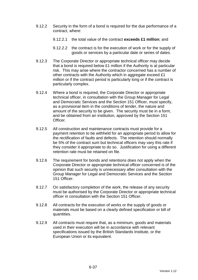- 9.12.2 Security in the form of a bond is required for the due performance of a contract, where:
	- 9.12.2.1 the total value of the contract **exceeds £1 million**; and
	- 9.12.2.2 the contract is for the execution of work or for the supply of goods or services by a particular date or series of dates.
- 9.12.3 The Corporate Director or appropriate technical officer may decide that a bond is required below £1 million if the Authority is at particular risk. This may arise where the contractor concerned has a number of other contracts with the Authority which in aggregate exceed £1 million or if the contract period is particularly long or if the contract is particularly complex.
- 9.12.4 Where a bond is required, the Corporate Director or appropriate technical officer, in consultation with the Group Manager for Legal and Democratic Services and the Section 151 Officer, must specify, as a provisional item in the conditions of tender, the nature and amount of the security to be given. The security must be in a form, and be obtained from an institution, approved by the Section 151 Officer.
- 9.12.5 All construction and maintenance contracts must provide for a payment retention to be withheld for an appropriate period to allow for the rectification of faults and defects. The retention should normally be 5% of the contract sum but technical officers may vary this rate if they consider it appropriate to do so. Justification for using a different retention rate must be retained on file.
- 9.12.6 The requirement for bonds and retentions does not apply when the Corporate Director or appropriate technical officer concerned is of the opinion that such security is unnecessary after consultation with the Group Manager for Legal and Democratic Services and the Section 151 Officer.
- 9.12.7 On satisfactory completion of the work, the release of any security must be authorised by the Corporate Director or appropriate technical officer in consultation with the Section 151 Officer.
- 9.12.8 All contracts for the execution of works or the supply of goods or materials must be based on a clearly defined specification or bill of quantities.
- 9.12.9 All contracts must require that, as a minimum, goods and materials used in their execution will be in accordance with relevant specifications issued by the British Standards Institute, or the European Union or its equivalent.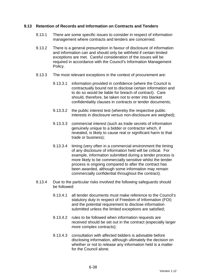# **9.13 Retention of Records and Information on Contracts and Tenders**

- 9.13.1 There are some specific issues to consider in respect of information management where contracts and tenders are concerned.
- 9.13.2 There is a general presumption in favour of disclosure of information and information can and should only be withheld if certain limited exceptions are met. Careful consideration of the issues will be required in accordance with the Council's Information Management Policy.
- 9.13.3 The most relevant exceptions in the context of procurement are:
	- 9.13.3.1 information provided in confidence (where the Council is contractually bound not to disclose certain information and to do so would be liable for breach of contract). Care should, therefore, be taken not to enter into blanket confidentiality clauses in contracts or tender documents;
	- 9.13.3.2 the public interest test (whereby the respective public interests in disclosure versus non-disclosure are weighed);
	- 9.13.3.3 commercial interest (such as trade secrets of information genuinely unique to a bidder or contractor which, if revealed, is likely to cause real or significant harm to that trade or business);
	- 9.13.3.4 timing (very often in a commercial environment the timing of any disclosure of information held will be critical. For example, information submitted during a tender process is more likely to be commercially sensitive whilst the tender process is ongoing compared to after the contract has been awarded, although some information may remain commercially confidential throughout the contract).
- 9.13.4 Due to the particular risks involved the following safeguards should be followed:
	- 9.13.4.1 all tender documents must make reference to the Council's statutory duty in respect of Freedom of Information (FOI) and the potential requirement to disclose information submitted unless the limited exceptions are satisfied;
	- 9.13.4.2 rules to be followed when information requests are received should be set out in the contract (especially larger more complex contracts);
	- 9.13.4.3 consultation with affected bidders is advisable before disclosing information, although ultimately the decision on whether or not to release any information held is a matter for the Council alone.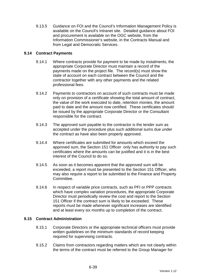9.13.5 Guidance on FOI and the Council's Information Management Policy is available on the Council's Intranet site. Detailed guidance about FOI and procurement is available on the OGC website, from the Information Commissioner's website, in the Contracts Manual and from Legal and Democratic Services.

### **9.14 Contract Payments**

- 9.14.1 Where contracts provide for payment to be made by instalments, the appropriate Corporate Director must maintain a record of the payments made on the project file. The record(s) must show the state of account on each contract between the Council and the contractor together with any other payments and the related professional fees.
- 9.14.2 Payments to contractors on account of such contracts must be made only on provision of a certificate showing the total amount of contract, the value of the work executed to date, retention monies, the amount paid to date and the amount now certified. These certificates should be issued by the appropriate Corporate Director or the Consultant responsible for the contract.
- 9.14.3 The approved sum payable to the contractor is the tender sum as accepted under the procedure plus such additional sums due under the contract as have also been properly approved.
- 9.14.4 Where certificates are submitted for amounts which exceed the approved sum, the Section 151 Officer only has authority to pay such certificates where the amounts can be justified and it is in the best interest of the Council to do so.
- 9.14.5 As soon as it becomes apparent that the approved sum will be exceeded, a report must be presented to the Section 151 Officer, who may also require a report to be submitted to the Finance and Property Committee.
- 9.14.6 In respect of variable price contracts, such as PFI or PPP contracts which have complex variation procedures, the appropriate Corporate Director must periodically review the cost and report to the Section 151 Officer if the contract sum is likely to be exceeded. These reports must be made whenever significant increases are identified and at least every six months up to completion of the contract.

#### **9.15 Contract Administration**

- 9.15.1 Corporate Directors or the appropriate technical officers must provide written guidelines on the minimum standards of record keeping required for supervising contracts.
- 9.15.2 Claims from contractors regarding matters which are not clearly within the terms of the contract must be referred to the Group Manager for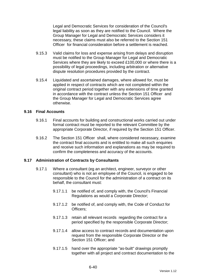Legal and Democratic Services for consideration of the Council's legal liability as soon as they are notified to the Council. Where the Group Manager for Legal and Democratic Services considers it necessary, these claims must also be referred to the Section 151 Officer for financial consideration before a settlement is reached.

- 9.15.3 Valid claims for loss and expense arising from delays and disruption must be notified to the Group Manager for Legal and Democratic Services where they are likely to exceed £100,000 or where there is a possibility of legal proceedings, including arbitration or alternative dispute resolution procedures provided by the contract.
- 9.15.4 Liquidated and ascertained damages, where allowed for, must be applied in respect of contracts which are not completed within the original contract period together with any extensions of time granted in accordance with the contract unless the Section 151 Officer and the Group Manager for Legal and Democratic Services agree otherwise.

#### **9.16 Final Accounts**

- 9.16.1 Final accounts for building and constructional works carried out under formal contract must be reported to the relevant Committee by the appropriate Corporate Director, if required by the Section 151 Officer.
- 9.16.2 The Section 151 Officer shall, where considered necessary, examine the contract final accounts and is entitled to make all such enquiries and receive such information and explanations as may be required to confirm the completeness and accuracy of the accounts.

#### **9.17 Administration of Contracts by Consultants**

- 9.17.1 Where a consultant (eg an architect, engineer, surveyor or other consultant) who is not an employee of the Council, is engaged to be responsible to the Council for the administration of a contract on its behalf, the consultant must:
	- 9.17.1.1 be notified of, and comply with, the Council's Financial Regulations as would a Corporate Director;
	- 9.17.1.2 be notified of, and comply with, the Code of Conduct for Officers;
	- 9.17.1.3 retain all relevant records regarding the contract for a period specified by the responsible Corporate Director;
	- 9.17.1.4 allow access to contract records and documentation upon request from the responsible Corporate Director or the Section 151 Officer: and
	- 9.17.1.5 hand over the appropriate "as-built" drawings promptly together with all project and contract documentation to the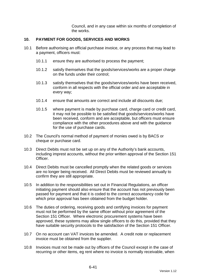Council, and in any case within six months of completion of the works.

#### **10. PAYMENT FOR GOODS, SERVICES AND WORKS**

- 10.1 Before authorising an official purchase invoice, or any process that may lead to a payment, officers must:
	- 10.1.1 ensure they are authorised to process the payment;
	- 10.1.2 satisfy themselves that the goods/services/works are a proper charge on the funds under their control;
	- 10.1.3 satisfy themselves that the goods/services/works have been received, conform in all respects with the official order and are acceptable in every way;
	- 10.1.4 ensure that amounts are correct and include all discounts due;
	- 10.1.5 where payment is made by purchase card, charge card or credit card, it may not be possible to be satisfied that goods/services/works have been received, conform and are acceptable, but officers must ensure compliance with the other procedures above and with the guidance for the use of purchase cards.
- 10.2 The Council's normal method of payment of monies owed is by BACS or cheque or purchase card.
- 10.3 Direct Debits must not be set up on any of the Authority's bank accounts, including imprest accounts, without the prior written approval of the Section 151 Officer.
- 10.4 Direct Debits must be cancelled promptly when the related goods or services are no longer being received. All Direct Debits must be reviewed annually to confirm they are still appropriate.
- 10.5 In addition to the responsibilities set out in Financial Regulations, an officer initiating payment should also ensure that the account has not previously been passed for payment and that it is coded to the correct accountancy code for which prior approval has been obtained from the budget holder.
- 10.6 The duties of ordering, receiving goods and certifying invoices for payment must not be performed by the same officer without prior agreement of the Section 151 Officer. Where electronic procurement systems have been approved, these systems may allow single officers to do this, provided that they have suitable security protocols to the satisfaction of the Section 151 Officer.
- 10.7 On no account can VAT invoices be amended. A credit note or replacement invoice must be obtained from the supplier.
- 10.8 Invoices must not be made out by officers of the Council except in the case of recurring or other items, eg rent where no invoice is normally receivable, when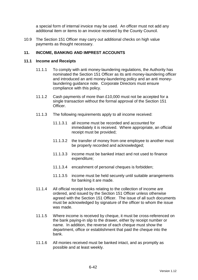a special form of internal invoice may be used. An officer must not add any additional item or items to an invoice received by the County Council.

10.9 The Section 151 Officer may carry out additional checks on high value payments as thought necessary.

### **11. INCOME, BANKING AND IMPREST ACCOUNTS**

#### **11.1 Income and Receipts**

- 11.1.1 To comply with anti money-laundering regulations, the Authority has nominated the Section 151 Officer as its anti money-laundering officer and introduced an anti money-laundering policy and an anti moneylaundering guidance note. Corporate Directors must ensure compliance with this policy.
- 11.1.2 Cash payments of more than £10,000 must not be accepted for a single transaction without the formal approval of the Section 151 Officer.
- 11.1.3 The following requirements apply to all income received:
	- 11.1.3.1 all income must be recorded and accounted for immediately it is received. Where appropriate, an official receipt must be provided;
	- 11.1.3.2 the transfer of money from one employee to another must be properly recorded and acknowledged;
	- 11.1.3.3 income must be banked intact and not used to finance expenditure;
	- 11.1.3.4 encashment of personal cheques is forbidden;
	- 11.1.3.5 income must be held securely until suitable arrangements for banking it are made.
- 11.1.4 All official receipt books relating to the collection of income are ordered, and issued by the Section 151 Officer unless otherwise agreed with the Section 151 Officer. The issue of all such documents must be acknowledged by signature of the officer to whom the issue was made.
- 11.1.5 Where income is received by cheque, it must be cross-referenced on the bank paying-in slip to the drawer, either by receipt number or name. In addition, the reverse of each cheque must show the department, office or establishment that paid the cheque into the bank.
- 11.1.6 All monies received must be banked intact, and as promptly as possible and at least weekly.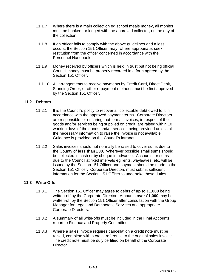- 11.1.7 Where there is a main collection eg school meals money, all monies must be banked, or lodged with the approved collector, on the day of the collection.
- 11.1.8 If an officer fails to comply with the above guidelines and a loss occurs, the Section 151 Officer may, where appropriate, seek restitution from the officer concerned in accordance with the Personnel Handbook.
- 11.1.9 Money received by officers which is held in trust but not being official Council money must be properly recorded in a form agreed by the Section 151 Officer
- 11.1.10 All arrangements to receive payments by Credit Card, Direct Debit, Standing Order, or other e-payment methods must be first approved by the Section 151 Officer.

### **11.2 Debtors**

- 11.2.1 It is the Council's policy to recover all collectable debt owed to it in accordance with the approved payment terms. Corporate Directors are responsible for ensuring that formal invoices, in respect of the goods and/or services being supplied on credit, are raised within 10 working days of the goods and/or services being provided unless all the necessary information to raise the invoice is not available. Guidance is provided on the Council's intranet.
- 11.2.2 Sales invoices should not normally be raised to cover sums due to the County of **less than £30**. Wherever possible small sums should be collected in cash or by cheque in advance. Accounts for sums due to the Council at fixed intervals eg rents, wayleaves, etc, will be issued by the Section 151 Officer and payment should be made to the Section 151 Officer. Corporate Directors must submit sufficient information for the Section 151 Officer to undertake these duties.

#### **11.3 Write-Offs**

- 11.3.1 The Section 151 Officer may agree to debts of **up to £1,000** being written-off by the Corporate Director. Amounts **over £1,000** may be written-off by the Section 151 Officer after consultation with the Group Manager for Legal and Democratic Services and appropriate Corporate Directors.
- 11.3.2 A summary of all write-offs must be included in the Final Accounts report to Finance and Property Committee.
- 11.3.3 Where a sales invoice requires cancellation a credit note must be raised, complete with a cross-reference to the original sales invoice. The credit note must be duly certified on behalf of the Corporate Director.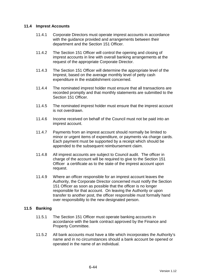### **11.4 Imprest Accounts**

- 11.4.1 Corporate Directors must operate imprest accounts in accordance with the guidance provided and arrangements between their department and the Section 151 Officer.
- 11.4.2 The Section 151 Officer will control the opening and closing of imprest accounts in line with overall banking arrangements at the request of the appropriate Corporate Director.
- 11.4.3 The Section 151 Officer will determine the appropriate level of the Imprest, based on the average monthly level of petty cash expenditure in the establishment concerned.
- 11.4.4 The nominated imprest holder must ensure that all transactions are recorded promptly and that monthly statements are submitted to the Section 151 Officer.
- 11.4.5 The nominated imprest holder must ensure that the imprest account is not overdrawn.
- 11.4.6 Income received on behalf of the Council must not be paid into an imprest account.
- 11.4.7 Payments from an imprest account should normally be limited to minor or urgent items of expenditure, or payments via charge cards. Each payment must be supported by a receipt which should be appended to the subsequent reimbursement claim.
- 11.4.8 All imprest accounts are subject to Council audit. The officer in charge of the account will be required to give to the Section 151 Officer a certificate as to the state of the imprest account upon request.
- 11.4.9 Where an officer responsible for an imprest account leaves the Authority, the Corporate Director concerned must notify the Section 151 Officer as soon as possible that the officer is no longer responsible for that account. On leaving the Authority or upon transfer to another post, the officer responsible must formally hand over responsibility to the new designated person.

#### **11.5 Banking**

- 11.5.1 The Section 151 Officer must operate banking accounts in accordance with the bank contract approved by the Finance and Property Committee.
- 11.5.2 All bank accounts must have a title which incorporates the Authority's name and in no circumstances should a bank account be opened or operated in the name of an individual.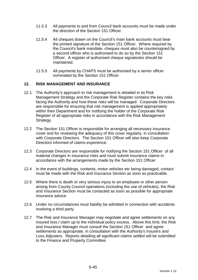- 11.5.3 All payments to and from Council bank accounts must be made under the direction of the Section 151 Officer.
- 11.5.4 All cheques drawn on the Council's main bank accounts must bear the printed signature of the Section 151 Officer. Where required by the Council's bank mandate, cheques must also be countersigned by a second officer who is authorised to do so by the Section 151 Officer. A register of authorised cheque signatories should be maintained.
- 11.5.5 All payments by CHAPS must be authorised by a senior officer nominated by the Section 151 Officer.

### **12. RISK MANAGEMENT AND INSURANCE**

- 12.1 The Authority's approach to risk management is detailed in its Risk Management Strategy and the Corporate Risk Register contains the key risks facing the Authority and how these risks will be managed. Corporate Directors are responsible for ensuring that risk management is applied appropriately within their Department and for notifying the holder of the Corporate Risk Register of all appropriate risks in accordance with the Risk Management Strategy.
- 12.2 The Section 151 Officer is responsible for arranging all necessary insurance cover and for reviewing the adequacy of this cover regularly, in consultation with Corporate Directors. The Section 151 Officer will also keep Corporate Directors informed of claims experience.
- 12.3 Corporate Directors are responsible for notifying the Section 151 Officer of all material changes in insurance risks and must submit insurance claims in accordance with the arrangements made by the Section 151 Officer.
- 12.4 In the event of buildings, contents, motor vehicles etc being damaged, contact must be made with the Risk and Insurance Section as soon as practicable.
- 12.5 Where there is death or very serious injury to an employee or other person arising from County Council operations (including the use of vehicles), the Risk and Insurance Section must be contacted as soon as possible for appropriate insurance advice.
- 12.6 Under no circumstances must liability be admitted in connection with accidents involving a third party.
- 12.7 The Risk and Insurance Manager may negotiate and agree settlements on any insured loss / claim up to the individual policy excess. Above this limit, the Risk and Insurance Manager must consult the Section 151 Officer and agree settlements as appropriate, in consultation with the Authority's Insurers and Loss Adjusters. Reports detailing all significant claims settled will be submitted to the Finance and Property Committee.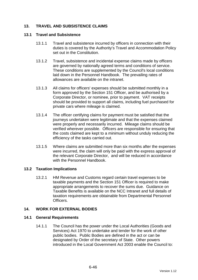# **13. TRAVEL AND SUBSISTENCE CLAIMS**

#### **13.1 Travel and Subsistence**

- 13.1.1 Travel and subsistence incurred by officers in connection with their duties is covered by the Authority's Travel and Accommodation Policy set out in the Constitution.
- 13.1.2 Travel, subsistence and incidental expense claims made by officers are governed by nationally agreed terms and conditions of service. These conditions are supplemented by the Council's local conditions laid down in the Personnel Handbook. The prevailing rates of allowances are available on the intranet.
- 13.1.3 All claims for officers' expenses should be submitted monthly in a form approved by the Section 151 Officer, and be authorised by a Corporate Director, or nominee, prior to payment. VAT receipts should be provided to support all claims, including fuel purchased for private cars where mileage is claimed.
- 13.1.4 The officer certifying claims for payment must be satisfied that the journeys undertaken were legitimate and that the expenses claimed were properly and necessarily incurred. Mileage claims should be verified wherever possible. Officers are responsible for ensuring that the costs claimed are kept to a minimum without unduly reducing the efficiency of the tasks carried out.
- 13.1.5 Where claims are submitted more than six months after the expenses were incurred, the claim will only be paid with the express approval of the relevant Corporate Director, and will be reduced in accordance with the Personnel Handbook.

#### **13.2 Taxation Implications**

13.2.1 HM Revenue and Customs regard certain travel expenses to be taxable payments and the Section 151 Officer is required to make appropriate arrangements to recover the sums due. Guidance on Taxable Benefits is available on the NCC Intranet and full details of taxation requirements are obtainable from Departmental Personnel **Officers** 

#### **14. WORK FOR EXTERNAL BODIES**

#### **14.1 General Requirements**

14.1.1 The Council has the power under the Local Authorities (Goods and Services) Act 1970 to undertake and tender for the work of other public bodies. Public Bodies are defined in the act or can be designated by Order of the secretary of State. Other powers introduced in the Local Government Act 2003 enable the Council to: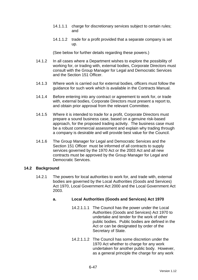- 14.1.1.1 charge for discretionary services subject to certain rules; and
- 14.1.1.2 trade for a profit provided that a separate company is set up.

(See below for further details regarding these powers.)

- 14.1.2 In all cases where a Department wishes to explore the possibility of working for, or trading with, external bodies, Corporate Directors must consult with the Group Manager for Legal and Democratic Services and the Section 151 Officer.
- 14.1.3 Where work is carried out for external bodies, officers must follow the guidance for such work which is available in the Contracts Manual.
- 14.1.4 Before entering into any contract or agreement to work for, or trade with, external bodies, Corporate Directors must present a report to, and obtain prior approval from the relevant Committee.
- 14.1.5 Where it is intended to trade for a profit, Corporate Directors must prepare a sound business case, based on a genuine risk-based approach, for the proposed trading activity. The business case must be a robust commercial assessment and explain why trading through a company is desirable and will provide best value for the Council.
- 14.1.6 The Group Manager for Legal and Democratic Services and the Section 151 Officer must be informed of all contracts to supply services governed by the 1970 Act or the 2003 Act and all new contracts must be approved by the Group Manager for Legal and Democratic Services.

#### **14.2 Background**

14.2.1 The powers for local authorities to work for, and trade with, external bodies are governed by the Local Authorities (Goods and Services) Act 1970, Local Government Act 2000 and the Local Government Act 2003.

# **a. Local Authorities (Goods and Services) Act 1970**

- 14.2.1.1.1 The Council has the power under the Local Authorities (Goods and Services) Act 1970 to undertake and tender for the work of other public bodies. Public bodies are defined in the Act or can be designated by order of the Secretary of State.
- 14.2.1.1.2 The Council has some discretion under the 1970 Act whether to charge for any work undertaken for another public body. However, as a general principle the charge for any work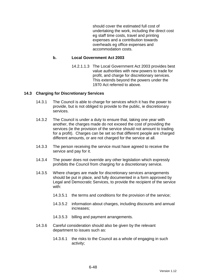should cover the estimated full cost of undertaking the work, including the direct cost eg staff time costs, travel and printing expenses and a contribution towards overheads eg office expenses and accommodation costs.

#### **b. Local Government Act 2003**

14.2.1.1.3 The Local Government Act 2003 provides best value authorities with new powers to trade for profit, and charge for discretionary services. This extends beyond the powers under the 1970 Act referred to above.

### **14.3 Charging for Discretionary Services**

- 14.3.1 The Council is able to charge for services which it has the power to provide, but is not obliged to provide to the public, ie discretionary services.
- 14.3.2 The Council is under a duty to ensure that, taking one year with another, the charges made do not exceed the cost of providing the services (ie the provision of the service should not amount to trading for a profit). Charges can be set so that different people are charged different amounts, or are not charged for the service at all.
- 14.3.3 The person receiving the service must have agreed to receive the service and pay for it.
- 14.3.4 The power does not override any other legislation which expressly prohibits the Council from charging for a discretionary service.
- 14.3.5 Where charges are made for discretionary services arrangements should be put in place, and fully documented in a form approved by Legal and Democratic Services, to provide the recipient of the service with:
	- 14.3.5.1 the terms and conditions for the provision of the service;
	- 14.3.5.2 information about charges, including discounts and annual increases;
	- 14.3.5.3 billing and payment arrangements.
- 14.3.6 Careful consideration should also be given by the relevant department to issues such as:
	- 14.3.6.1 the risks to the Council as a whole of engaging in such activity;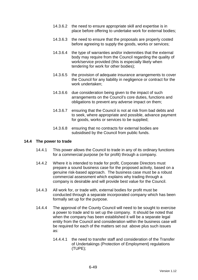- 14.3.6.2 the need to ensure appropriate skill and expertise is in place before offering to undertake work for external bodies;
- 14.3.6.3 the need to ensure that the proposals are properly costed before agreeing to supply the goods, works or services;
- 14.3.6.4 the type of warranties and/or indemnities that the external body may require from the Council regarding the quality of work/service provided (this is especially likely when tendering for work for other bodies);
- 14.3.6.5 the provision of adequate insurance arrangements to cover the Council for any liability in negligence or contract for the work undertaken;
- 14.3.6.6 due consideration being given to the impact of such arrangements on the Council's core duties, functions and obligations to prevent any adverse impact on them;
- 14.3.6.7 ensuring that the Council is not at risk from bad debts and to seek, where appropriate and possible, advance payment for goods, works or services to be supplied;
- 14.3.6.8 ensuring that no contracts for external bodies are subsidised by the Council from public funds.

#### **14.4 The power to trade**

- 14.4.1 This power allows the Council to trade in any of its ordinary functions for a commercial purpose (ie for profit) through a company.
- 14.4.2 Where it is intended to trade for profit, Corporate Directors must prepare a sound business case for the proposed activity, based on a genuine risk-based approach. The business case must be a robust commercial assessment which explains why trading through a company is desirable and will provide best value for the Council.
- 14.4.3 All work for, or trade with, external bodies for profit must be conducted through a separate incorporated company which has been formally set up for the purpose.
- 14.4.4 The approval of the County Council will need to be sought to exercise a power to trade and to set up the company. It should be noted that when the company has been established it will be a separate legal entity from the Council and consideration within the business case will be required for each of the matters set out above plus such issues as:
	- 14.4.4.1 the need to transfer staff and consideration of the Transfer of Undertakings (Protection of Employment) regulations (TUPE);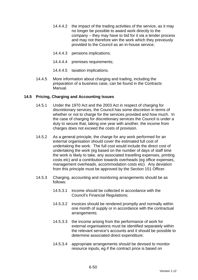- 14.4.4.2 the impact of the trading activities of the service, as it may no longer be possible to award work directly to the company – they may have to bid for it via a tender process and may not therefore win the work which they previously provided to the Council as an in-house service;
- 14.4.4.3 pensions implications;
- 14.4.4.4 premises requirements;
- 14.4.4.5 taxation implications.
- 14.4.5 More information about charging and trading, including the preparation of a business case, can be found in the Contracts Manual.

### **14.5 Pricing, Charging and Accounting Issues**

- 14.5.1 Under the 1970 Act and the 2003 Act in respect of charging for discretionary services, the Council has some discretion in terms of whether or not to charge for the services provided and how much. In the case of charging for discretionary services the Council is under a duty to secure that, taking one year with another, the income from charges does not exceed the costs of provision.
- 14.5.2 As a general principle, the charge for any work performed for an external organisation should cover the estimated full cost of undertaking the work. The full cost would include the direct cost of undertaking the work (eg based on the number of days of staff time the work is likely to take, any associated travelling expenses, printing costs etc) and a contribution towards overheads (eg office expenses, management overheads, accommodation costs etc). Any deviation from this principle must be approved by the Section 151 Officer.
- 14.5.3 Charging, accounting and monitoring arrangements should be as follows:
	- 14.5.3.1 income should be collected in accordance with the Council's Financial Regulations;
	- 14.5.3.2 invoices should be rendered promptly and normally within one month of supply or in accordance with the contractual arrangements;
	- 14.5.3.3 the income arising from the performance of work for external organisations must be identified separately within the relevant service's accounts and it should be possible to determine associated direct expenditure;
	- 14.5.3.4 appropriate arrangements should be devised to monitor resource inputs, eg if the contract price is based on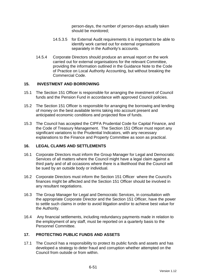person-days, the number of person-days actually taken should be monitored;

- 14.5.3.5 for External Audit requirements it is important to be able to identify work carried out for external organisations separately in the Authority's accounts.
- 14.5.4 Corporate Directors should produce an annual report on the work carried out for external organisations for the relevant Committee, providing the information outlined in the Guidance Note to the Code of Practice on Local Authority Accounting, but without breaking the Commercial Code.

### **15. INVESTMENT AND BORROWING**

- 15.1 The Section 151 Officer is responsible for arranging the investment of Council funds and the Pension Fund in accordance with approved Council policies.
- 15.2 The Section 151 Officer is responsible for arranging the borrowing and lending of money on the best available terms taking into account present and anticipated economic conditions and projected flow of funds.
- 15.3 The Council has accepted the CIPFA Prudential Code for Capital Finance, and the Code of Treasury Management. The Section 151 Officer must report any significant variations to the Prudential Indicators, with any necessary explanations to the Finance and Property Committee as soon as practical.

#### **16. LEGAL CLAIMS AND SETTLEMENTS**

- 16.1 Corporate Directors must inform the Group Manager for Legal and Democratic Services of all matters where the Council might have a legal claim against a third party and of all occasions where there is a likelihood that the Council will be sued by an outside body or individual.
- 16.2 Corporate Directors must inform the Section 151 Officer where the Council's finances might be affected and the Section 151 Officer should be involved in any resultant negotiations.
- 16.3 The Group Manager for Legal and Democratic Services, in consultation with the appropriate Corporate Director and the Section 151 Officer, have the power to settle such claims in order to avoid litigation and/or to achieve best value for the Authority.
- 16.4 Any financial settlements, including redundancy payments made in relation to the employment of any staff, must be reported on a quarterly basis to the Personnel Committee.

# **17. PROTECTING PUBLIC FUNDS AND ASSETS**

17.1 The Council has a responsibility to protect its public funds and assets and has developed a strategy to deter fraud and corruption whether attempted on the Council from outside or from within.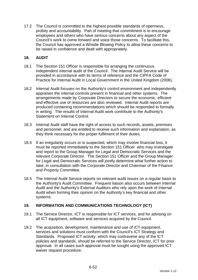17.2 The Council is committed to the highest possible standards of openness, probity and accountability. Part of meeting that commitment is to encourage employees and others who have serious concerns about any aspect of the Council's work to come forward and voice those concerns. To facilitate this, the Council has approved a Whistle Blowing Policy to allow these concerns to be raised in confidence and dealt with appropriately.

### **18. AUDIT**

- 18.1 The Section 151 Officer is responsible for arranging the continuous independent internal audit of the Council. The Internal Audit Service will be provided in accordance with its terms of reference and the CIPFA Code of Practice for Internal Audit in Local Government in the United Kingdom (2006).
- 18.2 Internal Audit focuses on the Authority's control environment and independently appraises the internal controls present in financial and other systems. The arrangements made by Corporate Directors to secure the economic, efficient and effective use of resources are also reviewed. Internal Audit reports are produced containing recommendations which should be responded to formally in writing. The results of Internal Audit work contribute to the Authority's Statement on Internal Control.
- 18.3 Internal Audit staff have the right of access to such records, assets, premises and personnel, and are entitled to receive such information and explanation, as they think necessary for the proper fulfilment of their duties.
- 18.4 If an irregularity occurs or is suspected, which may involve financial loss, it must be reported immediately to the Section 151 Officer who may investigate and report to the Group Manager for Legal and Democratic Services and the relevant Corporate Director. The Section 151 Officer and the Group Manager for Legal and Democratic Services will jointly determine what further action to take, in consultation with the Corporate Director and Chairman of the Finance and Property Committee.
- 18.5 The Internal Audit Service reports on relevant audit issues on a regular basis to the Authority's Audit Committee. Frequent liaison also occurs between Internal Audit and the Authority's External Auditors who rely upon the work of Internal Audit when forming their opinion on the Authority's key financial and other systems.

# **19. INFORMATION AND COMMUNICATIONS TECHNOLOGY (ICT)**

- 19.1 The Service Director, ICT is responsible for ICT services, and for advising on all ICT equipment, software and services acquired by the Council.
- 19.2 The acquisition, development, maintenance and use of ICT equipment, services and solutions must conform with the Council's ICT Strategy and Standards. Proposed ICT activity, which may contravene any of the ICT policies and standards, should be referred to the Service Director, ICT for prior approval. In all cases such approval must be sought using the approved ICT waiver request procedure.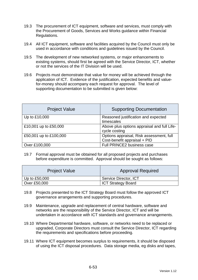- 19.3 The procurement of ICT equipment, software and services, must comply with the Procurement of Goods, Services and Works guidance within Financial Regulations.
- 19.4 All ICT equipment, software and facilities acquired by the Council must only be used in accordance with conditions and guidelines issued by the Council.
- 19.5 The development of new networked systems, or major enhancements to existing systems, should first be agreed with the Service Director, ICT, whether or not the services of the IT Division will be used.
- 19.6 Projects must demonstrate that value for money will be achieved through the application of ICT. Evidence of the justification, expected benefits and valuefor-money should accompany each request for approval. The level of supporting documentation to be submitted is given below:

| <b>Project Value</b>   | <b>Supporting Documentation</b>                                          |
|------------------------|--------------------------------------------------------------------------|
| Up to £10,000          | Reasoned justification and expected<br>timescales                        |
| £10,001 up to £50,000  | Above plus options appraisal and full Life-<br>cycle costing             |
| £50,001 up to £100,000 | Options appraisal, Risk assessment, full<br>Cost-benefit appraisal + PID |
| Over £100,000          | Full PRINCE2 business case                                               |

19.7 Formal approval must be obtained for all proposed projects and purchases before expenditure is committed. Approval should be sought as follows:

| <b>Project Value</b> | <b>Approval Required</b>  |
|----------------------|---------------------------|
| Up to $£50,000$      | Service Director, ICT     |
| Over £50,000         | <b>ICT Strategy Board</b> |

- 19.8 Projects presented to the ICT Strategy Board must follow the approved ICT governance arrangements and supporting procedures.
- 19.9 Maintenance, upgrade and replacement of central hardware, software and networks are the responsibility of the Service Director, ICT and will be undertaken in accordance with ICT standards and governance arrangements.
- 19.10 Where Departmental hardware, software, or networks need to be replaced or upgraded, Corporate Directors must consult the Service Director, ICT regarding the requirements and specifications before proceeding.
- 19.11 Where ICT equipment becomes surplus to requirements, it should be disposed of using the ICT disposal procedures. Data storage media, eg disks and tapes,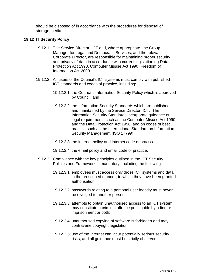should be disposed of in accordance with the procedures for disposal of storage media.

#### **19.12 IT Security Policy**

- 19.12.1 The Service Director, ICT and, where appropriate, the Group Manager for Legal and Democratic Services, and the relevant Corporate Director, are responsible for maintaining proper security and privacy of data in accordance with current legislation eg Data Protection Act 1998, Computer Misuse Act 1990, Freedom of Information Act 2000.
- 19.12.2 All users of the Council's ICT systems must comply with published ICT standards and codes of practice, including:
	- 19.12.2.1 the Council's Information Security Policy which is approved by Council; and
	- 19.12.2.2 the Information Security Standards which are published and maintained by the Service Director, ICT. The Information Security Standards incorporate guidance on legal requirements such as the Computer Misuse Act 1990 and the Data Protection Act 1998, and on codes of best practice such as the International Standard on Information Security Management (ISO 17799).
	- 19.12.2.3 the internet policy and internet code of practice;
	- 19.12.2.4 the email policy and email code of practice.
- 19.12.3 Compliance with the key principles outlined in the ICT Security Policies and Framework is mandatory, including the following:
	- 19.12.3.1 employees must access only those ICT systems and data in the prescribed manner, to which they have been granted authorisation;
	- 19.12.3.2 passwords relating to a personal user identity must never be divulged to another person;
	- 19.12.3.3 attempts to obtain unauthorised access to an ICT system may constitute a criminal offence punishable by a fine or imprisonment or both;
	- 19.12.3.4 unauthorised copying of software is forbidden and may contravene copyright legislation;
	- 19.12.3.5 use of the Internet can incur potentially serious security risks, and all guidance must be strictly observed;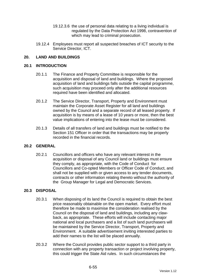- 19.12.3.6 the use of personal data relating to a living individual is regulated by the Data Protection Act 1998, contravention of which may lead to criminal prosecution.
- 19.12.4 Employees must report all suspected breaches of ICT security to the Service Director, ICT.

### **20. LAND AND BUILDINGS**

#### **20.1 INTRODUCTION**

- 20.1.1 The Finance and Property Committee is responsible for the acquisition and disposal of land and buildings. Where the proposed acquisition of land and buildings falls outside the capital programme, such acquisition may proceed only after the additional resources required have been identified and allocated.
- 20.1.2 The Service Director, Transport, Property and Environment must maintain the Corporate Asset Register for all land and buildings owned by the Council and a separate record of all leased property. If acquisition is by means of a lease of 10 years or more, then the best value implications of entering into the lease must be considered.
- 20.1.3 Details of all transfers of land and buildings must be notified to the Section 151 Officer in order that the transactions may be properly recorded in the financial records.

#### **20.2 GENERAL**

20.2.1 Councillors and officers who have any relevant interest in the acquisition or disposal of any Council land or buildings must ensure they comply, as appropriate, with the Code of Conduct for Councillors and Co-opted Members or Officer Code of Conduct, and shall not be supplied with or given access to any tender documents, contracts or other information relating thereto without the authority of the Group Manager for Legal and Democratic Services.

#### **20.3 DISPOSAL**

- 20.3.1 When disposing of its land the Council is required to obtain the best price reasonably obtainable on the open market. Every effort must therefore be made to maximise the consideration realised by the Council on the disposal of land and buildings, including any clawback, as appropriate. These efforts will include contacting major national and local purchasers and a list of such land purchasers will be maintained by the Service Director, Transport, Property and Environment. A suitable advertisement inviting interested parties to add their names to the list will be placed annually.
- 20.3.2 Where the Council provides public sector support to a third party in connection with any property transaction or project involving property, this could trigger the State Aid rules. In such circumstances the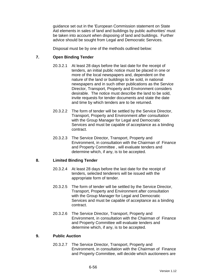guidance set out in the 'European Commission statement on State Aid elements in sales of land and buildings by public authorities' must be taken into account when disposing of land and buildings. Further advice should be sought from Legal and Democratic Services.

Disposal must be by one of the methods outlined below:

### **7. Open Binding Tender**

- 20.3.2.1 At least 28 days before the last date for the receipt of tenders, an initial public notice must be placed in one or more of the local newspapers and, dependent on the nature of the land or buildings to be sold, in national newspapers and in such other publications as the Service Director, Transport, Property and Environment considers desirable. The notice must describe the land to be sold, invite requests for tender documents and state the date and time by which tenders are to be returned.
- 20.3.2.2 The form of tender will be settled by the Service Director, Transport, Property and Environment after consultation with the Group Manager for Legal and Democratic Services and must be capable of acceptance as a binding contract.
- 20.3.2.3 The Service Director, Transport, Property and Environment, in consultation with the Chairman of Finance and Property Committee , will evaluate tenders and determine which, if any, is to be accepted.

#### **8. Limited Binding Tender**

- 20.3.2.4 At least 28 days before the last date for the receipt of tenders, selected tenderers will be issued with the appropriate form of tender.
- 20.3.2.5 The form of tender will be settled by the Service Director, Transport, Property and Environment after consultation with the Group Manager for Legal and Democratic Services and must be capable of acceptance as a binding contract.
- 20.3.2.6 The Service Director, Transport, Property and Environment, in consultation with the Chairman of Finance and Property Committee will evaluate tenders and determine which, if any, is to be accepted.

#### **9. Public Auction**

20.3.2.7 The Service Director, Transport, Property and Environment, in consultation with the Chairman of Finance and Property Committee, will decide which auctioneers are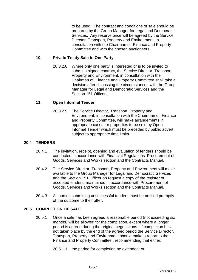to be used. The contract and conditions of sale should be prepared by the Group Manager for Legal and Democratic Services. Any reserve price will be agreed by the Service Director, Transport, Property and Environment, in consultation with the Chairman of Finance and Property Committee and with the chosen auctioneers.

#### **10. Private Treaty Sale to One Party**

20.3.2.8 Where only one party is interested or is to be invited to submit a signed contract, the Service Director, Transport, Property and Environment, in consultation with the Chairman of Finance and Property Committee shall take a decision after discussing the circumstances with the Group Manager for Legal and Democratic Services and the Section 151 Officer.

### **11. Open Informal Tender**

20.3.2.9 The Service Director, Transport, Property and Environment, in consultation with the Chairman of Finance and Property Committee, will make arrangements in appropriate cases for properties to be sold by Open Informal Tender which must be preceded by public advert subject to appropriate time limits.

### **20.4 TENDERS**

- 20.4.1 The invitation, receipt, opening and evaluation of tenders should be conducted in accordance with Financial Regulations Procurement of Goods, Services and Works section and the Contracts Manual.
- 20.4.2 The Service Director, Transport, Property and Environment will make available to the Group Manager for Legal and Democratic Services and the Section 151 Officer on request a copy of the register of accepted tenders, maintained in accordance with Procurement of Goods, Services and Works section and the Contracts Manual.
- 20.4.3 All parties submitting unsuccessful tenders must be notified promptly of the outcome to their offer.

#### **20.5 COMPLETION OF SALE**

- 20.5.1 Once a sale has been agreed a reasonable period (not exceeding six months) will be allowed for the completion, except where a longer period is agreed during the original negotiations. If completion has not taken place by the end of the agreed period the Service Director, Transport, Property and Environment should make a report to the Finance and Property Committee , recommending that either:
	- 20.5.1.1 the period for completion be extended; or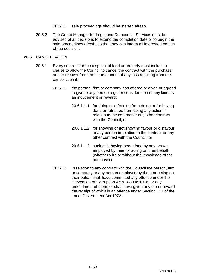- 20.5.1.2 sale proceedings should be started afresh.
- 20.5.2 The Group Manager for Legal and Democratic Services must be advised of all decisions to extend the completion date or to begin the sale proceedings afresh, so that they can inform all interested parties of the decision.

### **20.6 CANCELLATION**

- 20.6.1 Every contract for the disposal of land or property must include a clause to allow the Council to cancel the contract with the purchaser and to recover from them the amount of any loss resulting from the cancellation if:
	- 20.6.1.1 the person, firm or company has offered or given or agreed to give to any person a gift or consideration of any kind as an inducement or reward:
		- 20.6.1.1.1 for doing or refraining from doing or for having done or refrained from doing any action in relation to the contract or any other contract with the Council; or
		- 20.6.1.1.2 for showing or not showing favour or disfavour to any person in relation to the contract or any other contract with the Council; or
		- 20.6.1.1.3 such acts having been done by any person employed by them or acting on their behalf (whether with or without the knowledge of the purchaser).
	- 20.6.1.2 In relation to any contract with the Council the person, firm or company or any person employed by them or acting on their behalf shall have committed any offence under the Prevention of Corruption Acts 1889 to 1916, or any amendment of them, or shall have given any fee or reward the receipt of which is an offence under Section 117 of the Local Government Act 1972.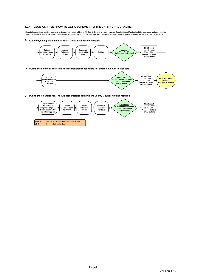#### 4.2.1 DECISION TREE - HOW TO GET A SCHEME INTO THE CAPITAL PROGRAMME

All capital expenditure requires approval by the relevant approval body. All County Council projects requiring County Council funds should be appraised and prioritised by<br>CAMG. Proposed expenditure on land acquisitions a

a. At the beginning of a Financial Year - The Annual Review Process.

LEC

= Latest Estimate Cost

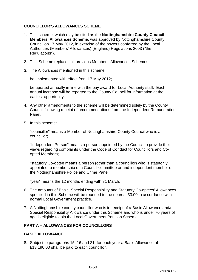### **COUNCILLOR'S ALLOWANCES SCHEME**

- 1. This scheme, which may be cited as the **Nottinghamshire County Council Members' Allowances Scheme**, was approved by Nottinghamshire County Council on 17 May 2012, in exercise of the powers conferred by the Local Authorities (Members' Allowances) (England) Regulations 2003 ("the Regulations").
- 2. This Scheme replaces all previous Members' Allowances Schemes.
- 3. The Allowances mentioned in this scheme:

be implemented with effect from 17 May 2012;

be uprated annually in line with the pay award for Local Authority staff. Each annual increase will be reported to the County Council for information at the earliest opportunity.

- 4. Any other amendments to the scheme will be determined solely by the County Council following receipt of recommendations from the Independent Remuneration Panel.
- 5. In this scheme:

"councillor" means a Member of Nottinghamshire County Council who is a councillor;

"Independent Person" means a person appointed by the Council to provide their views regarding complaints under the Code of Conduct for Councillors and Coopted Members;

"statutory Co-optee means a person (other than a councillor) who is statutorily appointed to membership of a Council committee or and independent member of the Nottinghamshire Police and Crime Panel;

"year" means the 12 months ending with 31 March.

- 6. The amounts of Basic, Special Responsibility and Statutory Co-optees' Allowances specified in this Scheme will be rounded to the nearest £3.00 in accordance with normal Local Government practice.
- 7. A Nottinghamshire county councillor who is in receipt of a Basic Allowance and/or Special Responsibility Allowance under this Scheme and who is under 70 years of age is eligible to join the Local Government Pension Scheme.

# **PART A – ALLOWANCES FOR COUNCILLORS**

#### **BASIC ALLOWANCE**

8. Subject to paragraphs 15, 16 and 21, for each year a Basic Allowance of £13,190.00 shall be paid to each councillor.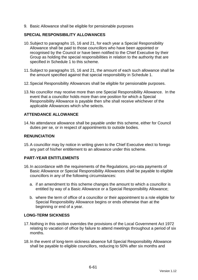9. Basic Allowance shall be eligible for pensionable purposes

#### **SPECIAL RESPONSIBILITY ALLOWANCES**

- 10. Subject to paragraphs 15, 16 and 21, for each year a Special Responsibility Allowance shall be paid to those councillors who have been appointed or recognised by the Council or have been notified to the Chief Executive by their Group as holding the special responsibilities in relation to the authority that are specified in Schedule 1 to this scheme.
- 11. Subject to paragraphs 15, 16 and 21, the amount of each such allowance shall be the amount specified against that special responsibility in Schedule 1.
- 12. Special Responsibility Allowances shall be eligible for pensionable purposes.
- 13. No councillor may receive more than one Special Responsibility Allowance. In the event that a councillor holds more than one position for which a Special Responsibility Allowance is payable then s/he shall receive whichever of the applicable Allowances which s/he selects.

# **ATTENDANCE ALLOWANCE**

14. No attendance allowance shall be payable under this scheme, either for Council duties per se, or in respect of appointments to outside bodies.

### **RENUNCIATION**

15. A councillor may by notice in writing given to the Chief Executive elect to forego any part of his/her entitlement to an allowance under this scheme.

#### **PART-YEAR ENTITLEMENTS**

- 16. In accordance with the requirements of the Regulations, pro-rata payments of Basic Allowance or Special Responsibility Allowances shall be payable to eligible councillors in any of the following circumstances:
	- a. if an amendment to this scheme changes the amount to which a councillor is entitled by way of a Basic Allowance or a Special Responsibility Allowance;
	- b. where the term of office of a councillor or their appointment to a role eligible for Special Responsibility Allowance begins or ends otherwise than at the beginning or end of a year.

#### **LONG-TERM SICKNESS**

- 17. Nothing in this section overrides the provisions of the Local Government Act 1972 relating to vacation of office by failure to attend meetings throughout a period of six months.
- 18. In the event of long-term sickness absence full Special Responsibility Allowance shall be payable to eligible councillors, reducing to 50% after six months and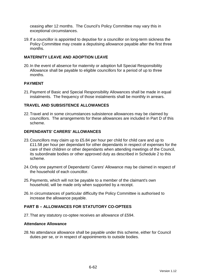ceasing after 12 months. The Council's Policy Committee may vary this in exceptional circumstances.

19. If a councillor is appointed to deputise for a councillor on long-term sickness the Policy Committee may create a deputising allowance payable after the first three months.

### **MATERNITY LEAVE AND ADOPTION LEAVE**

20. In the event of absence for maternity or adoption full Special Responsibility Allowance shall be payable to eligible councillors for a period of up to three months.

### **PAYMENT**

21. Payment of Basic and Special Responsibility Allowances shall be made in equal instalments. The frequency of those instalments shall be monthly in arrears.

#### **TRAVEL AND SUBSISTENCE ALLOWANCES**

22. Travel and in some circumstances subsistence allowances may be claimed by councillors. The arrangements for these allowances are included in Part D of this scheme.

#### **DEPENDANTS' CARERS' ALLOWANCES**

- 23. Councillors may claim up to £5.84 per hour per child for child care and up to £11.58 per hour per dependant for other dependants in respect of expenses for the care of their children or other dependants when attending meetings of the Council, its subordinate bodies or other approved duty as described in Schedule 2 to this scheme.
- 24. Only one payment of Dependants' Carers' Allowance may be claimed in respect of the household of each councillor.
- 25. Payments, which will not be payable to a member of the claimant's own household, will be made only when supported by a receipt.
- 26. In circumstances of particular difficulty the Policy Committee is authorised to increase the allowance payable.

### **PART B – ALLOWANCES FOR STATUTORY CO-OPTEES**

27. That any statutory co-optee receives an allowance of £594.

#### **Attendance Allowance**

28. No attendance allowance shall be payable under this scheme, either for Council duties per se, or in respect of appointments to outside bodies.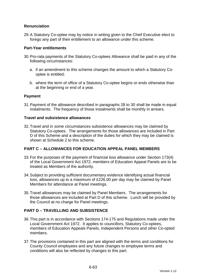# **Renunciation**

29. A Statutory Co-optee may by notice in writing given to the Chief Executive elect to forego any part of their entitlement to an allowance under this scheme.

#### **Part-Year entitlements**

- 30. Pro-rata payments of the Statutory Co-optees Allowance shall be paid in any of the following circumstances:
	- a. if an amendment to this scheme changes the amount to which a Statutory Cooptee is entitled;
	- b. where the term of office of a Statutory Co-optee begins or ends otherwise than at the beginning or end of a year.

### **Payment**

31. Payment of the allowance described in paragraphs 28 to 30 shall be made in equal instalments. The frequency of those instalments shall be monthly in arrears.

#### **Travel and subsistence allowances**

32. Travel and in some circumstances subsistence allowances may be claimed by Statutory Co-optees. The arrangements for those allowances are included in Part D of this Scheme and a description of the duties for which they may be claimed is shown at Schedule 2 to this scheme.

# **PART C – ALLOWANCES FOR EDUCATION APPEAL PANEL MEMBERS**

- 33. For the purposes of the payment of financial loss allowance under Section 173(4) of the Local Government Act 1972, members of Education Appeal Panels are to be treated as Members of the authority.
- 34. Subject to providing sufficient documentary evidence identifying actual financial loss, allowances up to a maximum of £226.00 per day may be claimed by Panel Members for attendance at Panel meetings.
- 35. Travel allowances may be claimed by Panel Members. The arrangements for those allowances are included at Part D of this scheme. Lunch will be provided by the Council at no charge for Panel meetings.

# **PART D – TRAVELLING AND SUBSISTENCE**

- 36. This part is in accordance with Sections 174-175 and Regulations made under the Local Government Act 1972. It applies to councillors, Statutory Co-optees, members of Education Appeals Panels, Independent Persons and other Co-opted members.
- 37. The provisions contained in this part are aligned with the terms and conditions for County Council employees and any future changes to employee terms and conditions will also be reflected by changes to this part.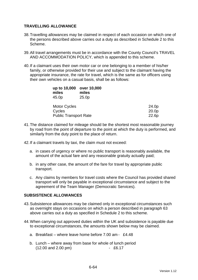### **TRAVELLING ALLOWANCE**

- 38. Travelling allowances may be claimed in respect of each occasion on which one of the persons described above carries out a duty as described in Schedule 2 to this Scheme.
- 39. All travel arrangements must be in accordance with the County Council's TRAVEL AND ACCOMMODATION POLICY, which is appended to this scheme.
- 40. If a claimant uses their own motor car or one belonging to a member of his/her family, or otherwise provided for their use and subject to the claimant having the appropriate insurance, the rate for travel, which is the same as for officers using their own vehicles on a casual basis, shall be as follows:

| up to 10,000<br>miles<br>45.0p | over 10,000<br>miles<br>25.0 <sub>p</sub> |       |
|--------------------------------|-------------------------------------------|-------|
| <b>Motor Cycles</b>            |                                           | 24.0p |
| Cycles                         |                                           | 20.0p |
| <b>Public Transport Rate</b>   |                                           | 22.6p |

- 41. The distance claimed for mileage should be the shortest most reasonable journey by road from the point of departure to the point at which the duty is performed, and similarly from the duty point to the place of return.
- 42. If a claimant travels by taxi, the claim must not exceed:
	- a. in cases of urgency or where no public transport is reasonably available, the amount of the actual fare and any reasonable gratuity actually paid;
	- b. in any other case, the amount of the fare for travel by appropriate public transport.
	- c. Any claims by members for travel costs where the Council has provided shared transport will only be payable in exceptional circumstance and subject to the agreement of the Team Manager (Democratic Services).

#### **SUBSISTENCE ALLOWANCES**

- 43. Subsistence allowances may be claimed only in exceptional circumstances such as overnight stays on occasions on which a person described in paragraph 63 above carries out a duty as specified in Schedule 2 to this scheme.
- 44. When carrying out approved duties within the UK and subsistence is payable due to exceptional circumstances, the amounts shown below may be claimed.
	- a. Breakfast where leave home before 7.00 am £4.48
	- b. Lunch where away from base for whole of lunch period (12.00 and 2.00 pm) - £6.17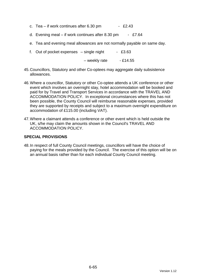- c. Tea if work continues after  $6.30 \text{ pm}$  £2.43
- d. Evening meal if work continues after 8.30 pm £7.64
- e. Tea and evening meal allowances are not normally payable on same day.
- f. Out of pocket expenses  $-$  single night  $-$  £3.63

 $-$  weekly rate  $-$  £14.55

- 45. Councillors, Statutory and other Co-optees may aggregate daily subsistence allowances.
- 46. Where a councillor, Statutory or other Co-optee attends a UK conference or other event which involves an overnight stay, hotel accommodation will be booked and paid for by Travel and Transport Services in accordance with the TRAVEL AND ACCOMMODATION POLICY. In exceptional circumstances where this has not been possible, the County Council will reimburse reasonable expenses, provided they are supported by receipts and subject to a maximum overnight expenditure on accommodation of £115.00 (including VAT).
- 47. Where a claimant attends a conference or other event which is held outside the UK, s/he may claim the amounts shown in the Council's TRAVEL AND ACCOMMODATION POLICY.

### **SPECIAL PROVISIONS**

48. In respect of full County Council meetings, councillors will have the choice of paying for the meals provided by the Council. The exercise of this option will be on an annual basis rather than for each individual County Council meeting.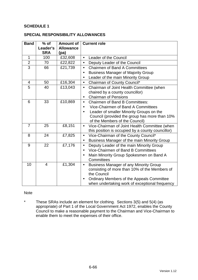### **SCHEDULE 1**

#### **SPECIAL RESPONSIBILITY ALLOWANCES**

| <b>Band</b>    | $%$ of<br>Leader's<br><b>SRA</b> | <b>Amount of</b><br><b>Allowance</b><br>(pa) | <b>Current role</b>                                                             |  |
|----------------|----------------------------------|----------------------------------------------|---------------------------------------------------------------------------------|--|
| $\mathbf{1}$   | 100                              | £32,608                                      | Leader of the Council<br>$\bullet$                                              |  |
| $\overline{2}$ | 70                               | £22,822                                      | Deputy Leader of the Council<br>$\bullet$                                       |  |
| $\overline{3}$ | 66                               | £21,739                                      | <b>Chairmen of Band A Committees</b><br>$\bullet$                               |  |
|                |                                  |                                              | <b>Business Manager of Majority Group</b><br>$\bullet$                          |  |
|                |                                  |                                              | Leader of the main Minority Group                                               |  |
| 4              | 50                               | £16,304                                      | Chairman of County Council*<br>$\bullet$                                        |  |
| 5              | 40                               | £13,043                                      | Chairman of Joint Health Committee (when<br>$\bullet$                           |  |
|                |                                  |                                              | chaired by a county councillor)                                                 |  |
|                |                                  |                                              | <b>Chairman of Pensions</b><br>$\bullet$                                        |  |
| 6              | 33                               | £10,869                                      | <b>Chairmen of Band B Committees:</b><br>$\bullet$                              |  |
|                |                                  |                                              | Vice-Chairmen of Band A Committees<br>$\bullet$                                 |  |
|                |                                  |                                              | Leader of smaller Minority Groups on the<br>$\bullet$                           |  |
|                |                                  |                                              | Council (provided the group has more than 10%<br>of the Members of the Council) |  |
| $\overline{7}$ | 25                               | £8,151                                       | Vice-Chairman of Joint Health Committee (when<br>$\bullet$                      |  |
|                |                                  |                                              | this position is occupied by a county councillor)                               |  |
| 8              | 24                               | £7,825                                       | Vice-Chairman of the County Council*<br>$\bullet$                               |  |
|                |                                  |                                              | Business Manager of the main Minority Group<br>$\bullet$                        |  |
| 9              | 22                               | £7,176                                       | Deputy Leader of the main Minority Group<br>$\bullet$                           |  |
|                |                                  |                                              | Vice-Chairmen of Band B Committees<br>$\bullet$                                 |  |
|                |                                  |                                              | Main Minority Group Spokesmen on Band A                                         |  |
|                |                                  |                                              | Committees                                                                      |  |
| 10             | $\overline{4}$                   | £1,304                                       | <b>Business Manager of any Minority Group</b><br>$\bullet$                      |  |
|                |                                  |                                              | consisting of more than 10% of the Members of<br>the Council                    |  |
|                |                                  |                                              | Ordinary Members of the Appeals Committee<br>$\bullet$                          |  |
|                |                                  |                                              | when undertaking work of exceptional frequency                                  |  |

#### Note

\* These SRAs include an element for clothing. Sections 3(5) and 5(4) (as appropriate) of Part 1 of the Local Government Act 1972, enables the County Council to make a reasonable payment to the Chairman and Vice-Chairman to enable them to meet the expenses of their office.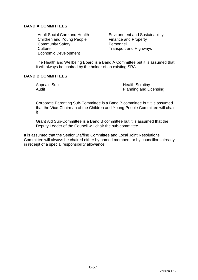### **BAND A COMMITTEES**

Children and Young People Finance and Property Community Safety **Personnel** Culture Culture Transport and Highways Economic Development

Adult Social Care and Health Environment and Sustainability

The Health and Wellbeing Board is a Band A Committee but it is assumed that it will always be chaired by the holder of an existing SRA

### **BAND B COMMITTEES**

Appeals Sub **Health Scrutiny** Audit **Audit** Planning and Licensing

Corporate Parenting Sub-Committee is a Band B committee but it is assumed that the Vice-Chairman of the Children and Young People Committee will chair it

Grant Aid Sub-Committee is a Band B committee but it is assumed that the Deputy Leader of the Council will chair the sub-committee

It is assumed that the Senior Staffing Committee and Local Joint Resolutions Committee will always be chaired either by named members or by councillors already in receipt of a special responsibility allowance.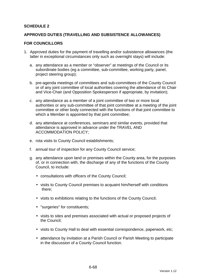### **SCHEDULE 2**

#### **APPROVED DUTIES (TRAVELLING AND SUBSISTENCE ALLOWANCES)**

#### **FOR COUNCILLORS**

- 1. Approved duties for the payment of travelling and/or subsistence allowances (the latter in exceptional circumstances only such as overnight stays) will include:
	- a. any attendance as a member or "observer" at meetings of the Council or its subordinate bodies (eg a committee, sub-committee, working party, panel, project steering group);
	- b. pre-agenda meetings of committees and sub-committees of the County Council or of any joint committee of local authorities covering the attendance of its Chair and Vice-Chair (and Opposition Spokesperson if appropriate, by invitation);
	- c. any attendance as a member of a joint committee of two or more local authorities or any sub-committee of that joint committee at a meeting of the joint committee or other body connected with the functions of that joint committee to which a Member is appointed by that joint committee;
	- d. any attendance at conferences, seminars and similar events, provided that attendance is approved in advance under the TRAVEL AND ACCOMMODATION POLICY;
	- e. rota visits to County Council establishments;
	- f. annual tour of inspection for any County Council service;
	- g. any attendance upon land or premises within the County area, for the purposes of, or in connection with, the discharge of any of the functions of the County Council, to include:
		- consultations with officers of the County Council;
		- visits to County Council premises to acquaint him/herself with conditions there;
		- visits to exhibitions relating to the functions of the County Council;
		- "surgeries" for constituents;
		- visits to sites and premises associated with actual or proposed projects of the Council;
		- visits to County Hall to deal with essential correspondence, paperwork, etc;
		- attendance by invitation at a Parish Council or Parish Meeting to participate in the discussion of a County Council function.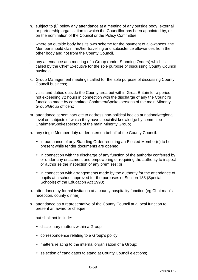- h. subject to (i.) below any attendance at a meeting of any outside body, external or partnership organisation to which the Councillor has been appointed by, or on the nomination of the Council or the Policy Committee;
- i. where an outside body has its own scheme for the payment of allowances, the Member should claim his/her travelling and subsistence allowances from the other body and not from the County Council.
- j. any attendance at a meeting of a Group (under Standing Orders) which is called by the Chief Executive for the sole purpose of discussing County Council business;
- k. Group Management meetings called for the sole purpose of discussing County Council business;
- l. visits and duties outside the County area but within Great Britain for a period not exceeding 72 hours in connection with the discharge of any the Council's functions made by committee Chairmen/Spokespersons of the main Minority Group/Group officers;
- m. attendance at seminars etc to address non-political bodies at national/regional level on subjects of which they have specialist knowledge by committee Chairmen/Spokespersons of the main Minority Group;
- n. any single Member duty undertaken on behalf of the County Council:
	- in pursuance of any Standing Order requiring an Elected Member(s) to be present while tender documents are opened;
	- in connection with the discharge of any function of the authority conferred by or under any enactment and empowering or requiring the authority to inspect or authorise the inspection of any premises; or
	- in connection with arrangements made by the authority for the attendance of pupils at a school approved for the purposes of Section 188 (Special Schools) of the Education Act 1993;
- o. attendance by formal invitation at a county hospitality function (eg Chairman's reception, county dinner);
- p. attendance as a representative of the County Council at a local function to present an award or cheque;

but shall not include:

- disciplinary matters within a Group;
- correspondence relating to a Group's policy:
- matters relating to the internal organisation of a Group;
- selection of candidates to stand at County Council elections;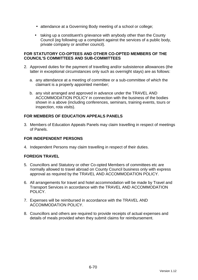- attendance at a Governing Body meeting of a school or college;
- taking up a constituent's grievance with anybody other than the County Council (eg following up a complaint against the services of a public body, private company or another council).

#### **FOR STATUTORY CO-OPTEES AND OTHER CO-OPTED MEMBERS OF THE COUNCIL'S COMMITTEES AND SUB-COMMITTEES**

- 2. Approved duties for the payment of travelling and/or subsistence allowances (the latter in exceptional circumstances only such as overnight stays) are as follows:
	- a. any attendance at a meeting of committee or a sub-committee of which the claimant is a properly appointed member;
	- b. any visit arranged and approved in advance under the TRAVEL AND ACCOMMODATION POLICY in connection with the business of the bodies shown in a above (including conferences, seminars, training events, tours or inspection, rota visits).

# **FOR MEMBERS OF EDUCATION APPEALS PANELS**

3. Members of Education Appeals Panels may claim travelling in respect of meetings of Panels.

### **FOR INDEPENDENT PERSONS**

4. Independent Persons may claim travelling in respect of their duties.

#### **FOREIGN TRAVEL**

- 5. Councillors and Statutory or other Co-opted Members of committees etc are normally allowed to travel abroad on County Council business only with express approval as required by the TRAVEL AND ACCOMMODATION POLICY.
- 6. All arrangements for travel and hotel accommodation will be made by Travel and Transport Services in accordance with the TRAVEL AND ACCOMMODATION POLICY.
- 7. Expenses will be reimbursed in accordance with the TRAVEL AND ACCOMMODATION POLICY.
- 8. Councillors and others are required to provide receipts of actual expenses and details of meals provided when they submit claims for reimbursement.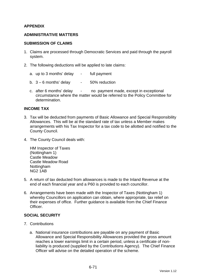### **APPENDIX**

#### **ADMINISTRATIVE MATTERS**

#### **SUBMISSION OF CLAIMS**

- 1. Claims are processed through Democratic Services and paid through the payroll system.
- 2. The following deductions will be applied to late claims:
	- a. up to 3 months' delay full payment
	- b.  $3 6$  months' delay  $-50\%$  reduction
	- c. after 6 months' delay no payment made, except in exceptional circumstance where the matter would be referred to the Policy Committee for determination.

#### **INCOME TAX**

- 3. Tax will be deducted from payments of Basic Allowance and Special Responsibility Allowances. This will be at the standard rate of tax unless a Member makes arrangements with his Tax Inspector for a tax code to be allotted and notified to the County Council.
- 4. The County Council deals with:

HM Inspector of Taxes (Nottingham 1) Castle Meadow Castle Meadow Road Nottingham NG2 1AB

- 5. A return of tax deducted from allowances is made to the Inland Revenue at the end of each financial year and a P60 is provided to each councillor.
- 6. Arrangements have been made with the Inspector of Taxes (Nottingham 1) whereby Councillors on application can obtain, where appropriate, tax relief on their expenses of office. Further guidance is available from the Chief Finance **Officer**

#### **SOCIAL SECURITY**

- 7. Contributions
	- a. National insurance contributions are payable on any payment of Basic Allowance and Special Responsibility Allowances provided the gross amount reaches a lower earnings limit in a certain period, unless a certificate of nonliability is produced (supplied by the Contributions Agency). The Chief Finance Officer will advise on the detailed operation of the scheme.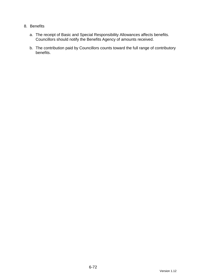### 8. Benefits

- a. The receipt of Basic and Special Responsibility Allowances affects benefits. Councillors should notify the Benefits Agency of amounts received.
- b. The contribution paid by Councillors counts toward the full range of contributory benefits.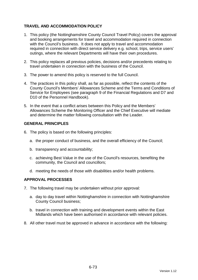# **TRAVEL AND ACCOMMODATION POLICY**

- 1. This policy (the Nottinghamshire County Council Travel Policy) covers the approval and booking arrangements for travel and accommodation required in connection with the Council's business. It does not apply to travel and accommodation required in connection with direct service delivery e.g. school, trips, service users' outings, where the relevant Departments will have their own procedures.
- 2. This policy replaces all previous policies, decisions and/or precedents relating to travel undertaken in connection with the business of the Council.
- 3. The power to amend this policy is reserved to the full Council.
- 4. The practices in this policy shall, as far as possible, reflect the contents of the County Council's Members' Allowances Scheme and the Terms and Conditions of Service for Employees (see paragraph 9 of the Financial Regulations and D7 and D10 of the Personnel Handbook).
- 5. In the event that a conflict arises between this Policy and the Members' Allowances Scheme the Monitoring Officer and the Chief Executive will mediate and determine the matter following consultation with the Leader.

#### **GENERAL PRINCIPLES**

- 6. The policy is based on the following principles:
	- a. the proper conduct of business, and the overall efficiency of the Council;
	- b. transparency and accountability;
	- c. achieving Best Value in the use of the Council's resources, benefiting the community, the Council and councillors;
	- d. meeting the needs of those with disabilities and/or health problems.

#### **APPROVAL PROCESSES**

- 7. The following travel may be undertaken without prior approval:
	- a. day to day travel within Nottinghamshire in connection with Nottinghamshire County Council business;
	- b. travel in connection with training and development events within the East Midlands which have been authorised in accordance with relevant policies.
- 8. All other travel must be approved in advance in accordance with the following: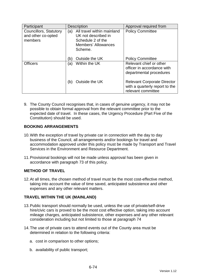| Participant                                             | <b>Description</b>                                                                                                     | Approval required from                                                                     |
|---------------------------------------------------------|------------------------------------------------------------------------------------------------------------------------|--------------------------------------------------------------------------------------------|
| Councillors, Statutory<br>and other co-opted<br>members | All travel within mainland<br>(a)<br>UK not described in<br>Schedule 2 of the<br><b>Members' Allowances</b><br>Scheme. | <b>Policy Committee</b>                                                                    |
|                                                         | Outside the UK<br>(b)                                                                                                  | <b>Policy Committee</b>                                                                    |
| <b>Officers</b>                                         | Within the UK<br>(a)                                                                                                   | Relevant chief or other<br>officer in accordance with<br>departmental procedures           |
|                                                         | Outside the UK<br>(b)                                                                                                  | <b>Relevant Corporate Director</b><br>with a quarterly report to the<br>relevant committee |

9. The County Council recognises that, in cases of genuine urgency, it may not be possible to obtain formal approval from the relevant committee prior to the expected date of travel. In these cases, the Urgency Procedure (Part Five of the Constitution) should be used.

# **BOOKING ARRANGEMENTS**

- 10. With the exception of travel by private car in connection with the day to day business of the Council, all arrangements and/or bookings for travel and accommodation approved under this policy must be made by Transport and Travel Services in the Environment and Resource Department.
- 11. Provisional bookings will not be made unless approval has been given in accordance with paragraph 73 of this policy.

# **METHOD OF TRAVEL**

12. At all times, the chosen method of travel must be the most cost-effective method, taking into account the value of time saved, anticipated subsistence and other expenses and any other relevant matters.

# **TRAVEL WITHIN THE UK (MAINLAND)**

- 13. Public transport should normally be used, unless the use of private/self-drive hire/civic cars is proved to be the most cost effective option, taking into account mileage charges, anticipated subsistence, other expenses and any other relevant consideration including but not limited to those at paragraph 74
- 14. The use of private cars to attend events out of the County area must be determined in relation to the following criteria:
	- a. cost in comparison to other options;
	- b. availability of public transport;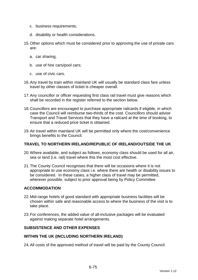- c. business requirements;
- d. disability or health considerations.
- 15. Other options which must be considered prior to approving the use of private cars are:
	- a. car sharing;
	- b. use of hire cars/pool cars;
	- c. use of civic cars.
- 16. Any travel by train within mainland UK will usually be standard class fare unless travel by other classes of ticket is cheaper overall.
- 17. Any councillor or officer requesting first class rail travel must give reasons which shall be recorded in the register referred to the section below.
- 18. Councillors are encouraged to purchase appropriate railcards if eligible, in which case the Council will reimburse two-thirds of the cost. Councillors should advise Transport and Travel Services that they have a railcard at the time of booking, to ensure that a reduced price ticket is obtained.
- 19. Air travel within mainland UK will be permitted only where the cost/convenience brings benefits to the Council.

#### **TRAVEL TO NORTHERN IRELAND/REPUBLIC OF IRELAND/OUTSIDE THE UK**

- 20. Where available, and subject as follows, economy class should be used for all air, sea or land (i.e. rail) travel where this the most cost effective.
- 21. The County Council recognises that there will be occasions where it is not appropriate to use economy class i.e. where there are health or disability issues to be considered. In these cases, a higher class of travel may be permitted, wherever possible, subject to prior approval being by Policy Committee.

### **ACCOMMODATION**

- 22. Mid-range hotels of good standard with appropriate business facilities will be chosen within safe and reasonable access to where the business of the visit is to take place.
- 23. For conferences, the added value of all-inclusive packages will be evaluated against making separate hotel arrangements.

### **SUBSISTENCE AND OTHER EXPENSES**

#### **WITHIN THE UK (INCLUDING NORTHERN IRELAND)**

24. All costs of the approved method of travel will be paid by the County Council.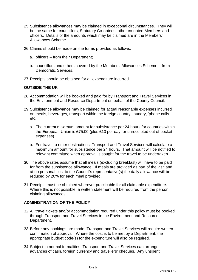- 25. Subsistence allowances may be claimed in exceptional circumstances. They will be the same for councillors, Statutory Co-optees, other co-opted Members and officers. Details of the amounts which may be claimed are in the Members' Allowances Scheme.
- 26. Claims should be made on the forms provided as follows:
	- a. officers from their Department;
	- b. councillors and others covered by the Members' Allowances Scheme from Democratic Services.
- 27. Receipts should be obtained for all expenditure incurred.

#### **OUTSIDE THE UK**

- 28. Accommodation will be booked and paid for by Transport and Travel Services in the Environment and Resource Department on behalf of the County Council.
- 29. Subsistence allowance may be claimed for actual reasonable expenses incurred on meals, beverages, transport within the foreign country, laundry, 'phone calls etc.
	- a. The current maximum amount for subsistence per 24 hours for countries within the European Union is £75.00 (plus £10 per day for unreceipted out of pocket expenses).
	- b. For travel to other destinations, Transport and Travel Services will calculate a maximum amount for subsistence per 24 hours. That amount will be notified to relevant committee when approval is sought for the travel to be undertaken.
- 30. The above rates assume that all meals (excluding breakfast) will have to be paid for from the subsistence allowance. If meals are provided as part of the visit and at no personal cost to the Council's representative(s) the daily allowance will be reduced by 20% for each meal provided.
- 31. Receipts must be obtained wherever practicable for all claimable expenditure. Where this is not possible, a written statement will be required from the person claiming allowances.

#### **ADMINISTRATION OF THE POLICY**

- 32. All travel tickets and/or accommodation required under this policy must be booked through Transport and Travel Services in the Environment and Resource Department.
- 33. Before any bookings are made, Transport and Travel Services will require written confirmation of approval. Where the cost is to be met by a Department, the appropriate budget code(s) for the expenditure will also be required.
- 34. Subject to normal formalities, Transport and Travel Services can arrange advances of cash, foreign currency and travellers' cheques. Any unspent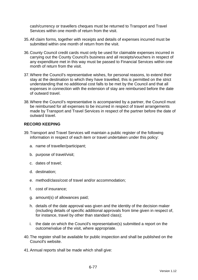cash/currency or travellers cheques must be returned to Transport and Travel Services within one month of return from the visit.

- 35. All claim forms, together with receipts and details of expenses incurred must be submitted within one month of return from the visit.
- 36. County Council credit cards must only be used for claimable expenses incurred in carrying out the County Council's business and all receipts/vouchers in respect of any expenditure met in this way must be passed to Financial Services within one month of return from the visit.
- 37. Where the Council's representative wishes, for personal reasons, to extend their stay at the destination to which they have travelled, this is permitted on the strict understanding that no additional cost falls to be met by the Council and that all expenses in connection with the extension of stay are reimbursed before the date of outward travel.
- 38. Where the Council's representative is accompanied by a partner, the Council must be reimbursed for all expenses to be incurred in respect of travel arrangements made by Transport and Travel Services in respect of the partner before the date of outward travel.

## **RECORD KEEPING**

- 39. Transport and Travel Services will maintain a public register of the following information in respect of each item or travel undertaken under this policy:
	- a. name of traveller/participant;
	- b. purpose of travel/visit;
	- c. dates of travel;
	- d. destination;
	- e. method/class/cost of travel and/or accommodation;
	- f. cost of insurance;
	- g. amount(s) of allowances paid;
	- h. details of the date approval was given and the identity of the decision maker (including details of specific additional approvals from time given in respect of, for instance, travel by other than standard class);
	- i. the date on which the Council's representative(s) submitted a report on the outcome/value of the visit, where appropriate.
- 40. The register shall be available for public inspection and shall be published on the Council's website.
- 41. Annual reports shall be made which shall give: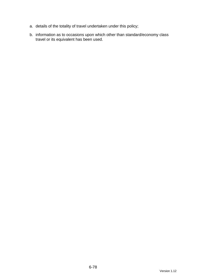- a. details of the totality of travel undertaken under this policy;
- b. information as to occasions upon which other than standard/economy class travel or its equivalent has been used.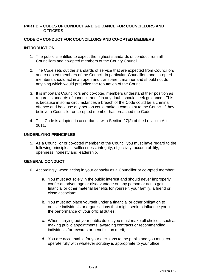#### **PART B – CODES OF CONDUCT AND GUIDANCE FOR COUNCILLORS AND OFFICERS**

### **CODE OF CONDUCT FOR COUNCILLORS AND CO-OPTED MEMBERS**

### **INTRODUCTION**

- 1. The public is entitled to expect the highest standards of conduct from all Councillors and co-opted members of the County Council.
- 2. The Code sets out the standards of service that are expected from Councillors and co-opted members of the Council. In particular, Councillors and co-opted members should act in an open and transparent manner and should not do anything which would prejudice the reputation of the Council.
- 3. It is important Councillors and co-opted members understand their position as regards standards of conduct, and if in any doubt should seek guidance. This is because in some circumstances a breach of the Code could be a criminal offence and because any person could make a complaint to the Council if they believe a Councillor or co-opted member has breached the Code.
- 4. This Code is adopted in accordance with Section 27(2) of the Localism Act 2011.

### **UNDERLYING PRINCIPLES**

5. As a Councillor or co-opted member of the Council you must have regard to the following principles – selflessness, integrity, objectivity, accountability, openness, honesty and leadership.

## **GENERAL CONDUCT**

- 6. Accordingly, when acting in your capacity as a Councillor or co-opted member:
	- a. You must act solely in the public interest and should never improperly confer an advantage or disadvantage on any person or act to gain financial or other material benefits for yourself, your family, a friend or close associate;
	- b. You must not place yourself under a financial or other obligation to outside individuals or organisations that might seek to influence you in the performance of your official duties;
	- c. When carrying out your public duties you must make all choices, such as making public appointments, awarding contracts or recommending individuals for rewards or benefits, on merit;
	- d. You are accountable for your decisions to the public and you must cooperate fully with whatever scrutiny is appropriate to your office;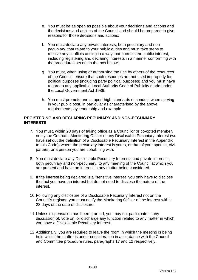- e. You must be as open as possible about your decisions and actions and the decisions and actions of the Council and should be prepared to give reasons for those decisions and actions;
- f. You must declare any private interests, both pecuniary and nonpecuniary, that relate to your public duties and must take steps to resolve any conflicts arising in a way that protects the public interest, including registering and declaring interests in a manner conforming with the procedures set out in the box below;
- g. You must, when using or authorising the use by others of the resources of the Council, ensure that such resources are not used improperly for political purposes (including party political purposes) and you must have regard to any applicable Local Authority Code of Publicity made under the Local Government Act 1986;
- h. You must promote and support high standards of conduct when serving in your public post, in particular as characterised by the above requirements, by leadership and example

### **REGISTERING AND DECLARING PECUNIARY AND NON-PECUNIARY INTERESTS**

- 7. You must, within 28 days of taking office as a Councillor or co-opted member, notify the Council's Monitoring Officer of any Disclosable Pecuniary Interest (we have set out the definition of a Disclosable Pecuniary Interest in the Appendix to this Code), where the pecuniary interest is yours, or that of your spouse, civil partner, or a person you are cohabiting with.
- 8. You must declare any Disclosable Pecuniary Interests and private interests, both pecuniary and non-pecuniary, to any meeting of the Council at which you are present and have an interest in any matter being considered.
- 9. If the interest being declared is a "sensitive interest" you only have to disclose the fact you have an interest but do not need to disclose the nature of the interest.
- 10. Following any disclosure of a Disclosable Pecuniary Interest not on the Council's register, you must notify the Monitoring Officer of the interest within 28 days of the date of disclosure.
- 11. Unless dispensation has been granted, you may not participate in any discussion of, vote on, or discharge any function related to any matter in which you have a Disclosable Pecuniary Interest.
- 12. Additionally, you are required to leave the room in which the meeting is being held whilst the matter is under consideration in accordance with the Council and Committee procedure rules, paragraphs 17 and 12 respectively.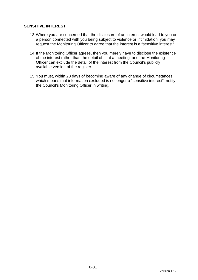### **SENSITIVE INTEREST**

- 13. Where you are concerned that the disclosure of an interest would lead to you or a person connected with you being subject to violence or intimidation, you may request the Monitoring Officer to agree that the interest is a "sensitive interest".
- 14. If the Monitoring Officer agrees, then you merely have to disclose the existence of the interest rather than the detail of it, at a meeting, and the Monitoring Officer can exclude the detail of the interest from the Council's publicly available version of the register.
- 15. You must, within 28 days of becoming aware of any change of circumstances which means that information excluded is no longer a "sensitive interest", notify the Council's Monitoring Officer in writing.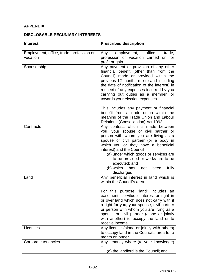# **APPENDIX**

## **DISCLOSABLE PECUNIARY INTERESTS**

| <b>Interest</b>                                      | <b>Prescribed description</b>                                                                                                                                                                                                                                                                                                                                                                               |
|------------------------------------------------------|-------------------------------------------------------------------------------------------------------------------------------------------------------------------------------------------------------------------------------------------------------------------------------------------------------------------------------------------------------------------------------------------------------------|
| Employment, office, trade, profession or<br>vocation | employment, office,<br>trade,<br>Any<br>profession or vocation carried on for<br>profit or gain.                                                                                                                                                                                                                                                                                                            |
| Sponsorship                                          | Any payment or provision of any other<br>financial benefit (other than from the<br>Council) made or provided within the<br>previous 12 months (up to and including<br>the date of notification of the interest) in<br>respect of any expenses incurred by you<br>carrying out duties as a member, or<br>towards your election expenses.                                                                     |
|                                                      | This includes any payment or financial<br>benefit from a trade union within the<br>meaning of the Trade Union and Labour<br>Relations (Consolidation) Act 1992.                                                                                                                                                                                                                                             |
| Contracts                                            | Any contract which is made between<br>you, your spouse or civil partner or<br>person with whom you are living as a<br>spouse or civil partner (or a body in<br>which you or they have a beneficial<br>interest) and the Council<br>(a) under which goods or services are<br>to be provided or works are to be<br>executed; and<br>(b) which<br>fully<br>has<br>been<br>not<br>discharged                    |
| Land                                                 | Any beneficial interest in land which is<br>within the Council's area.<br>For this purpose "land" includes an<br>easement, servitude, interest or right in<br>or over land which does not carry with it<br>a right for you, your spouse, civil partner<br>or person with whom you are living as a<br>spouse or civil partner (alone or jointly<br>with another) to occupy the land or to<br>receive income. |
| Licences                                             | Any licence (alone or jointly with others)<br>to occupy land in the Council's area for a<br>month or longer.                                                                                                                                                                                                                                                                                                |
| Corporate tenancies                                  | Any tenancy where (to your knowledge)<br>(a) the landlord is the Council; and                                                                                                                                                                                                                                                                                                                               |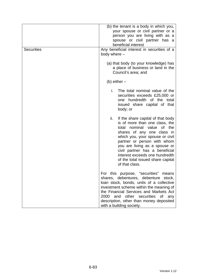| <b>Securities</b> | (b) the tenant is a body in which you,<br>your spouse or civil partner or a<br>person you are living with as a<br>spouse or civil partner has a<br>beneficial interest<br>Any beneficial interest in securities of a<br>body where -                                                                                                                                       |
|-------------------|----------------------------------------------------------------------------------------------------------------------------------------------------------------------------------------------------------------------------------------------------------------------------------------------------------------------------------------------------------------------------|
|                   | (a) that body (to your knowledge) has<br>a place of business or land in the<br>Council's area; and                                                                                                                                                                                                                                                                         |
|                   | (b) either $-$                                                                                                                                                                                                                                                                                                                                                             |
|                   | i.<br>The total nominal value of the<br>securities exceeds £25,000 or<br>one hundredth of the total<br>issued share capital of that<br>body; or                                                                                                                                                                                                                            |
|                   | ii.<br>If the share capital of that body<br>is of more than one class, the<br>nominal value<br>of the<br>total<br>shares of any one class in<br>which you, your spouse or civil<br>partner or person with whom<br>you are living as a spouse or<br>civil partner has a beneficial<br>interest exceeds one hundredth<br>of the total issued share capital<br>of that class. |
|                   | For this purpose, "securities"<br>means<br>shares, debentures, debenture stock,<br>loan stock, bonds, units of a collective<br>investment scheme within the meaning of<br>the Financial Services and Markets Act<br>2000<br>and other securities of<br>any<br>description, other than money deposited<br>with a building society.                                          |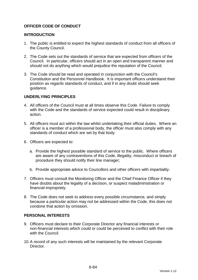## **OFFICER CODE OF CONDUCT**

### **INTRODUCTION**

- 1. The public is entitled to expect the highest standards of conduct from all officers of the County Council.
- 2. The Code sets out the standards of service that are expected from officers of the Council. In particular, officers should act in an open and transparent manner and should not do anything which would prejudice the reputation of the Council.
- 3. The Code should be read and operated in conjunction with the Council's Constitution and the Personnel Handbook. It is important officers understand their position as regards standards of conduct, and if in any doubt should seek guidance.

### **UNDERLYING PRINCIPLES**

- 4. All officers of the Council must at all times observe this Code. Failure to comply with the Code and the standards of service expected could result in disciplinary action.
- 5. All officers must act within the law whilst undertaking their official duties. Where an officer is a member of a professional body, the officer must also comply with any standards of conduct which are set by that body.
- 6. Officers are expected to:
	- a. Provide the highest possible standard of service to the public. Where officers are aware of any contraventions of this Code, illegality, misconduct or breach of procedure they should notify their line manager;
	- b. Provide appropriate advice to Councillors and other officers with impartiality.
- 7. Officers must consult the Monitoring Officer and the Chief Finance Officer if they have doubts about the legality of a decision, or suspect maladministration or financial impropriety.
- 8. The Code does not seek to address every possible circumstance, and simply because a particular action may not be addressed within the Code, this does not condone that action by omission.

#### **PERSONAL INTERESTS**

- 9. Officers must declare to their Corporate Director any financial interests or non-financial interests which could or could be perceived to conflict with their role with the Council.
- 10. A record of any such interests will be maintained by the relevant Corporate **Director**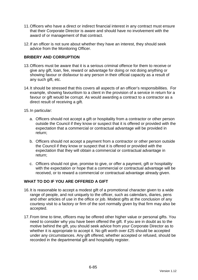- 11. Officers who have a direct or indirect financial interest in any contract must ensure that their Corporate Director is aware and should have no involvement with the award of or management of that contract.
- 12. If an officer is not sure about whether they have an interest, they should seek advice from the Monitoring Officer.

### **BRIBERY AND CORRUPTION**

- 13. Officers must be aware that it is a serious criminal offence for them to receive or give any gift, loan, fee, reward or advantage for doing or not doing anything or showing favour or disfavour to any person in their official capacity as a result of any such gift, etc.
- 14. It should be stressed that this covers all aspects of an officer's responsibilities. For example, showing favouritism to a client in the provision of a service in return for a favour or gift would be corrupt. As would awarding a contract to a contractor as a direct result of receiving a gift.
- 15. In particular:
	- a. Officers should not accept a gift or hospitality from a contractor or other person outside the Council if they know or suspect that it is offered or provided with the expectation that a commercial or contractual advantage will be provided in return;
	- b. Officers should not accept a payment from a contractor or other person outside the Council if they know or suspect that it is offered or provided with the expectation that they will obtain a commercial or contractual advantage in return;
	- c. Officers should not give, promise to give, or offer a payment, gift or hospitality with the expectation or hope that a commercial or contractual advantage will be received, or to reward a commercial or contractual advantage already given.

## **WHAT TO DO IF YOU ARE OFFERED A GIFT**

- 16. It is reasonable to accept a modest gift of a promotional character given to a wide range of people, and not uniquely to the officer, such as calendars, diaries, pens and other articles of use in the office or job. Modest gifts at the conclusion of any courtesy visit to a factory or firm of the sort normally given by that firm may also be accepted.
- 17. From time to time, officers may be offered other higher value or personal gifts. You need to consider why you have been offered the gift. If you are in doubt as to the motive behind the gift, you should seek advice from your Corporate Director as to whether it is appropriate to accept it. No gift worth over £25 should be accepted under any circumstances. Any gift offered, whether accepted or refused, should be recorded in the departmental gift and hospitality register.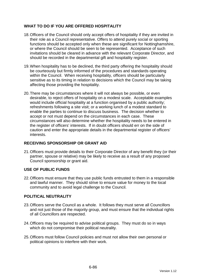## **WHAT TO DO IF YOU ARE OFFERED HOSPITALITY**

- 18. Officers of the Council should only accept offers of hospitality if they are invited in their role as a Council representative. Offers to attend purely social or sporting functions should be accepted only when these are significant for Nottinghamshire, or where the Council should be seen to be represented. Acceptance of such invitations should be cleared in advance with the relevant Corporate Director, and should be recorded in the departmental gift and hospitality register.
- 19. When hospitality has to be declined, the third party offering the hospitality should be courteously but firmly informed of the procedures and standards operating within the Council. When receiving hospitality, officers should be particularly sensitive as to its timing in relation to decisions which the Council may be taking affecting those providing the hospitality.
- 20. There may be circumstances where it will not always be possible, or even desirable, to reject offers of hospitality on a modest scale. Acceptable examples would include official hospitality at a function organised by a public authority; refreshments following a site visit; or a working lunch of a modest standard to enable the parties to continue to discuss business. The decision whether to accept or not must depend on the circumstances in each case. These circumstances will also determine whether the hospitality needs to be entered in the register of officers' interests. If in doubt officers should err on the side of caution and enter the appropriate details in the departmental register of officers' interests.

## **RECEIVING SPONSORSHIP OR GRANT AID**

21. Officers must provide details to their Corporate Director of any benefit they (or their partner, spouse or relative) may be likely to receive as a result of any proposed Council sponsorship or grant aid.

## **USE OF PUBLIC FUNDS**

22. Officers must ensure that they use public funds entrusted to them in a responsible and lawful manner. They should strive to ensure value for money to the local community and to avoid legal challenge to the Council.

## **POLITICAL NEUTRALITY**

- 23. Officers serve the Council as a whole. It follows they must serve all Councillors and not just those of the majority group, and must ensure that the individual rights of all Councillors are respected.
- 24. Officers may be required to advise political groups. They must do so in ways which do not compromise their political neutrality.
- 25. Officers must follow Council policies and must not allow their own personal or political opinions to interfere with their work.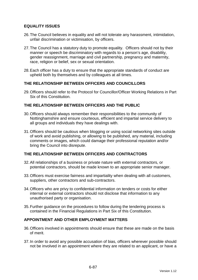### **EQUALITY ISSUES**

- 26. The Council believes in equality and will not tolerate any harassment, intimidation, unfair discrimination or victimisation, by officers.
- 27. The Council has a statutory duty to promote equality. Officers should not by their manner or speech be discriminatory with regards to a person's age, disability, gender reassignment, marriage and civil partnership, pregnancy and maternity, race, religion or belief, sex or sexual orientation.
- 28. Each officer has a duty to ensure that the appropriate standards of conduct are upheld both by themselves and by colleagues at all times.

### **THE RELATIONSHIP BETWEEN OFFICERS AND COUNCILLORS**

29. Officers should refer to the Protocol for Councillor/Officer Working Relations in Part Six of this Constitution.

### **THE RELATIONSHIP BETWEEN OFFICERS AND THE PUBLIC**

- 30. Officers should always remember their responsibilities to the community of Nottinghamshire and ensure courteous, efficient and impartial service delivery to all groups and individuals they have dealings with.
- 31. Officers should be cautious when blogging or using social networking sites outside of work and avoid publishing, or allowing to be published, any material, including comments or images, which could damage their professional reputation and/or bring the Council into disrepute.

### **THE RELATIONSHIP BETWEEN OFFICERS AND CONTRACTORS**

- 32. All relationships of a business or private nature with external contractors, or potential contractors, should be made known to an appropriate senior manager.
- 33. Officers must exercise fairness and impartiality when dealing with all customers, suppliers, other contractors and sub-contractors.
- 34. Officers who are privy to confidential information on tenders or costs for either internal or external contractors should not disclose that information to any unauthorised party or organisation.
- 35. Further guidance on the procedures to follow during the tendering process is contained in the Financial Regulations in Part Six of this Constitution.

#### **APPOINTMENT AND OTHER EMPLOYMENT MATTERS**

- 36. Officers involved in appointments should ensure that these are made on the basis of merit.
- 37. In order to avoid any possible accusation of bias, officers wherever possible should not be involved in an appointment where they are related to an applicant, or have a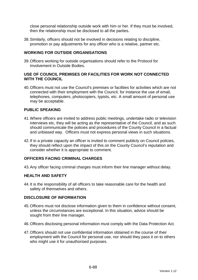close personal relationship outside work with him or her. If they must be involved, then the relationship must be disclosed to all the parties.

38. Similarly, officers should not be involved in decisions relating to discipline, promotion or pay adjustments for any officer who is a relative, partner etc.

### **WORKING FOR OUTSIDE ORGANISATIONS**

39. Officers working for outside organisations should refer to the Protocol for Involvement in Outside Bodies.

### **USE OF COUNCIL PREMISES OR FACILITIES FOR WORK NOT CONNECTED WITH THE COUNCIL**

40. Officers must not use the Council's premises or facilities for activities which are not connected with their employment with the Council, for instance the use of email, telephones, computers, photocopiers, typists, etc. A small amount of personal use may be acceptable.

### **PUBLIC SPEAKING**

- 41. Where officers are invited to address public meetings, undertake radio or television interviews etc, they will be acting as the representative of the Council, and as such should communicate the policies and procedures of the County Council in a factual and unbiased way. Officers must not express personal views in such situations.
- 42. If in a private capacity an officer is invited to comment publicly on Council policies, they should reflect upon the impact of this on the County Council's reputation and consider whether it is appropriate to comment.

### **OFFICERS FACING CRIMINAL CHARGES**

43. Any officer facing criminal charges must inform their line manager without delay.

#### **HEALTH AND SAFETY**

44. It is the responsibility of all officers to take reasonable care for the health and safety of themselves and others.

#### **DISCLOSURE OF INFORMATION**

- 45. Officers must not disclose information given to them in confidence without consent, unless the circumstances are exceptional. In this situation, advice should be sought from their line manager.
- 46. Officers disclosing personal information must comply with the Data Protection Act.
- 47. Officers should not use confidential information obtained in the course of their employment with the Council for personal use, nor should they pass it on to others who might use it for unauthorised purposes.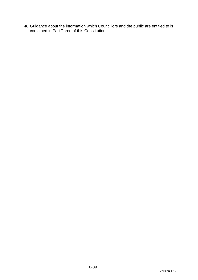48. Guidance about the information which Councillors and the public are entitled to is contained in Part Three of this Constitution.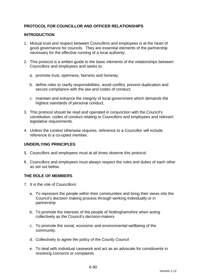## **PROTOCOL FOR COUNCILLOR AND OFFICER RELATIONSHIPS**

### **INTRODUCTION**

- 1. Mutual trust and respect between Councillors and employees is at the heart of good governance for councils. They are essential elements of the partnership necessary for the effective running of a local authority.
- 2. This protocol is a written guide to the basic elements of the relationships between Councillors and employees and seeks to:
	- a. promote trust, openness, fairness and honesty;
	- b. define roles to clarify responsibilities, avoid conflict, prevent duplication and secure compliance with the law and codes of conduct;
	- c. maintain and enhance the integrity of local government which demands the highest standards of personal conduct.
- 3. This protocol should be read and operated in conjunction with the Council's constitution, codes of conduct relating to Councillors and employees and relevant legislative requirements.
- 4. Unless the context otherwise requires, reference to a Councillor will include reference to a co-opted member.

## **UNDERLYING PRINCIPLES**

- 5. Councillors and employees must at all times observe this protocol.
- 6. Councillors and employees must always respect the roles and duties of each other as set out below.

#### **THE ROLE OF MEMBERS**

- 7. It is the role of Councillors:
	- a. To represent the people within their communities and bring their views into the Council's decision making process through working individually or in partnership
	- b. To promote the interests of the people of Nottinghamshire when acting collectively as the Council's decision-makers
	- c. To promote the social, economic and environmental wellbeing of the community.
	- d. Collectively to agree the policy of the County Council
	- e. To deal with individual casework and act as an advocate for constituents in resolving concerns or complaints.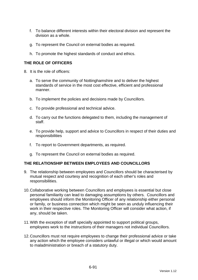- f. To balance different interests within their electoral division and represent the division as a whole.
- g. To represent the Council on external bodies as required.
- h. To promote the highest standards of conduct and ethics.

## **THE ROLE OF OFFICERS**

- 8. It is the role of officers:
	- a. To serve the community of Nottinghamshire and to deliver the highest standards of service in the most cost effective, efficient and professional manner.
	- b. To implement the policies and decisions made by Councillors.
	- c. To provide professional and technical advice.
	- d. To carry out the functions delegated to them, including the management of staff.
	- e. To provide help, support and advice to Councillors in respect of their duties and responsibilities
	- f. To report to Government departments, as required.
	- g. To represent the Council on external bodies as required.

#### **THE RELATIONSHIP BETWEEN EMPLOYEES AND COUNCILLORS**

- 9. The relationship between employees and Councillors should be characterised by mutual respect and courtesy and recognition of each other's roles and responsibilities.
- 10. Collaborative working between Councillors and employees is essential but close personal familiarity can lead to damaging assumptions by others. Councillors and employees should inform the Monitoring Officer of any relationship either personal or family, or business connection which might be seen as unduly influencing their work in their respective roles. The Monitoring Officer will consider what action, if any, should be taken.
- 11. With the exception of staff specially appointed to support political groups, employees work to the instructions of their managers not individual Councillors.
- 12. Councillors must not require employees to change their professional advice or take any action which the employee considers unlawful or illegal or which would amount to maladministration or breach of a statutory duty.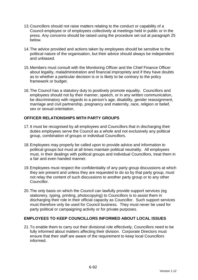- 13. Councillors should not raise matters relating to the conduct or capability of a Council employee or of employees collectively at meetings held in public or in the press. Any concerns should be raised using the procedure set out at paragraph 25 below.
- 14. The advice provided and actions taken by employees should be sensitive to the political nature of the organisation, but their advice should always be independent and unbiased.
- 15. Members must consult with the Monitoring Officer and the Chief Finance Officer about legality, maladministration and financial impropriety and if they have doubts as to whether a particular decision is or is likely to be contrary to the policy framework or budget.
- 16. The Council has a statutory duty to positively promote equality. Councillors and employees should not by their manner, speech, or in any written communication, be discriminatory with regards to a person's age, disability, gender reassignment, marriage and civil partnership, pregnancy and maternity, race, religion or belief, sex or sexual orientation.

## **OFFICER RELATIONSHIPS WITH PARTY GROUPS**

- 17. It must be recognised by all employees and Councillors that in discharging their duties employees serve the Council as a whole and not exclusively any political group, combination of groups or individual Councillors.
- 18. Employees may properly be called upon to provide advice and information to political groups but must at all times maintain political neutrality. All employees must, in their dealings with political groups and individual Councillors, treat them in a fair and even handed manner.
- 19. Employees must respect the confidentiality of any party group discussions at which they are present and unless they are requested to do so by that party group, must not relay the content of such discussions to another party group or to any other Councillor.
- 20. The only basis on which the Council can lawfully provide support services (eg stationery, typing, printing, photocopying) to Councillors is to assist them in discharging their role in their official capacity as Councillor. Such support services must therefore only be used for Council business. They must never be used for party political or campaigning activity or for private purposes.

## **EMPLOYEES TO KEEP COUNCILLORS INFORMED ABOUT LOCAL ISSUES**

21. To enable them to carry out their divisional role effectively, Councillors need to be fully informed about matters affecting their division. Corporate Directors must ensure that their staff are aware of the requirement to keep local Councillors informed.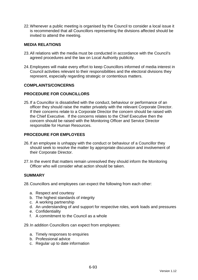22. Whenever a public meeting is organised by the Council to consider a local issue it is recommended that all Councillors representing the divisions affected should be invited to attend the meeting.

### **MEDIA RELATIONS**

- 23. All relations with the media must be conducted in accordance with the Council's agreed procedures and the law on Local Authority publicity.
- 24. Employees will make every effort to keep Councillors informed of media interest in Council activities relevant to their responsibilities and the electoral divisions they represent, especially regarding strategic or contentious matters.

#### **COMPLAINTS/CONCERNS**

### **PROCEDURE FOR COUNCILLORS**

25. If a Councillor is dissatisfied with the conduct, behaviour or performance of an officer they should raise the matter privately with the relevant Corporate Director. If their concerns relate to a Corporate Director the concern should be raised with the Chief Executive. If the concerns relates to the Chief Executive then the concern should be raised with the Monitoring Officer and Service Director responsible for Human Resources.

### **PROCEDURE FOR EMPLOYEES**

- 26. If an employee is unhappy with the conduct or behaviour of a Councillor they should seek to resolve the matter by appropriate discussion and involvement of their Corporate Director.
- 27. In the event that matters remain unresolved they should inform the Monitoring Officer who will consider what action should be taken.

#### **SUMMARY**

28. Councillors and employees can expect the following from each other:

- a. Respect and courtesy
- b. The highest standards of integrity
- c. A working partnership
- d. An understanding of and support for respective roles, work loads and pressures
- e. Confidentiality
- f. A commitment to the Council as a whole

29. In addition Councillors can expect from employees:

- a. Timely responses to enquiries
- b. Professional advice
- c. Regular up to date information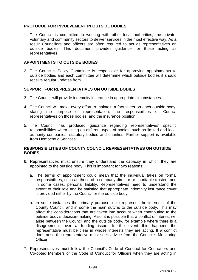### **PROTOCOL FOR INVOLVEMENT IN OUTSIDE BODIES**

1. The Council is committed to working with other local authorities, the private, voluntary and community sectors to deliver services in the most effective way. As a result Councillors and officers are often required to act as representatives on outside bodies. This document provides guidance for those acting as representatives.

### **APPOINTMENTS TO OUTSIDE BODIES**

2. The Council's Policy Committee is responsible for approving appointments to outside bodies and each committee will determine which outside bodies it should receive regular updates from.

### **SUPPORT FOR REPRESENTATIVES ON OUTSIDE BODIES**

- 3. The Council will provide indemnity insurance in appropriate circumstances.
- 4. The Council will make every effort to maintain a fact sheet on each outside body, stating the purpose of representation, the responsibilities of Council representatives on those bodies, and the insurance position.
- 5. The Council has produced guidance regarding representatives' specific responsibilities when sitting on different types of bodies, such as limited and local authority companies, statutory bodies and charities. Further support is available from Democratic Services.

### **RESPONSIBILITIES OF COUNTY COUNCIL REPRESENTATIVES ON OUTSIDE BODIES**

- 6. Representatives must ensure they understand the capacity in which they are appointed to the outside body. This is important for two reasons:
	- a. The terms of appointment could mean that the individual takes on formal responsibilities, such as those of a company director or charitable trustee, and in some cases, personal liability. Representatives need to understand the extent of their role and be satisfied that appropriate indemnity insurance cover is provided either by the Council or the outside body.
	- b. In some instances the primary purpose is to represent the interests of the County Council, and in some the main duty is to the outside body. This may affect the considerations that are taken into account when contributing to the outside body's decision-making. Also, it is possible that a conflict of interest will arise between the Council and the outside body, for example where there is a disagreement over a funding issue. In the event this happens the representative must be clear in whose interests they are acting. If a conflict does arise the representative must seek advice from the Council's Monitoring Officer.
- 7. Representatives must follow the Council's Code of Conduct for Councillors and Co-opted Members or the Code of Conduct for Officers when they are acting in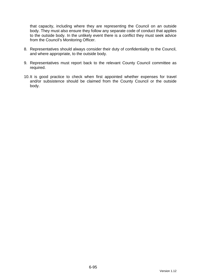that capacity, including where they are representing the Council on an outside body. They must also ensure they follow any separate code of conduct that applies to the outside body. In the unlikely event there is a conflict they must seek advice from the Council's Monitoring Officer.

- 8. Representatives should always consider their duty of confidentiality to the Council, and where appropriate, to the outside body.
- 9. Representatives must report back to the relevant County Council committee as required.
- 10. It is good practice to check when first appointed whether expenses for travel and/or subsistence should be claimed from the County Council or the outside body.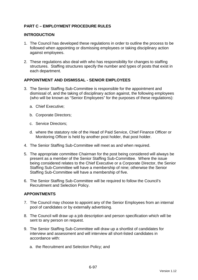## **PART C – EMPLOYMENT PROCEDURE RULES**

### **INTRODUCTION**

- 1. The Council has developed these regulations in order to outline the process to be followed when appointing or dismissing employees or taking disciplinary action against employees.
- 2. These regulations also deal with who has responsibility for changes to staffing structures. Staffing structures specify the number and types of posts that exist in each department.

### **APPOINTMENT AND DISMISSAL - SENIOR EMPLOYEES**

- 3. The Senior Staffing Sub-Committee is responsible for the appointment and dismissal of, and the taking of disciplinary action against, the following employees (who will be known as "Senior Employees" for the purposes of these regulations):
	- a. Chief Executive;
	- b. Corporate Directors;
	- c. Service Directors;
	- d. where the statutory role of the Head of Paid Service, Chief Finance Officer or Monitoring Officer is held by another post holder, that post holder.
- 4. The Senior Staffing Sub-Committee will meet as and when required.
- 5. The appropriate committee Chairman for the post being considered will always be present as a member of the Senior Staffing Sub-Committee. Where the issue being considered relates to the Chief Executive or a Corporate Director, the Senior Staffing Sub-Committee will have a membership of nine; otherwise the Senior Staffing Sub-Committee will have a membership of five.
- 6. The Senior Staffing Sub-Committee will be required to follow the Council's Recruitment and Selection Policy.

## **APPOINTMENTS**

- 7. The Council may choose to appoint any of the Senior Employees from an internal pool of candidates or by externally advertising.
- 8. The Council will draw up a job description and person specification which will be sent to any person on request.
- 9. The Senior Staffing Sub-Committee will draw up a shortlist of candidates for interview and assessment and will interview all short-listed candidates in accordance with:
	- a. the Recruitment and Selection Policy; and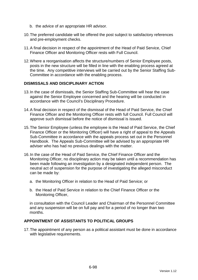- b. the advice of an appropriate HR advisor.
- 10. The preferred candidate will be offered the post subject to satisfactory references and pre-employment checks.
- 11. A final decision in respect of the appointment of the Head of Paid Service, Chief Finance Officer and Monitoring Officer rests with Full Council.
- 12. Where a reorganisation affects the structure/numbers of Senior Employee posts, posts in the new structure will be filled in line with the enabling process agreed at the time. Any competitive interviews will be carried out by the Senior Staffing Sub-Committee in accordance with the enabling process.

#### **DISMISSALS AND DISCIPLINARY ACTION**

- 13. In the case of dismissals, the Senior Staffing Sub-Committee will hear the case against the Senior Employee concerned and the hearing will be conducted in accordance with the Council's Disciplinary Procedure.
- 14. A final decision in respect of the dismissal of the Head of Paid Service, the Chief Finance Officer and the Monitoring Officer rests with full Council. Full Council will approve such dismissal before the notice of dismissal is issued.
- 15. The Senior Employee (unless the employee is the Head of Paid Service, the Chief Finance Officer or the Monitoring Officer) will have a right of appeal to the Appeals Sub-Committee in accordance with the appeals process set out in the Personnel Handbook. The Appeals Sub-Committee will be advised by an appropriate HR adviser who has had no previous dealings with the matter.
- 16. In the case of the Head of Paid Service, the Chief Finance Officer and the Monitoring Officer, no disciplinary action may be taken until a recommendation has been made following an investigation by a designated independent person. The neutral act of suspension for the purpose of investigating the alleged misconduct can be made by:
	- a. the Monitoring Officer in relation to the Head of Paid Service; or
	- b. the Head of Paid Service in relation to the Chief Finance Officer or the Monitoring Officer,

in consultation with the Council Leader and Chairman of the Personnel Committee and any suspension will be on full pay and for a period of no longer than two months.

### **APPOINTMENT OF ASSISTANTS TO POLITICAL GROUPS**

17. The appointment of any person as a political assistant must be done in accordance with legislative requirements.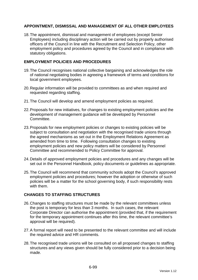## **APPOINTMENT, DISMISSAL AND MANAGEMENT OF ALL OTHER EMPLOYEES**

18. The appointment, dismissal and management of employees (except Senior Employees) including disciplinary action will be carried out by properly authorised officers of the Council in line with the Recruitment and Selection Policy, other employment policy and procedures agreed by the Council and in compliance with statutory obligations.

### **EMPLOYMENT POLICIES AND PROCEDURES**

- 19. The Council recognises national collective bargaining and acknowledges the role of national negotiating bodies in agreeing a framework of terms and conditions for local government employees.
- 20. Regular information will be provided to committees as and when required and requested regarding staffing.
- 21. The Council will develop and amend employment policies as required.
- 22. Proposals for new initiatives, for changes to existing employment policies and the development of management guidance will be developed by Personnel Committee.
- 23. Proposals for new employment policies or changes to existing policies will be subject to consultation and negotiation with the recognised trade unions through the agreed mechanisms as set out in the Employment Relations Agreement as amended from time to time. Following consultation changes to existing employment policies and new policy matters will be considered by Personnel Committee and recommended to Policy Committee for approval.
- 24. Details of approved employment policies and procedures and any changes will be set out in the Personnel Handbook, policy documents or guidelines as appropriate.
- 25. The Council will recommend that community schools adopt the Council's approved employment policies and procedures; however the adoption or otherwise of such policies will be a matter for the school governing body, if such responsibility rests with them.

## **CHANGES TO STAFFING STRUCTURES**

- 26. Changes to staffing structures must be made by the relevant committees unless the post is temporary for less than 3 months. In such cases, the relevant Corporate Director can authorise the appointment (provided that, if the requirement for the temporary appointment continues after this time, the relevant committee's approval will be required).
- 27. A formal report will need to be presented to the relevant committee and will include the required advice and HR comments.
- 28. The recognised trade unions will be consulted on all proposed changes to staffing structures and any views given should be fully considered prior to a decision being made.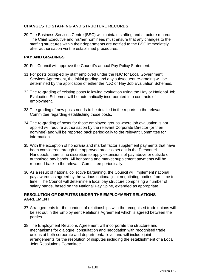## **CHANGES TO STAFFING AND STRUCTURE RECORDS**

29. The Business Services Centre (BSC) will maintain staffing and structure records. The Chief Executive and his/her nominees must ensure that any changes to the staffing structures within their departments are notified to the BSC immediately after authorisation via the established procedures.

## **PAY AND GRADINGS**

- 30. Full Council will approve the Council's annual Pay Policy Statement.
- 31. For posts occupied by staff employed under the NJC for Local Government Services Agreement, the initial grading and any subsequent re-grading will be determined by the application of either the NJC or Hay Job Evaluation Schemes.
- 32. The re-grading of existing posts following evaluation using the Hay or National Job Evaluation Schemes will be automatically incorporated into contracts of employment.
- 33. The grading of new posts needs to be detailed in the reports to the relevant Committee regarding establishing those posts.
- 34. The re-grading of posts for those employee groups where job evaluation is not applied will require authorisation by the relevant Corporate Director (or their nominee) and will be reported back periodically to the relevant Committee for information.
- 35. With the exception of honoraria and market factor supplement payments that have been considered through the approved process set out in the Personnel Handbook, there is no discretion to apply extensions of pay above or outside of authorised pay bands. All honoraria and market supplement payments will be reported back to the relevant Committee periodically.
- 36. As a result of national collective bargaining, the Council will implement national pay awards as agreed by the various national joint negotiating bodies from time to time. The Council will determine a local pay structure comprising a number of salary bands, based on the National Pay Spine, extended as appropriate.

## **RESOLUTION OF DISPUTES UNDER THE EMPLOYMENT RELATIONS AGREEMENT**

- 37. Arrangements for the conduct of relationships with the recognised trade unions will be set out in the Employment Relations Agreement which is agreed between the parties.
- 38. The Employment Relations Agreement will incorporate the structure and mechanisms for dialogue, consultation and negotiation with recognised trade unions at both corporate and departmental level and will include joint arrangements for the resolution of disputes including the establishment of a Local Joint Resolutions Committee.